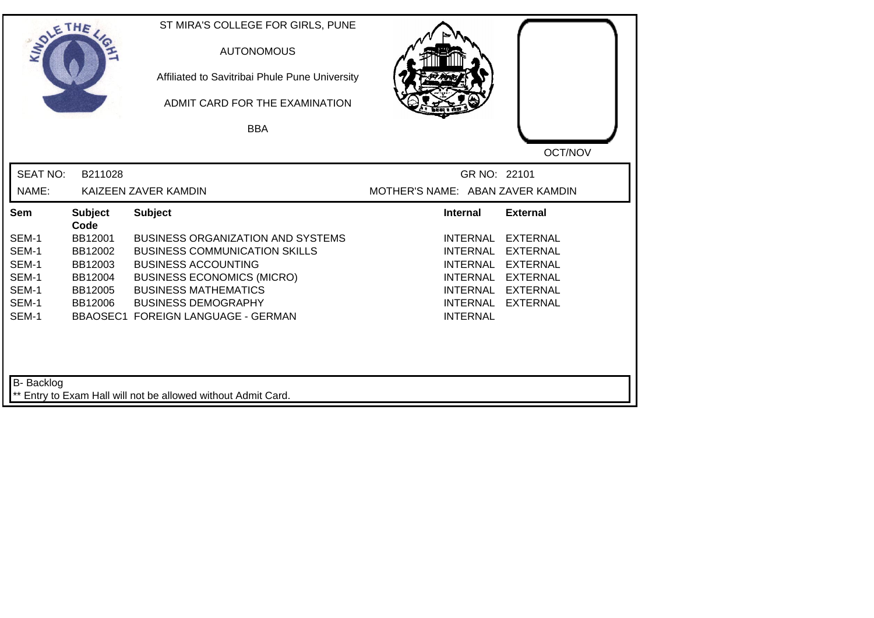| SOLE THE        |                        | ST MIRA'S COLLEGE FOR GIRLS, PUNE<br><b>AUTONOMOUS</b><br>Affiliated to Savitribai Phule Pune University<br>ADMIT CARD FOR THE EXAMINATION |                                  |                 |
|-----------------|------------------------|--------------------------------------------------------------------------------------------------------------------------------------------|----------------------------------|-----------------|
|                 |                        | <b>BBA</b>                                                                                                                                 |                                  |                 |
| <b>SEAT NO:</b> | B211028                |                                                                                                                                            | GR NO: 22101                     | OCT/NOV         |
| NAME:           |                        | KAIZEEN ZAVER KAMDIN                                                                                                                       | MOTHER'S NAME: ABAN ZAVER KAMDIN |                 |
| <b>Sem</b>      | <b>Subject</b><br>Code | <b>Subject</b>                                                                                                                             | <b>Internal</b>                  | <b>External</b> |
| SEM-1           | BB12001                | <b>BUSINESS ORGANIZATION AND SYSTEMS</b>                                                                                                   | <b>INTERNAL</b>                  | <b>EXTERNAL</b> |
| SEM-1           | BB12002                | <b>BUSINESS COMMUNICATION SKILLS</b>                                                                                                       | <b>INTERNAL</b>                  | <b>EXTERNAL</b> |
| SEM-1           | BB12003                | <b>BUSINESS ACCOUNTING</b>                                                                                                                 | <b>INTERNAL</b>                  | <b>EXTERNAL</b> |
| SEM-1           | BB12004                | <b>BUSINESS ECONOMICS (MICRO)</b>                                                                                                          | INTERNAL                         | <b>EXTERNAL</b> |
| SEM-1           | BB12005                | <b>BUSINESS MATHEMATICS</b>                                                                                                                | <b>INTERNAL</b>                  | <b>EXTERNAL</b> |
| SEM-1           | BB12006                | <b>BUSINESS DEMOGRAPHY</b>                                                                                                                 | INTERNAL                         | <b>EXTERNAL</b> |
| SEM-1           |                        | BBAOSEC1 FOREIGN LANGUAGE - GERMAN                                                                                                         | <b>INTERNAL</b>                  |                 |
|                 |                        |                                                                                                                                            |                                  |                 |
| B- Backlog      |                        | ** Entry to Exam Hall will not be allowed without Admit Card.                                                                              |                                  |                 |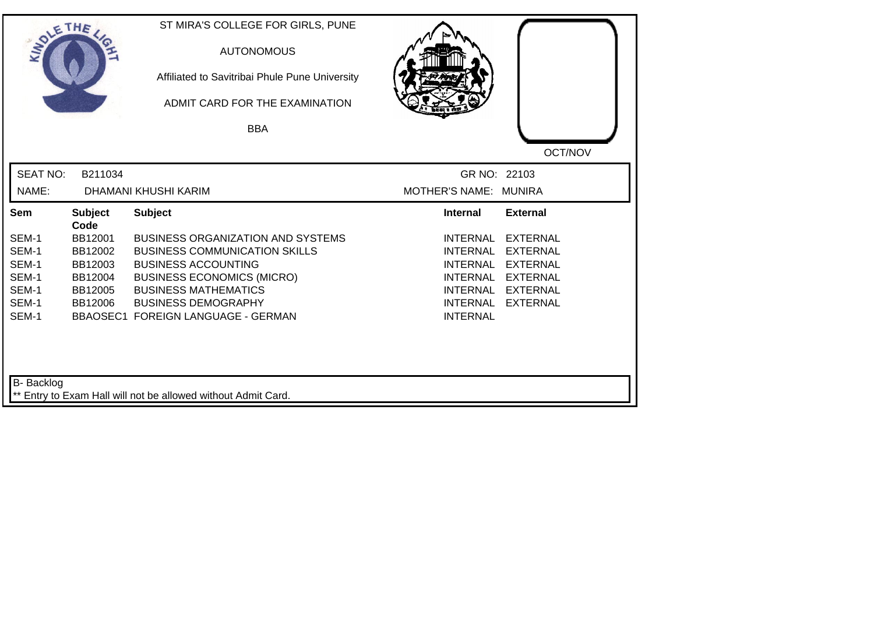| SOLETHE .         |                        | ST MIRA'S COLLEGE FOR GIRLS, PUNE<br><b>AUTONOMOUS</b><br>Affiliated to Savitribai Phule Pune University<br>ADMIT CARD FOR THE EXAMINATION |                                    |                 |
|-------------------|------------------------|--------------------------------------------------------------------------------------------------------------------------------------------|------------------------------------|-----------------|
|                   |                        | <b>BBA</b>                                                                                                                                 |                                    |                 |
|                   |                        |                                                                                                                                            |                                    | OCT/NOV         |
| <b>SEAT NO:</b>   | B211034                |                                                                                                                                            | GR NO: 22103                       |                 |
| NAME:             |                        | DHAMANI KHUSHI KARIM                                                                                                                       | MOTHER'S NAME: MUNIRA              |                 |
| Sem               | <b>Subject</b><br>Code | <b>Subject</b>                                                                                                                             | <b>Internal</b>                    | <b>External</b> |
| SEM-1             | BB12001                | <b>BUSINESS ORGANIZATION AND SYSTEMS</b>                                                                                                   | <b>INTERNAL</b>                    | <b>EXTERNAL</b> |
| SEM-1             | BB12002                | <b>BUSINESS COMMUNICATION SKILLS</b>                                                                                                       | <b>INTERNAL</b>                    | <b>EXTERNAL</b> |
| SEM-1             | BB12003                | <b>BUSINESS ACCOUNTING</b>                                                                                                                 | <b>INTERNAL</b>                    | <b>EXTERNAL</b> |
| SEM-1             | BB12004                | <b>BUSINESS ECONOMICS (MICRO)</b>                                                                                                          | <b>INTERNAL</b>                    | <b>EXTERNAL</b> |
| SEM-1<br>SEM-1    | BB12005                | <b>BUSINESS MATHEMATICS</b>                                                                                                                | INTERNAL                           | <b>EXTERNAL</b> |
| SEM-1             | BB12006                | <b>BUSINESS DEMOGRAPHY</b><br>BBAOSEC1 FOREIGN LANGUAGE - GERMAN                                                                           | <b>INTERNAL</b><br><b>INTERNAL</b> | <b>EXTERNAL</b> |
| <b>B-</b> Backlog |                        | ** Entry to Exam Hall will not be allowed without Admit Card.                                                                              |                                    |                 |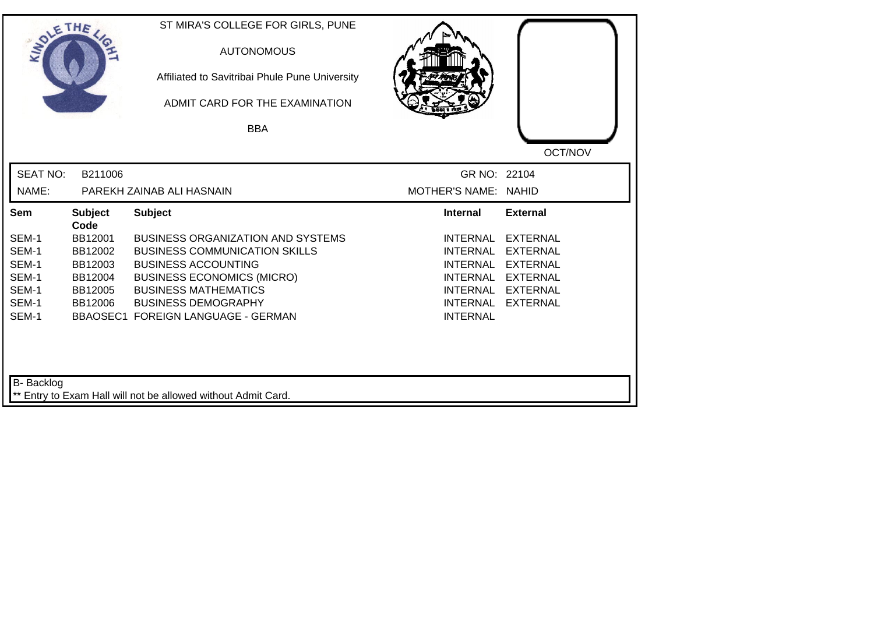| SOLETHE ,       |                        | ST MIRA'S COLLEGE FOR GIRLS, PUNE<br><b>AUTONOMOUS</b><br>Affiliated to Savitribai Phule Pune University<br>ADMIT CARD FOR THE EXAMINATION<br><b>BBA</b> |                      |                 |
|-----------------|------------------------|----------------------------------------------------------------------------------------------------------------------------------------------------------|----------------------|-----------------|
|                 |                        |                                                                                                                                                          |                      | OCT/NOV         |
| <b>SEAT NO:</b> | B211006                |                                                                                                                                                          | GR NO: 22104         |                 |
| NAME:           |                        | PAREKH ZAINAB ALI HASNAIN                                                                                                                                | MOTHER'S NAME: NAHID |                 |
| <b>Sem</b>      | <b>Subject</b><br>Code | <b>Subject</b>                                                                                                                                           | <b>Internal</b>      | <b>External</b> |
| SEM-1           | BB12001                | <b>BUSINESS ORGANIZATION AND SYSTEMS</b>                                                                                                                 | <b>INTERNAL</b>      | <b>EXTERNAL</b> |
| SEM-1           | BB12002                | <b>BUSINESS COMMUNICATION SKILLS</b>                                                                                                                     | <b>INTERNAL</b>      | <b>EXTERNAL</b> |
| SEM-1           | BB12003                | <b>BUSINESS ACCOUNTING</b>                                                                                                                               | <b>INTERNAL</b>      | <b>EXTERNAL</b> |
| SEM-1           | BB12004                | <b>BUSINESS ECONOMICS (MICRO)</b>                                                                                                                        | INTERNAL             | <b>EXTERNAL</b> |
| SEM-1           | BB12005                | <b>BUSINESS MATHEMATICS</b>                                                                                                                              | <b>INTERNAL</b>      | <b>EXTERNAL</b> |
| SEM-1           | BB12006                | <b>BUSINESS DEMOGRAPHY</b>                                                                                                                               | <b>INTERNAL</b>      | <b>EXTERNAL</b> |
| SEM-1           |                        | BBAOSEC1 FOREIGN LANGUAGE - GERMAN                                                                                                                       | <b>INTERNAL</b>      |                 |
|                 |                        |                                                                                                                                                          |                      |                 |
| B- Backlog      |                        |                                                                                                                                                          |                      |                 |
|                 |                        | ** Entry to Exam Hall will not be allowed without Admit Card.                                                                                            |                      |                 |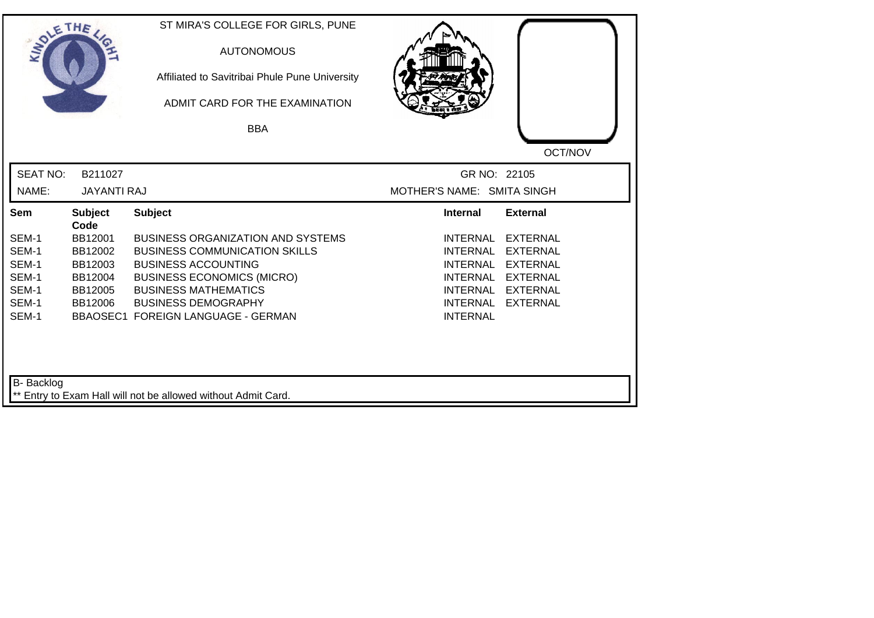| SOLETHE ,         |                        | ST MIRA'S COLLEGE FOR GIRLS, PUNE<br><b>AUTONOMOUS</b><br>Affiliated to Savitribai Phule Pune University<br>ADMIT CARD FOR THE EXAMINATION<br><b>BBA</b> |                            |                 |
|-------------------|------------------------|----------------------------------------------------------------------------------------------------------------------------------------------------------|----------------------------|-----------------|
|                   |                        |                                                                                                                                                          |                            | OCT/NOV         |
| <b>SEAT NO:</b>   | B211027                |                                                                                                                                                          | GR NO: 22105               |                 |
| NAME:             | <b>JAYANTI RAJ</b>     |                                                                                                                                                          | MOTHER'S NAME: SMITA SINGH |                 |
| Sem               | <b>Subject</b><br>Code | <b>Subject</b>                                                                                                                                           | <b>Internal</b>            | <b>External</b> |
| SEM-1             | BB12001                | <b>BUSINESS ORGANIZATION AND SYSTEMS</b>                                                                                                                 | <b>INTERNAL</b>            | <b>EXTERNAL</b> |
| SEM-1             | BB12002                | <b>BUSINESS COMMUNICATION SKILLS</b>                                                                                                                     | <b>INTERNAL</b>            | <b>EXTERNAL</b> |
| SEM-1             | BB12003                | <b>BUSINESS ACCOUNTING</b>                                                                                                                               | <b>INTERNAL</b>            | <b>EXTERNAL</b> |
| SEM-1             | BB12004                | <b>BUSINESS ECONOMICS (MICRO)</b>                                                                                                                        | <b>INTERNAL</b>            | <b>EXTERNAL</b> |
| SEM-1             | BB12005                | <b>BUSINESS MATHEMATICS</b>                                                                                                                              | <b>INTERNAL</b>            | <b>EXTERNAL</b> |
| SEM-1             | BB12006                | <b>BUSINESS DEMOGRAPHY</b>                                                                                                                               | <b>INTERNAL</b>            | <b>EXTERNAL</b> |
| SEM-1             |                        | <b>BBAOSEC1 FOREIGN LANGUAGE - GERMAN</b>                                                                                                                | <b>INTERNAL</b>            |                 |
| <b>B-</b> Backlog |                        | ** Entry to Exam Hall will not be allowed without Admit Card.                                                                                            |                            |                 |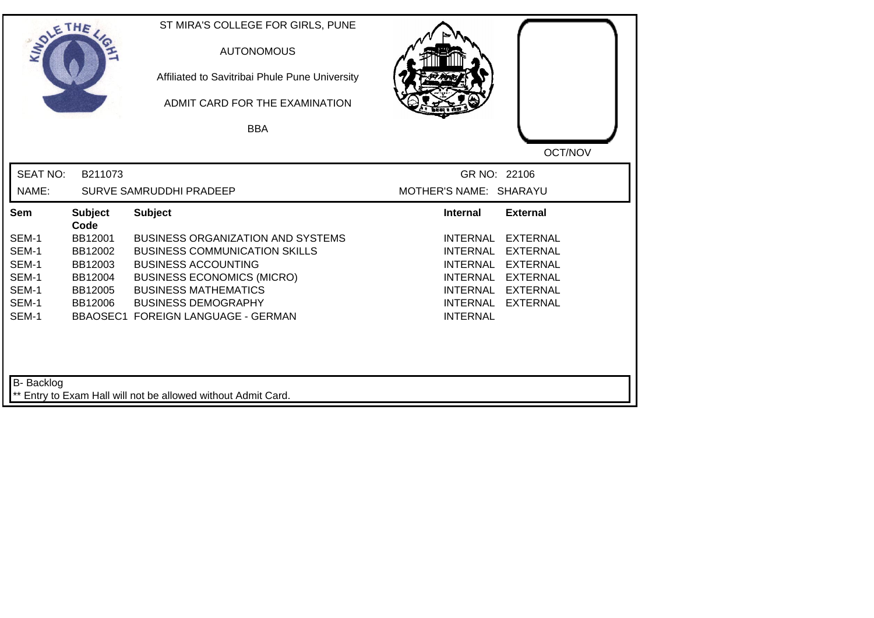| SOLETHE .         |                        | ST MIRA'S COLLEGE FOR GIRLS, PUNE<br><b>AUTONOMOUS</b><br>Affiliated to Savitribai Phule Pune University<br>ADMIT CARD FOR THE EXAMINATION |                                                                          |
|-------------------|------------------------|--------------------------------------------------------------------------------------------------------------------------------------------|--------------------------------------------------------------------------|
|                   |                        | <b>BBA</b>                                                                                                                                 |                                                                          |
|                   |                        |                                                                                                                                            | OCT/NOV                                                                  |
| <b>SEAT NO:</b>   | B211073                |                                                                                                                                            | GR NO: 22106                                                             |
| NAME:             |                        | <b>SURVE SAMRUDDHI PRADEEP</b>                                                                                                             | MOTHER'S NAME: SHARAYU                                                   |
| Sem               | <b>Subject</b><br>Code | <b>Subject</b>                                                                                                                             | <b>Internal</b><br><b>External</b>                                       |
| SEM-1             | BB12001                | <b>BUSINESS ORGANIZATION AND SYSTEMS</b>                                                                                                   | <b>INTERNAL</b><br><b>EXTERNAL</b>                                       |
| SEM-1             | BB12002                | <b>BUSINESS COMMUNICATION SKILLS</b>                                                                                                       | <b>INTERNAL</b><br><b>EXTERNAL</b>                                       |
| SEM-1             | BB12003                | <b>BUSINESS ACCOUNTING</b>                                                                                                                 | <b>INTERNAL</b><br><b>EXTERNAL</b>                                       |
| SEM-1             | BB12004                | <b>BUSINESS ECONOMICS (MICRO)</b>                                                                                                          | <b>INTERNAL</b><br><b>EXTERNAL</b>                                       |
| SEM-1<br>SEM-1    | BB12005<br>BB12006     | <b>BUSINESS MATHEMATICS</b><br><b>BUSINESS DEMOGRAPHY</b>                                                                                  | <b>INTERNAL</b><br><b>EXTERNAL</b><br><b>INTERNAL</b><br><b>EXTERNAL</b> |
| SEM-1             |                        | <b>BBAOSEC1 FOREIGN LANGUAGE - GERMAN</b>                                                                                                  | <b>INTERNAL</b>                                                          |
| <b>B-</b> Backlog |                        | ** Entry to Exam Hall will not be allowed without Admit Card.                                                                              |                                                                          |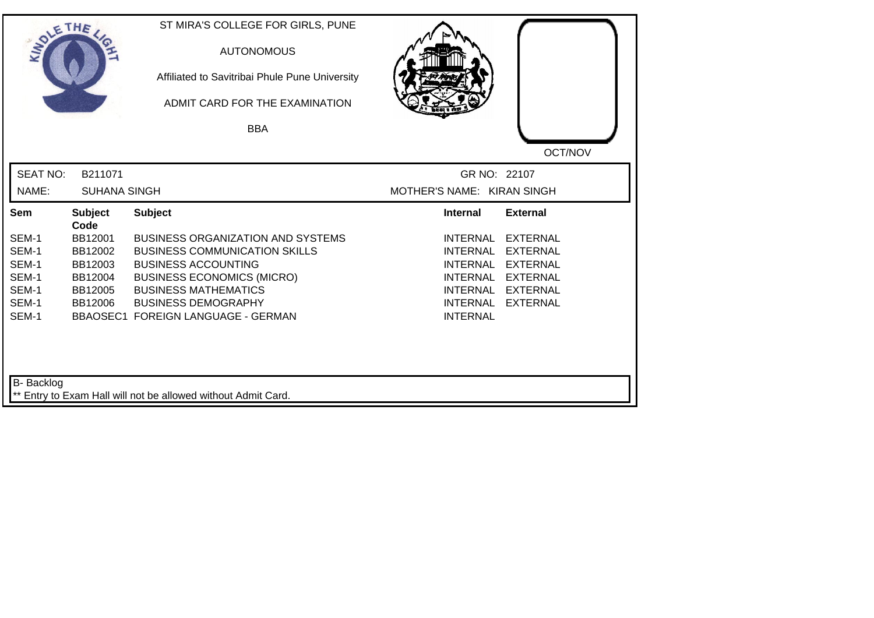| SOLETHE ,       |                        | ST MIRA'S COLLEGE FOR GIRLS, PUNE<br><b>AUTONOMOUS</b><br>Affiliated to Savitribai Phule Pune University<br>ADMIT CARD FOR THE EXAMINATION |                             |                 |
|-----------------|------------------------|--------------------------------------------------------------------------------------------------------------------------------------------|-----------------------------|-----------------|
|                 |                        | <b>BBA</b>                                                                                                                                 |                             |                 |
|                 |                        |                                                                                                                                            |                             | OCT/NOV         |
| <b>SEAT NO:</b> | B211071                |                                                                                                                                            | GR NO: 22107                |                 |
| NAME:           | <b>SUHANA SINGH</b>    |                                                                                                                                            | MOTHER'S NAME: KIRAN SINGH  |                 |
| Sem             | <b>Subject</b><br>Code | <b>Subject</b>                                                                                                                             | <b>Internal</b>             | <b>External</b> |
| SEM-1           | BB12001                | <b>BUSINESS ORGANIZATION AND SYSTEMS</b>                                                                                                   | <b>INTERNAL</b>             | <b>EXTERNAL</b> |
| SEM-1           | BB12002                | <b>BUSINESS COMMUNICATION SKILLS</b>                                                                                                       | <b>INTERNAL</b>             | <b>EXTERNAL</b> |
| SEM-1           | BB12003                | <b>BUSINESS ACCOUNTING</b>                                                                                                                 | <b>INTERNAL</b>             | <b>EXTERNAL</b> |
| SEM-1           | BB12004                | <b>BUSINESS ECONOMICS (MICRO)</b>                                                                                                          | <b>INTERNAL</b>             | <b>EXTERNAL</b> |
| SEM-1           | BB12005                | <b>BUSINESS MATHEMATICS</b>                                                                                                                | <b>INTERNAL</b>             | <b>EXTERNAL</b> |
| SEM-1<br>SEM-1  | BB12006                | <b>BUSINESS DEMOGRAPHY</b><br><b>BBAOSEC1 FOREIGN LANGUAGE - GERMAN</b>                                                                    | INTERNAL<br><b>INTERNAL</b> | <b>EXTERNAL</b> |
| B- Backlog      |                        | ** Entry to Exam Hall will not be allowed without Admit Card.                                                                              |                             |                 |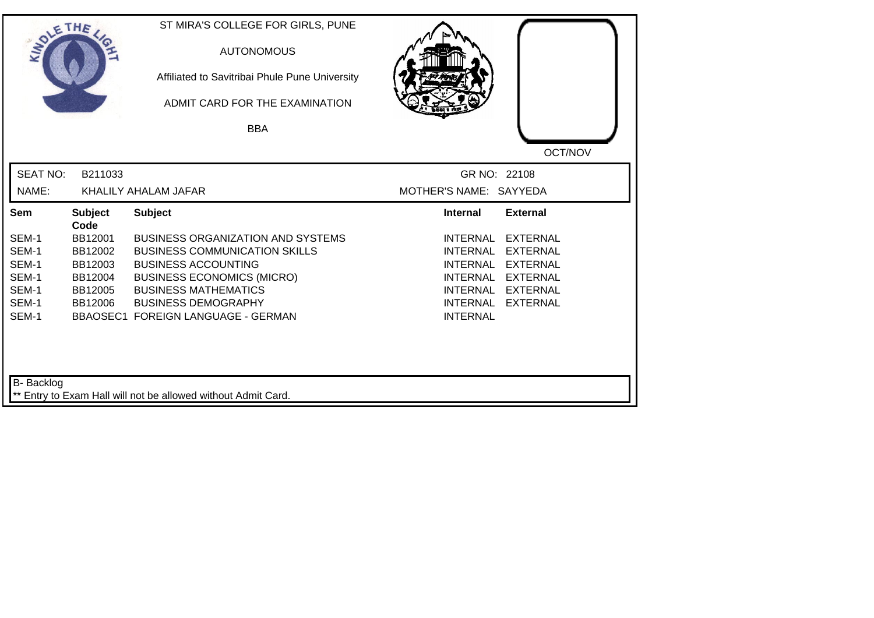| SOLETHE ,         |                        | ST MIRA'S COLLEGE FOR GIRLS, PUNE<br><b>AUTONOMOUS</b><br>Affiliated to Savitribai Phule Pune University<br>ADMIT CARD FOR THE EXAMINATION<br><b>BBA</b> |                                    |
|-------------------|------------------------|----------------------------------------------------------------------------------------------------------------------------------------------------------|------------------------------------|
|                   |                        |                                                                                                                                                          | OCT/NOV                            |
| <b>SEAT NO:</b>   | B211033                |                                                                                                                                                          | GR NO: 22108                       |
| NAME:             |                        | KHALILY AHALAM JAFAR                                                                                                                                     | MOTHER'S NAME: SAYYEDA             |
| Sem               | <b>Subject</b><br>Code | <b>Subject</b>                                                                                                                                           | <b>External</b><br><b>Internal</b> |
| SEM-1             | BB12001                | <b>BUSINESS ORGANIZATION AND SYSTEMS</b>                                                                                                                 | <b>INTERNAL</b><br><b>EXTERNAL</b> |
| SEM-1             | BB12002                | <b>BUSINESS COMMUNICATION SKILLS</b>                                                                                                                     | <b>INTERNAL</b><br><b>EXTERNAL</b> |
| SEM-1             | BB12003                | <b>BUSINESS ACCOUNTING</b>                                                                                                                               | <b>INTERNAL</b><br><b>EXTERNAL</b> |
| SEM-1             | BB12004                | <b>BUSINESS ECONOMICS (MICRO)</b>                                                                                                                        | <b>INTERNAL</b><br><b>EXTERNAL</b> |
| SEM-1             | BB12005                | <b>BUSINESS MATHEMATICS</b>                                                                                                                              | <b>EXTERNAL</b><br>INTERNAL        |
| SEM-1             | BB12006                | <b>BUSINESS DEMOGRAPHY</b>                                                                                                                               | <b>INTERNAL</b><br><b>EXTERNAL</b> |
| SEM-1             |                        | <b>BBAOSEC1 FOREIGN LANGUAGE - GERMAN</b>                                                                                                                | <b>INTERNAL</b>                    |
| <b>B-</b> Backlog |                        | ** Entry to Exam Hall will not be allowed without Admit Card.                                                                                            |                                    |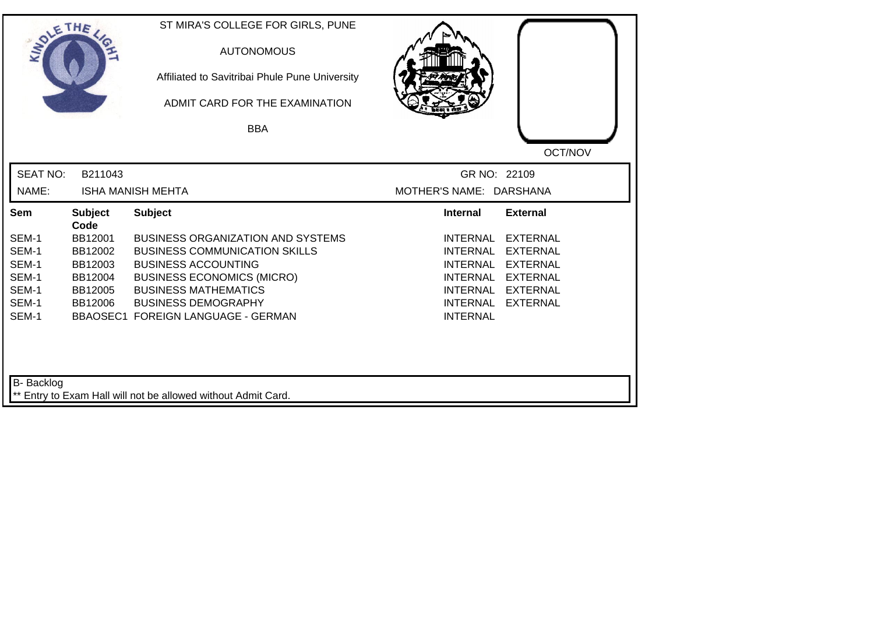| SOLETHE ,       |                        | ST MIRA'S COLLEGE FOR GIRLS, PUNE<br><b>AUTONOMOUS</b><br>Affiliated to Savitribai Phule Pune University<br>ADMIT CARD FOR THE EXAMINATION |                             |                 |
|-----------------|------------------------|--------------------------------------------------------------------------------------------------------------------------------------------|-----------------------------|-----------------|
|                 |                        | <b>BBA</b>                                                                                                                                 |                             |                 |
|                 |                        |                                                                                                                                            |                             | OCT/NOV         |
| <b>SEAT NO:</b> | B211043                |                                                                                                                                            | GR NO: 22109                |                 |
| NAME:           |                        | <b>ISHA MANISH MEHTA</b>                                                                                                                   | MOTHER'S NAME: DARSHANA     |                 |
| Sem             | <b>Subject</b><br>Code | <b>Subject</b>                                                                                                                             | <b>Internal</b>             | <b>External</b> |
| SEM-1           | BB12001                | <b>BUSINESS ORGANIZATION AND SYSTEMS</b>                                                                                                   | <b>INTERNAL</b>             | <b>EXTERNAL</b> |
| SEM-1           | BB12002                | <b>BUSINESS COMMUNICATION SKILLS</b>                                                                                                       | <b>INTERNAL</b>             | <b>EXTERNAL</b> |
| SEM-1           | BB12003                | <b>BUSINESS ACCOUNTING</b>                                                                                                                 | <b>INTERNAL</b>             | <b>EXTERNAL</b> |
| SEM-1           | BB12004                | <b>BUSINESS ECONOMICS (MICRO)</b>                                                                                                          | <b>INTERNAL</b>             | <b>EXTERNAL</b> |
| SEM-1           | BB12005                | <b>BUSINESS MATHEMATICS</b>                                                                                                                | <b>INTERNAL</b>             | <b>EXTERNAL</b> |
| SEM-1<br>SEM-1  | BB12006                | <b>BUSINESS DEMOGRAPHY</b><br><b>BBAOSEC1 FOREIGN LANGUAGE - GERMAN</b>                                                                    | INTERNAL<br><b>INTERNAL</b> | <b>EXTERNAL</b> |
| B- Backlog      |                        | ** Entry to Exam Hall will not be allowed without Admit Card.                                                                              |                             |                 |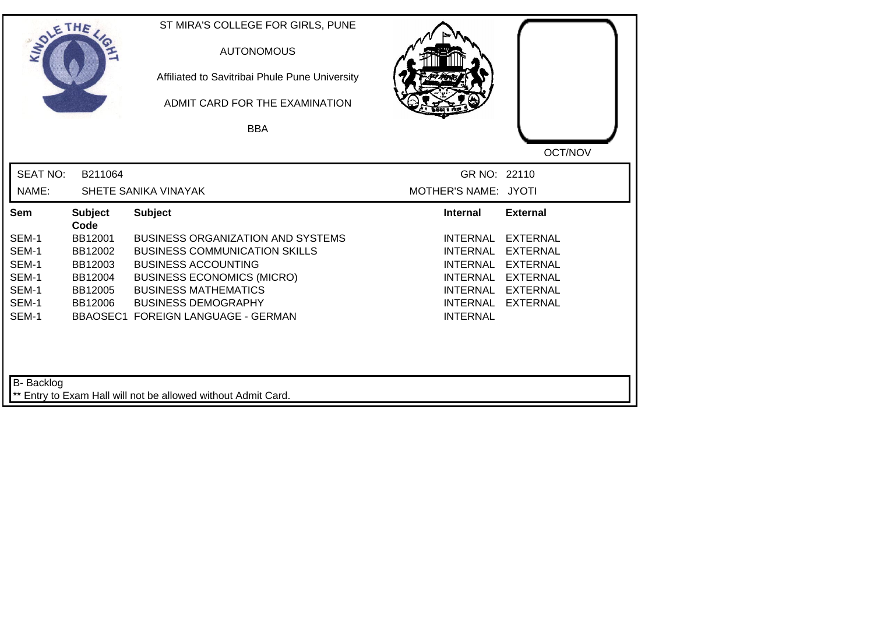| SOLETHE .         |                        | ST MIRA'S COLLEGE FOR GIRLS, PUNE<br><b>AUTONOMOUS</b><br>Affiliated to Savitribai Phule Pune University<br>ADMIT CARD FOR THE EXAMINATION |                             |                 |
|-------------------|------------------------|--------------------------------------------------------------------------------------------------------------------------------------------|-----------------------------|-----------------|
|                   |                        | <b>BBA</b>                                                                                                                                 |                             |                 |
|                   |                        |                                                                                                                                            |                             | OCT/NOV         |
| <b>SEAT NO:</b>   | B211064                |                                                                                                                                            | GR NO: 22110                |                 |
| NAME:             |                        | SHETE SANIKA VINAYAK                                                                                                                       | MOTHER'S NAME: JYOTI        |                 |
| Sem               | <b>Subject</b><br>Code | <b>Subject</b>                                                                                                                             | <b>Internal</b>             | <b>External</b> |
| SEM-1             | BB12001                | <b>BUSINESS ORGANIZATION AND SYSTEMS</b>                                                                                                   | <b>INTERNAL</b>             | <b>EXTERNAL</b> |
| SEM-1             | BB12002                | <b>BUSINESS COMMUNICATION SKILLS</b>                                                                                                       | <b>INTERNAL</b>             | <b>EXTERNAL</b> |
| SEM-1             | BB12003                | <b>BUSINESS ACCOUNTING</b>                                                                                                                 | <b>INTERNAL</b>             | <b>EXTERNAL</b> |
| SEM-1             | BB12004                | <b>BUSINESS ECONOMICS (MICRO)</b>                                                                                                          | <b>INTERNAL</b>             | <b>EXTERNAL</b> |
| SEM-1<br>SEM-1    | BB12005                | <b>BUSINESS MATHEMATICS</b><br><b>BUSINESS DEMOGRAPHY</b>                                                                                  | INTERNAL<br><b>INTERNAL</b> | <b>EXTERNAL</b> |
| SEM-1             | BB12006                | BBAOSEC1 FOREIGN LANGUAGE - GERMAN                                                                                                         | <b>INTERNAL</b>             | <b>EXTERNAL</b> |
| <b>B-</b> Backlog |                        | ** Entry to Exam Hall will not be allowed without Admit Card.                                                                              |                             |                 |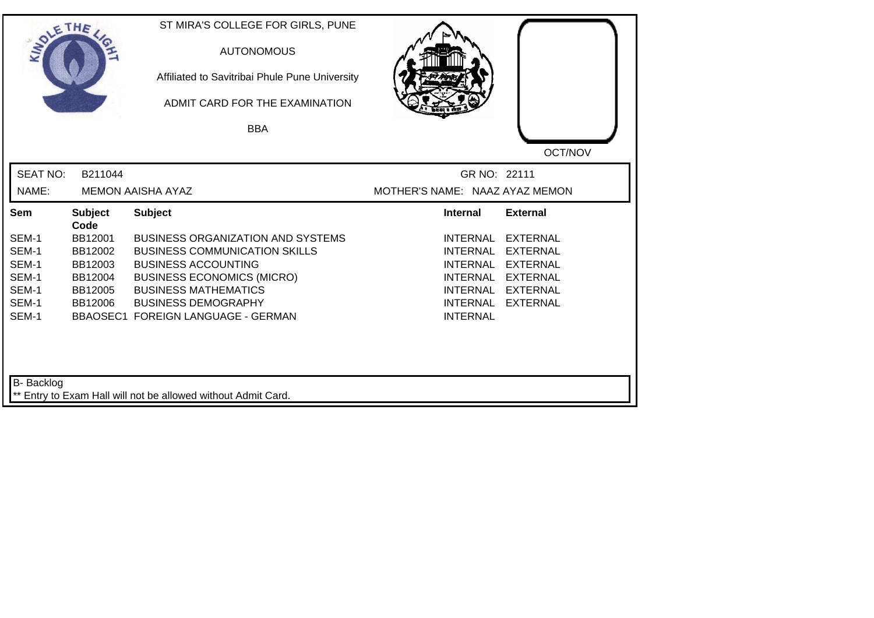| SOLETHE ,         |                        | ST MIRA'S COLLEGE FOR GIRLS, PUNE<br><b>AUTONOMOUS</b><br>Affiliated to Savitribai Phule Pune University<br>ADMIT CARD FOR THE EXAMINATION |                                |                 |
|-------------------|------------------------|--------------------------------------------------------------------------------------------------------------------------------------------|--------------------------------|-----------------|
|                   |                        | <b>BBA</b>                                                                                                                                 |                                |                 |
|                   |                        |                                                                                                                                            |                                | OCT/NOV         |
| <b>SEAT NO:</b>   | B211044                |                                                                                                                                            | GR NO: 22111                   |                 |
| NAME:             |                        | <b>MEMON AAISHA AYAZ</b>                                                                                                                   | MOTHER'S NAME: NAAZ AYAZ MEMON |                 |
| Sem               | <b>Subject</b><br>Code | <b>Subject</b>                                                                                                                             | <b>Internal</b>                | <b>External</b> |
| SEM-1             | BB12001                | <b>BUSINESS ORGANIZATION AND SYSTEMS</b>                                                                                                   | <b>INTERNAL</b>                | <b>EXTERNAL</b> |
| SEM-1             | BB12002                | <b>BUSINESS COMMUNICATION SKILLS</b>                                                                                                       | <b>INTERNAL</b>                | <b>EXTERNAL</b> |
| SEM-1             | BB12003                | <b>BUSINESS ACCOUNTING</b>                                                                                                                 | <b>INTERNAL</b>                | <b>EXTERNAL</b> |
| SEM-1             | BB12004                | <b>BUSINESS ECONOMICS (MICRO)</b>                                                                                                          | INTERNAL                       | <b>EXTERNAL</b> |
| SEM-1             | BB12005                | <b>BUSINESS MATHEMATICS</b>                                                                                                                | INTERNAL                       | <b>EXTERNAL</b> |
| SEM-1<br>SEM-1    | BB12006                | <b>BUSINESS DEMOGRAPHY</b><br>BBAOSEC1 FOREIGN LANGUAGE - GERMAN                                                                           | INTERNAL<br><b>INTERNAL</b>    | <b>EXTERNAL</b> |
| <b>B-</b> Backlog |                        |                                                                                                                                            |                                |                 |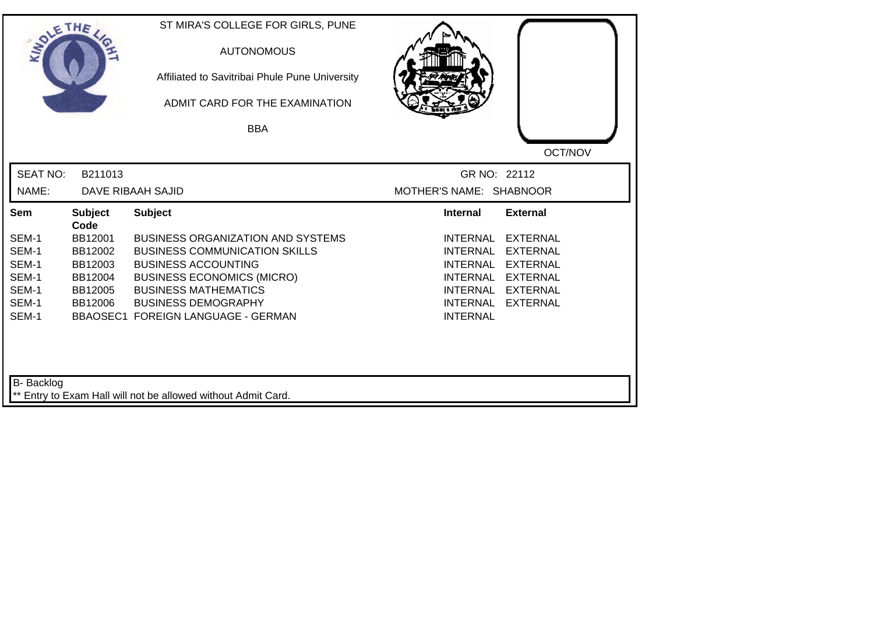| SOLETHE .       |                        | ST MIRA'S COLLEGE FOR GIRLS, PUNE<br><b>AUTONOMOUS</b><br>Affiliated to Savitribai Phule Pune University<br>ADMIT CARD FOR THE EXAMINATION<br><b>BBA</b> |                         |                 |
|-----------------|------------------------|----------------------------------------------------------------------------------------------------------------------------------------------------------|-------------------------|-----------------|
|                 |                        |                                                                                                                                                          |                         | OCT/NOV         |
| <b>SEAT NO:</b> | B211013                |                                                                                                                                                          | GR NO: 22112            |                 |
| NAME:           |                        | DAVE RIBAAH SAJID                                                                                                                                        | MOTHER'S NAME: SHABNOOR |                 |
| Sem             | <b>Subject</b><br>Code | <b>Subject</b>                                                                                                                                           | <b>Internal</b>         | <b>External</b> |
| SEM-1           | BB12001                | <b>BUSINESS ORGANIZATION AND SYSTEMS</b>                                                                                                                 | <b>INTERNAL</b>         | <b>EXTERNAL</b> |
| SEM-1           | BB12002                | <b>BUSINESS COMMUNICATION SKILLS</b>                                                                                                                     | <b>INTERNAL</b>         | <b>EXTERNAL</b> |
| SEM-1           | BB12003                | <b>BUSINESS ACCOUNTING</b>                                                                                                                               | <b>INTERNAL</b>         | <b>EXTERNAL</b> |
| SEM-1           | BB12004                | <b>BUSINESS ECONOMICS (MICRO)</b>                                                                                                                        | <b>INTERNAL</b>         | <b>EXTERNAL</b> |
| SEM-1           | BB12005                | <b>BUSINESS MATHEMATICS</b>                                                                                                                              | <b>INTERNAL</b>         | <b>EXTERNAL</b> |
| SEM-1           | BB12006                | <b>BUSINESS DEMOGRAPHY</b>                                                                                                                               | <b>INTERNAL</b>         | <b>EXTERNAL</b> |
| SEM-1           |                        | BBAOSEC1 FOREIGN LANGUAGE - GERMAN                                                                                                                       | <b>INTERNAL</b>         |                 |
| B- Backlog      |                        | ** Entry to Exam Hall will not be allowed without Admit Card.                                                                                            |                         |                 |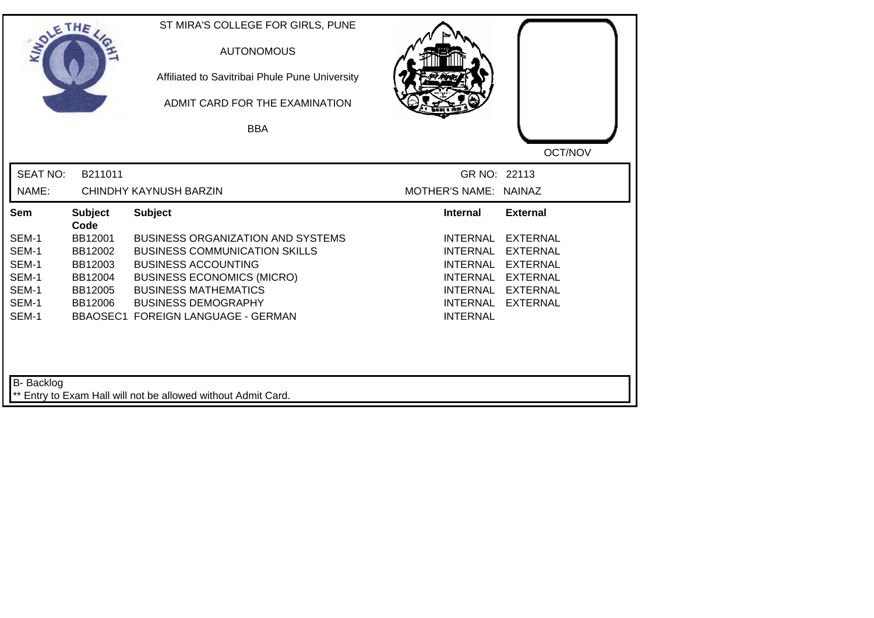| SOLETHE .         |                        | ST MIRA'S COLLEGE FOR GIRLS, PUNE<br><b>AUTONOMOUS</b><br>Affiliated to Savitribai Phule Pune University<br>ADMIT CARD FOR THE EXAMINATION |                                    |                 |
|-------------------|------------------------|--------------------------------------------------------------------------------------------------------------------------------------------|------------------------------------|-----------------|
|                   |                        | <b>BBA</b>                                                                                                                                 |                                    |                 |
|                   |                        |                                                                                                                                            |                                    | OCT/NOV         |
| <b>SEAT NO:</b>   | B211011                |                                                                                                                                            | GR NO: 22113                       |                 |
| NAME:             |                        | CHINDHY KAYNUSH BARZIN                                                                                                                     | MOTHER'S NAME: NAINAZ              |                 |
| Sem               | <b>Subject</b><br>Code | <b>Subject</b>                                                                                                                             | <b>Internal</b>                    | <b>External</b> |
| SEM-1             | BB12001                | <b>BUSINESS ORGANIZATION AND SYSTEMS</b>                                                                                                   | <b>INTERNAL</b>                    | <b>EXTERNAL</b> |
| SEM-1             | BB12002                | <b>BUSINESS COMMUNICATION SKILLS</b>                                                                                                       | <b>INTERNAL</b>                    | <b>EXTERNAL</b> |
| SEM-1             | BB12003                | <b>BUSINESS ACCOUNTING</b>                                                                                                                 | <b>INTERNAL</b>                    | <b>EXTERNAL</b> |
| SEM-1             | BB12004                | <b>BUSINESS ECONOMICS (MICRO)</b>                                                                                                          | <b>INTERNAL</b>                    | <b>EXTERNAL</b> |
| SEM-1             | BB12005                | <b>BUSINESS MATHEMATICS</b>                                                                                                                | INTERNAL                           | <b>EXTERNAL</b> |
| SEM-1<br>SEM-1    | BB12006                | <b>BUSINESS DEMOGRAPHY</b><br>BBAOSEC1 FOREIGN LANGUAGE - GERMAN                                                                           | <b>INTERNAL</b><br><b>INTERNAL</b> | <b>EXTERNAL</b> |
| <b>B-</b> Backlog |                        | ** Entry to Exam Hall will not be allowed without Admit Card.                                                                              |                                    |                 |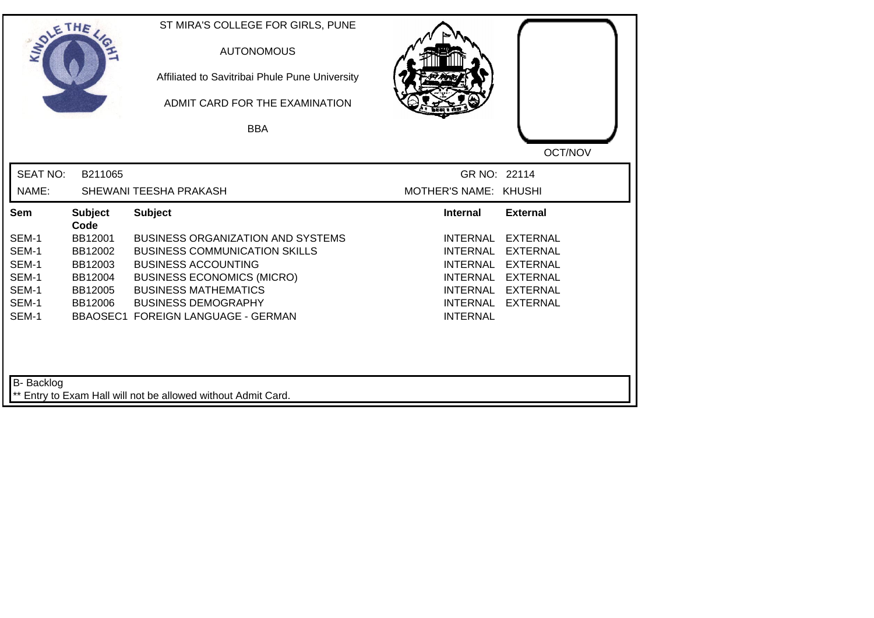| SOLETHE ,         |                        | ST MIRA'S COLLEGE FOR GIRLS, PUNE<br><b>AUTONOMOUS</b><br>Affiliated to Savitribai Phule Pune University<br>ADMIT CARD FOR THE EXAMINATION |                       |                 |
|-------------------|------------------------|--------------------------------------------------------------------------------------------------------------------------------------------|-----------------------|-----------------|
|                   |                        | <b>BBA</b>                                                                                                                                 |                       |                 |
|                   |                        |                                                                                                                                            |                       | OCT/NOV         |
| <b>SEAT NO:</b>   | B211065                |                                                                                                                                            | GR NO: 22114          |                 |
| NAME:             |                        | SHEWANI TEESHA PRAKASH                                                                                                                     | MOTHER'S NAME: KHUSHI |                 |
| Sem               | <b>Subject</b><br>Code | <b>Subject</b>                                                                                                                             | Internal              | <b>External</b> |
| SEM-1             | BB12001                | <b>BUSINESS ORGANIZATION AND SYSTEMS</b>                                                                                                   | <b>INTERNAL</b>       | <b>EXTERNAL</b> |
| SEM-1             | BB12002                | <b>BUSINESS COMMUNICATION SKILLS</b>                                                                                                       | <b>INTERNAL</b>       | <b>EXTERNAL</b> |
| SEM-1             | BB12003                | <b>BUSINESS ACCOUNTING</b>                                                                                                                 | <b>INTERNAL</b>       | <b>EXTERNAL</b> |
| SEM-1             | BB12004                | <b>BUSINESS ECONOMICS (MICRO)</b>                                                                                                          | INTERNAL              | <b>EXTERNAL</b> |
| SEM-1             | BB12005                | <b>BUSINESS MATHEMATICS</b>                                                                                                                | <b>INTERNAL</b>       | <b>EXTERNAL</b> |
| SEM-1<br>SEM-1    | BB12006                | <b>BUSINESS DEMOGRAPHY</b>                                                                                                                 | <b>INTERNAL</b>       | <b>EXTERNAL</b> |
|                   |                        | <b>BBAOSEC1 FOREIGN LANGUAGE - GERMAN</b>                                                                                                  | <b>INTERNAL</b>       |                 |
| <b>B-</b> Backlog |                        | ** Entry to Exam Hall will not be allowed without Admit Card.                                                                              |                       |                 |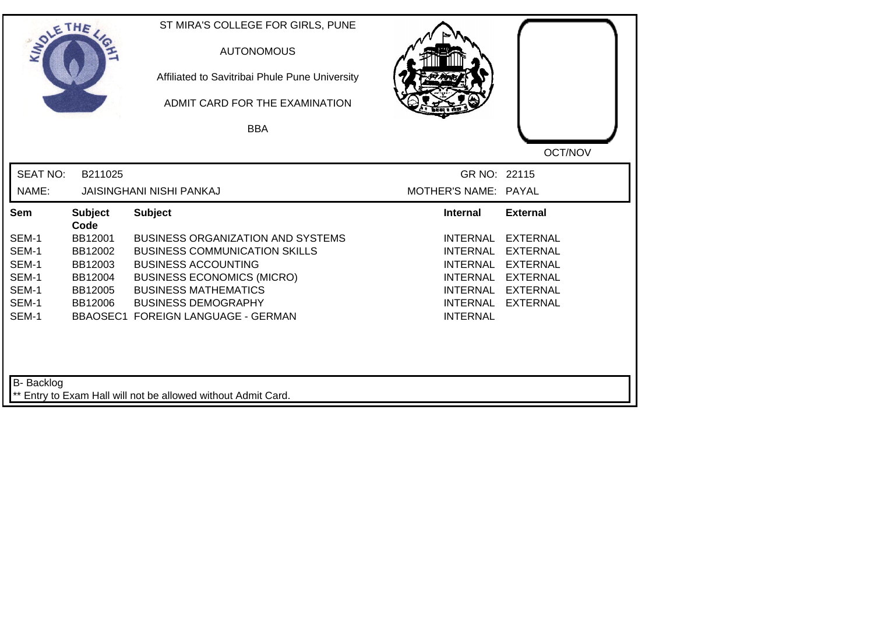|                | ST MIRA'S COLLEGE FOR GIRLS, PUNE<br><b>AUTONOMOUS</b><br>Affiliated to Savitribai Phule Pune University<br>ADMIT CARD FOR THE EXAMINATION |                                                                                                                                                                                                                          |                                                                                                           |
|----------------|--------------------------------------------------------------------------------------------------------------------------------------------|--------------------------------------------------------------------------------------------------------------------------------------------------------------------------------------------------------------------------|-----------------------------------------------------------------------------------------------------------|
|                |                                                                                                                                            |                                                                                                                                                                                                                          | OCT/NOV                                                                                                   |
|                |                                                                                                                                            |                                                                                                                                                                                                                          |                                                                                                           |
|                |                                                                                                                                            |                                                                                                                                                                                                                          |                                                                                                           |
| <b>Subject</b> | <b>Subject</b>                                                                                                                             | <b>Internal</b>                                                                                                                                                                                                          | <b>External</b>                                                                                           |
| BB12001        | <b>BUSINESS ORGANIZATION AND SYSTEMS</b>                                                                                                   | <b>INTERNAL</b>                                                                                                                                                                                                          | <b>EXTERNAL</b>                                                                                           |
| BB12002        | <b>BUSINESS COMMUNICATION SKILLS</b>                                                                                                       | <b>INTERNAL</b>                                                                                                                                                                                                          | <b>EXTERNAL</b>                                                                                           |
| BB12003        | <b>BUSINESS ACCOUNTING</b>                                                                                                                 | <b>INTERNAL</b>                                                                                                                                                                                                          | <b>EXTERNAL</b>                                                                                           |
| BB12004        | <b>BUSINESS ECONOMICS (MICRO)</b>                                                                                                          |                                                                                                                                                                                                                          | <b>EXTERNAL</b>                                                                                           |
|                |                                                                                                                                            |                                                                                                                                                                                                                          | <b>EXTERNAL</b>                                                                                           |
|                |                                                                                                                                            |                                                                                                                                                                                                                          | <b>EXTERNAL</b>                                                                                           |
|                |                                                                                                                                            |                                                                                                                                                                                                                          |                                                                                                           |
|                |                                                                                                                                            |                                                                                                                                                                                                                          |                                                                                                           |
|                |                                                                                                                                            |                                                                                                                                                                                                                          |                                                                                                           |
|                | SOLETHE ,<br>B211025<br>Code<br>BB12005<br>BB12006                                                                                         | <b>BBA</b><br><b>JAISINGHANI NISHI PANKAJ</b><br><b>BUSINESS MATHEMATICS</b><br><b>BUSINESS DEMOGRAPHY</b><br><b>BBAOSEC1 FOREIGN LANGUAGE - GERMAN</b><br>** Entry to Exam Hall will not be allowed without Admit Card. | GR NO: 22115<br>MOTHER'S NAME: PAYAL<br><b>INTERNAL</b><br>INTERNAL<br><b>INTERNAL</b><br><b>INTERNAL</b> |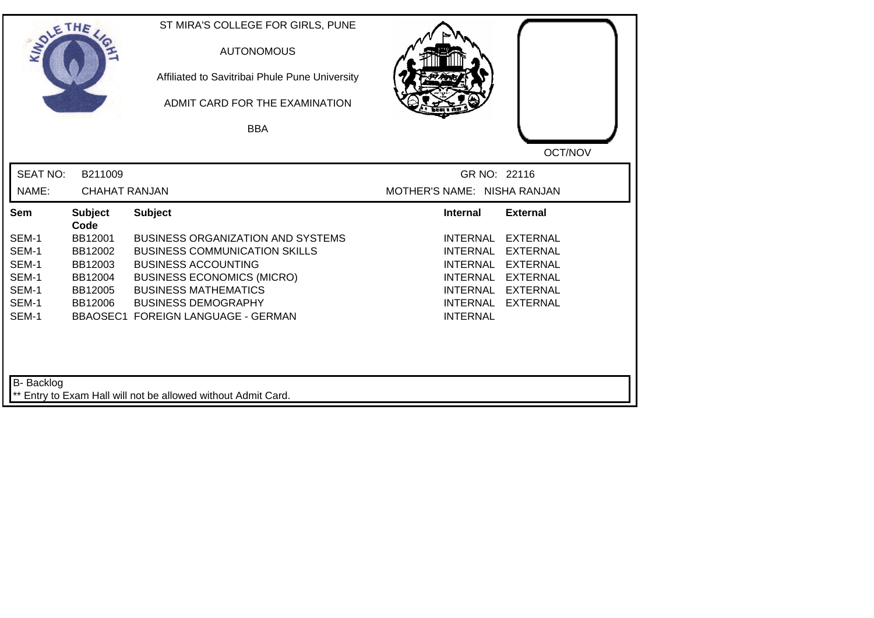| SOLETHE ,         |                        | ST MIRA'S COLLEGE FOR GIRLS, PUNE<br><b>AUTONOMOUS</b><br>Affiliated to Savitribai Phule Pune University<br>ADMIT CARD FOR THE EXAMINATION<br><b>BBA</b> |                             |                 |
|-------------------|------------------------|----------------------------------------------------------------------------------------------------------------------------------------------------------|-----------------------------|-----------------|
|                   |                        |                                                                                                                                                          |                             | OCT/NOV         |
| <b>SEAT NO:</b>   | B211009                |                                                                                                                                                          | GR NO: 22116                |                 |
| NAME:             | <b>CHAHAT RANJAN</b>   |                                                                                                                                                          | MOTHER'S NAME: NISHA RANJAN |                 |
| Sem               | <b>Subject</b><br>Code | <b>Subject</b>                                                                                                                                           | <b>Internal</b>             | <b>External</b> |
| SEM-1             | BB12001                | <b>BUSINESS ORGANIZATION AND SYSTEMS</b>                                                                                                                 | <b>INTERNAL</b>             | <b>EXTERNAL</b> |
| SEM-1             | BB12002                | <b>BUSINESS COMMUNICATION SKILLS</b>                                                                                                                     | <b>INTERNAL</b>             | <b>EXTERNAL</b> |
| SEM-1             | BB12003                | <b>BUSINESS ACCOUNTING</b>                                                                                                                               | INTERNAL                    | <b>EXTERNAL</b> |
| SEM-1             | BB12004                | <b>BUSINESS ECONOMICS (MICRO)</b>                                                                                                                        | <b>INTERNAL</b>             | <b>EXTERNAL</b> |
| SEM-1             | BB12005                | <b>BUSINESS MATHEMATICS</b>                                                                                                                              | INTERNAL                    | EXTERNAL        |
| SEM-1             | BB12006                | <b>BUSINESS DEMOGRAPHY</b>                                                                                                                               | INTERNAL                    | <b>EXTERNAL</b> |
| SEM-1             |                        | <b>BBAOSEC1 FOREIGN LANGUAGE - GERMAN</b>                                                                                                                | <b>INTERNAL</b>             |                 |
| <b>B-</b> Backlog |                        |                                                                                                                                                          |                             |                 |
|                   |                        | ** Entry to Exam Hall will not be allowed without Admit Card.                                                                                            |                             |                 |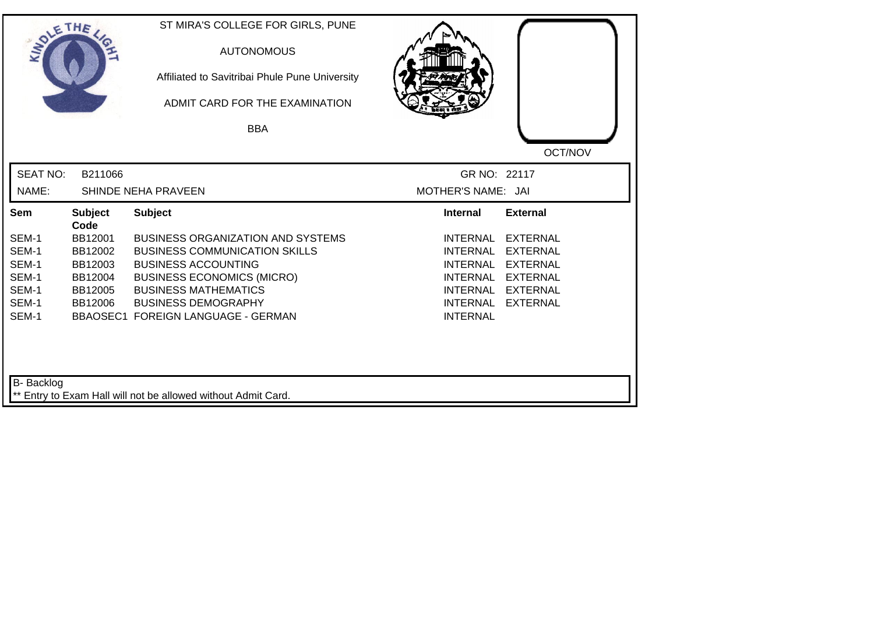| SOLE THE                                                    |                                                                        | ST MIRA'S COLLEGE FOR GIRLS, PUNE<br><b>AUTONOMOUS</b><br>Affiliated to Savitribai Phule Pune University<br>ADMIT CARD FOR THE EXAMINATION<br><b>BBA</b>                                                                                               |                                                                                                                                                                                                                                                     |  |
|-------------------------------------------------------------|------------------------------------------------------------------------|--------------------------------------------------------------------------------------------------------------------------------------------------------------------------------------------------------------------------------------------------------|-----------------------------------------------------------------------------------------------------------------------------------------------------------------------------------------------------------------------------------------------------|--|
| <b>SEAT NO:</b><br>NAME:                                    | B211066                                                                | SHINDE NEHA PRAVEEN                                                                                                                                                                                                                                    | OCT/NOV<br>GR NO: 22117<br>MOTHER'S NAME: JAI                                                                                                                                                                                                       |  |
| Sem                                                         | <b>Subject</b>                                                         | <b>Subject</b>                                                                                                                                                                                                                                         | <b>External</b><br><b>Internal</b>                                                                                                                                                                                                                  |  |
| SEM-1<br>SEM-1<br>SEM-1<br>SEM-1<br>SEM-1<br>SEM-1<br>SEM-1 | Code<br>BB12001<br>BB12002<br>BB12003<br>BB12004<br>BB12005<br>BB12006 | <b>BUSINESS ORGANIZATION AND SYSTEMS</b><br><b>BUSINESS COMMUNICATION SKILLS</b><br><b>BUSINESS ACCOUNTING</b><br><b>BUSINESS ECONOMICS (MICRO)</b><br><b>BUSINESS MATHEMATICS</b><br><b>BUSINESS DEMOGRAPHY</b><br>BBAOSEC1 FOREIGN LANGUAGE - GERMAN | <b>INTERNAL</b><br><b>EXTERNAL</b><br><b>INTERNAL</b><br><b>EXTERNAL</b><br><b>INTERNAL</b><br><b>EXTERNAL</b><br><b>INTERNAL</b><br><b>EXTERNAL</b><br><b>INTERNAL</b><br><b>EXTERNAL</b><br><b>INTERNAL</b><br><b>EXTERNAL</b><br><b>INTERNAL</b> |  |
| B- Backlog                                                  |                                                                        | ** Entry to Exam Hall will not be allowed without Admit Card.                                                                                                                                                                                          |                                                                                                                                                                                                                                                     |  |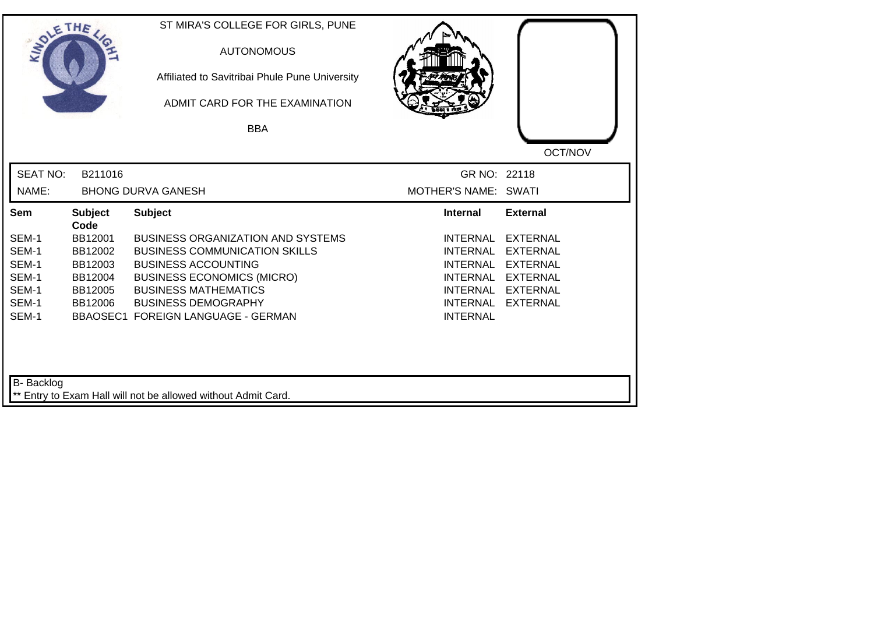| SOLETHE ,       |                        | ST MIRA'S COLLEGE FOR GIRLS, PUNE<br><b>AUTONOMOUS</b><br>Affiliated to Savitribai Phule Pune University<br>ADMIT CARD FOR THE EXAMINATION<br><b>BBA</b> |                      |                 |
|-----------------|------------------------|----------------------------------------------------------------------------------------------------------------------------------------------------------|----------------------|-----------------|
|                 |                        |                                                                                                                                                          |                      | OCT/NOV         |
| <b>SEAT NO:</b> | B211016                |                                                                                                                                                          | GR NO: 22118         |                 |
| NAME:           |                        | <b>BHONG DURVA GANESH</b>                                                                                                                                | MOTHER'S NAME: SWATI |                 |
| Sem             | <b>Subject</b><br>Code | <b>Subject</b>                                                                                                                                           | <b>Internal</b>      | <b>External</b> |
| SEM-1           | BB12001                | <b>BUSINESS ORGANIZATION AND SYSTEMS</b>                                                                                                                 | <b>INTERNAL</b>      | <b>EXTERNAL</b> |
| SEM-1           | BB12002                | <b>BUSINESS COMMUNICATION SKILLS</b>                                                                                                                     | <b>INTERNAL</b>      | <b>EXTERNAL</b> |
| SEM-1           | BB12003                | <b>BUSINESS ACCOUNTING</b>                                                                                                                               | <b>INTERNAL</b>      | <b>EXTERNAL</b> |
| SEM-1           | BB12004                | <b>BUSINESS ECONOMICS (MICRO)</b>                                                                                                                        | <b>INTERNAL</b>      | <b>EXTERNAL</b> |
| SEM-1           | BB12005                | <b>BUSINESS MATHEMATICS</b>                                                                                                                              | <b>INTERNAL</b>      | <b>EXTERNAL</b> |
| SEM-1           | BB12006                | <b>BUSINESS DEMOGRAPHY</b>                                                                                                                               | <b>INTERNAL</b>      | <b>EXTERNAL</b> |
| SEM-1           |                        | <b>BBAOSEC1 FOREIGN LANGUAGE - GERMAN</b>                                                                                                                | <b>INTERNAL</b>      |                 |
| B- Backlog      |                        | ** Entry to Exam Hall will not be allowed without Admit Card.                                                                                            |                      |                 |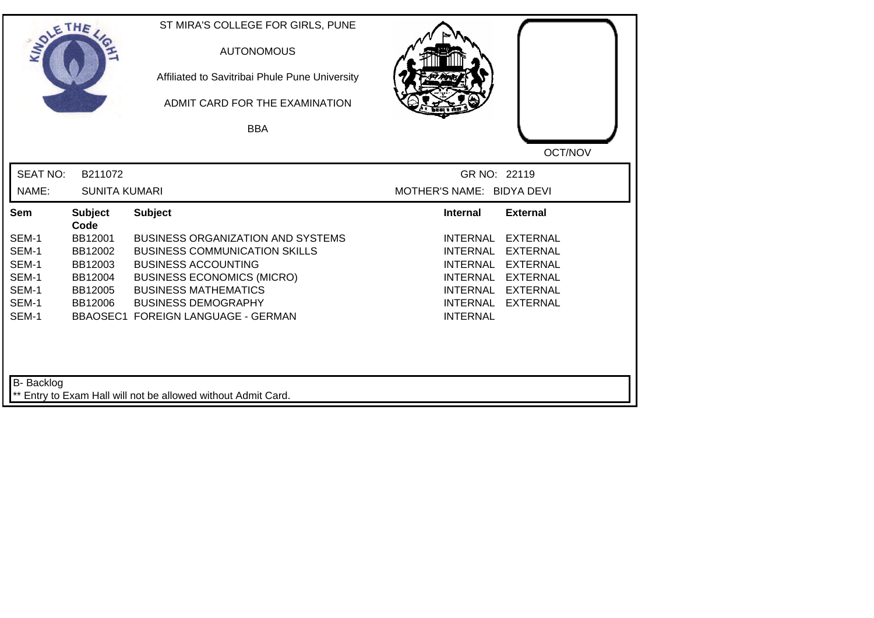| SOLETHE           |                        | ST MIRA'S COLLEGE FOR GIRLS, PUNE<br><b>AUTONOMOUS</b><br>Affiliated to Savitribai Phule Pune University<br>ADMIT CARD FOR THE EXAMINATION |                                    |                 |
|-------------------|------------------------|--------------------------------------------------------------------------------------------------------------------------------------------|------------------------------------|-----------------|
|                   |                        | <b>BBA</b>                                                                                                                                 |                                    |                 |
|                   |                        |                                                                                                                                            |                                    | OCT/NOV         |
| <b>SEAT NO:</b>   | B211072                |                                                                                                                                            | GR NO: 22119                       |                 |
| NAME:             | <b>SUNITA KUMARI</b>   |                                                                                                                                            | MOTHER'S NAME: BIDYA DEVI          |                 |
| Sem               | <b>Subject</b><br>Code | <b>Subject</b>                                                                                                                             | <b>Internal</b>                    | <b>External</b> |
| SEM-1             | BB12001                | <b>BUSINESS ORGANIZATION AND SYSTEMS</b>                                                                                                   | <b>INTERNAL</b>                    | <b>EXTERNAL</b> |
| SEM-1             | BB12002                | <b>BUSINESS COMMUNICATION SKILLS</b>                                                                                                       | <b>INTERNAL</b>                    | <b>EXTERNAL</b> |
| SEM-1             | BB12003                | <b>BUSINESS ACCOUNTING</b>                                                                                                                 | <b>INTERNAL</b>                    | <b>EXTERNAL</b> |
| SEM-1             | BB12004                | <b>BUSINESS ECONOMICS (MICRO)</b>                                                                                                          | <b>INTERNAL</b>                    | <b>EXTERNAL</b> |
| SEM-1             | BB12005                | <b>BUSINESS MATHEMATICS</b>                                                                                                                | <b>INTERNAL</b>                    | <b>EXTERNAL</b> |
| SEM-1<br>SEM-1    | BB12006                | <b>BUSINESS DEMOGRAPHY</b><br><b>BBAOSEC1 FOREIGN LANGUAGE - GERMAN</b>                                                                    | <b>INTERNAL</b><br><b>INTERNAL</b> | <b>EXTERNAL</b> |
|                   |                        |                                                                                                                                            |                                    |                 |
| <b>B-</b> Backlog |                        |                                                                                                                                            |                                    |                 |
|                   |                        | ** Entry to Exam Hall will not be allowed without Admit Card.                                                                              |                                    |                 |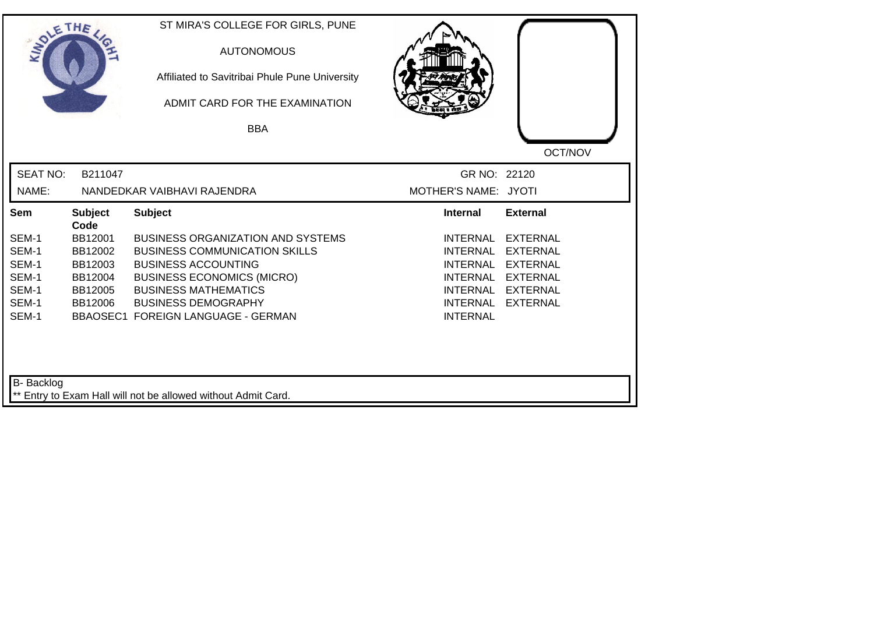| SOLETHE .         |                        | ST MIRA'S COLLEGE FOR GIRLS, PUNE<br><b>AUTONOMOUS</b><br>Affiliated to Savitribai Phule Pune University<br>ADMIT CARD FOR THE EXAMINATION |                                    |                                    |
|-------------------|------------------------|--------------------------------------------------------------------------------------------------------------------------------------------|------------------------------------|------------------------------------|
|                   |                        | <b>BBA</b>                                                                                                                                 |                                    |                                    |
|                   |                        |                                                                                                                                            |                                    | OCT/NOV                            |
| <b>SEAT NO:</b>   | B211047                |                                                                                                                                            | GR NO: 22120                       |                                    |
| NAME:             |                        | NANDEDKAR VAIBHAVI RAJENDRA                                                                                                                | MOTHER'S NAME: JYOTI               |                                    |
| Sem               | <b>Subject</b><br>Code | <b>Subject</b>                                                                                                                             | <b>Internal</b>                    | <b>External</b>                    |
| SEM-1             | BB12001                | <b>BUSINESS ORGANIZATION AND SYSTEMS</b>                                                                                                   | <b>INTERNAL</b>                    | <b>EXTERNAL</b>                    |
| SEM-1             | BB12002                | <b>BUSINESS COMMUNICATION SKILLS</b>                                                                                                       | <b>INTERNAL</b>                    | <b>EXTERNAL</b>                    |
| SEM-1             | BB12003                | <b>BUSINESS ACCOUNTING</b>                                                                                                                 | <b>INTERNAL</b>                    | <b>EXTERNAL</b>                    |
| SEM-1             | BB12004                | <b>BUSINESS ECONOMICS (MICRO)</b>                                                                                                          | <b>INTERNAL</b>                    | <b>EXTERNAL</b>                    |
| SEM-1<br>SEM-1    | BB12005<br>BB12006     | <b>BUSINESS MATHEMATICS</b><br><b>BUSINESS DEMOGRAPHY</b>                                                                                  | <b>INTERNAL</b><br><b>INTERNAL</b> | <b>EXTERNAL</b><br><b>EXTERNAL</b> |
| SEM-1             |                        | <b>BBAOSEC1 FOREIGN LANGUAGE - GERMAN</b>                                                                                                  | <b>INTERNAL</b>                    |                                    |
| <b>B-</b> Backlog |                        | ** Entry to Exam Hall will not be allowed without Admit Card.                                                                              |                                    |                                    |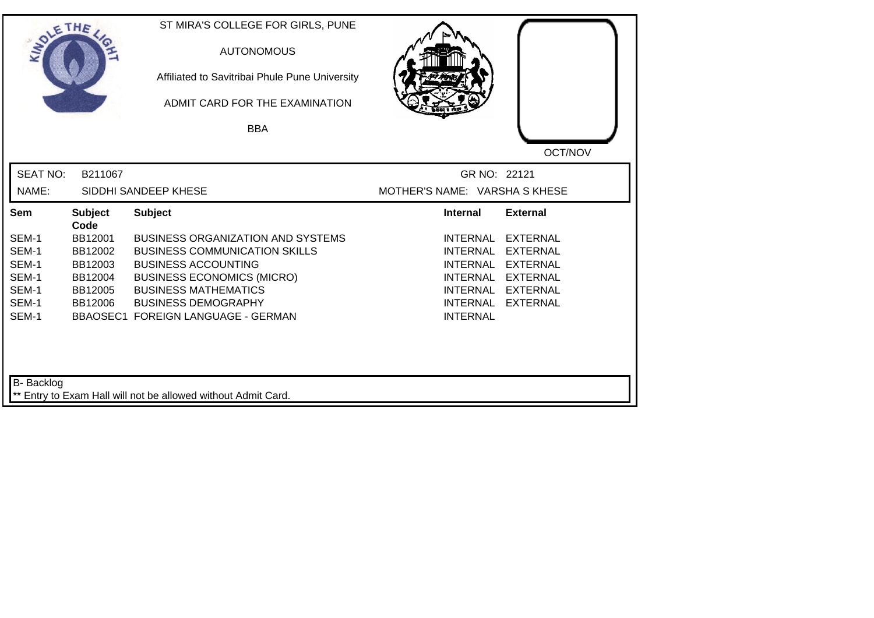| SOLETHE .                                                   |                                                                        | ST MIRA'S COLLEGE FOR GIRLS, PUNE<br><b>AUTONOMOUS</b><br>Affiliated to Savitribai Phule Pune University<br>ADMIT CARD FOR THE EXAMINATION<br><b>BBA</b>                                                                                               |                                                                                                         |                                                                                                                  |
|-------------------------------------------------------------|------------------------------------------------------------------------|--------------------------------------------------------------------------------------------------------------------------------------------------------------------------------------------------------------------------------------------------------|---------------------------------------------------------------------------------------------------------|------------------------------------------------------------------------------------------------------------------|
| <b>SEAT NO:</b><br>NAME:                                    | B211067                                                                | SIDDHI SANDEEP KHESE                                                                                                                                                                                                                                   | GR NO: 22121<br>MOTHER'S NAME: VARSHA S KHESE                                                           | OCT/NOV                                                                                                          |
| Sem                                                         | <b>Subject</b>                                                         | <b>Subject</b>                                                                                                                                                                                                                                         | <b>Internal</b>                                                                                         | <b>External</b>                                                                                                  |
| SEM-1<br>SEM-1<br>SEM-1<br>SEM-1<br>SEM-1<br>SEM-1<br>SEM-1 | Code<br>BB12001<br>BB12002<br>BB12003<br>BB12004<br>BB12005<br>BB12006 | <b>BUSINESS ORGANIZATION AND SYSTEMS</b><br><b>BUSINESS COMMUNICATION SKILLS</b><br><b>BUSINESS ACCOUNTING</b><br><b>BUSINESS ECONOMICS (MICRO)</b><br><b>BUSINESS MATHEMATICS</b><br><b>BUSINESS DEMOGRAPHY</b><br>BBAOSEC1 FOREIGN LANGUAGE - GERMAN | <b>INTERNAL</b><br><b>INTERNAL</b><br><b>INTERNAL</b><br>INTERNAL<br><b>INTERNAL</b><br><b>INTERNAL</b> | <b>EXTERNAL</b><br><b>EXTERNAL</b><br><b>EXTERNAL</b><br>INTERNAL EXTERNAL<br><b>EXTERNAL</b><br><b>EXTERNAL</b> |
| <b>B-</b> Backlog                                           |                                                                        | ** Entry to Exam Hall will not be allowed without Admit Card.                                                                                                                                                                                          |                                                                                                         |                                                                                                                  |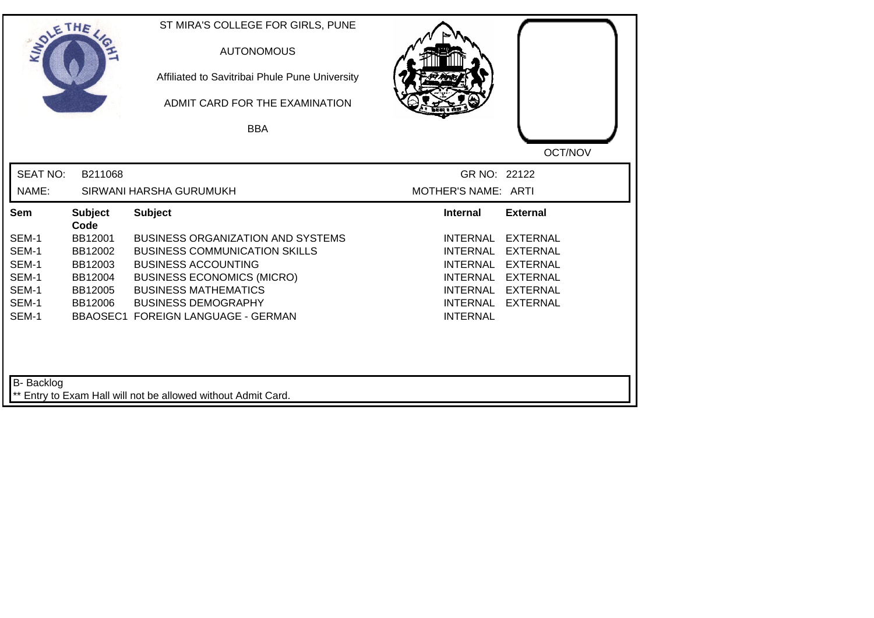| SOLETHE .         |                        | ST MIRA'S COLLEGE FOR GIRLS, PUNE<br><b>AUTONOMOUS</b><br>Affiliated to Savitribai Phule Pune University<br>ADMIT CARD FOR THE EXAMINATION<br><b>BBA</b> |                     |                 |
|-------------------|------------------------|----------------------------------------------------------------------------------------------------------------------------------------------------------|---------------------|-----------------|
|                   |                        |                                                                                                                                                          |                     |                 |
|                   |                        |                                                                                                                                                          |                     | OCT/NOV         |
| <b>SEAT NO:</b>   | B211068                |                                                                                                                                                          | GR NO: 22122        |                 |
| NAME:             |                        | SIRWANI HARSHA GURUMUKH                                                                                                                                  | MOTHER'S NAME: ARTI |                 |
| Sem               | <b>Subject</b><br>Code | <b>Subject</b>                                                                                                                                           | <b>Internal</b>     | <b>External</b> |
| SEM-1             | BB12001                | <b>BUSINESS ORGANIZATION AND SYSTEMS</b>                                                                                                                 | <b>INTERNAL</b>     | <b>EXTERNAL</b> |
| SEM-1             | BB12002                | <b>BUSINESS COMMUNICATION SKILLS</b>                                                                                                                     | <b>INTERNAL</b>     | <b>EXTERNAL</b> |
| SEM-1             | BB12003                | <b>BUSINESS ACCOUNTING</b>                                                                                                                               | <b>INTERNAL</b>     | <b>EXTERNAL</b> |
| SEM-1             | BB12004                | <b>BUSINESS ECONOMICS (MICRO)</b>                                                                                                                        | <b>INTERNAL</b>     | <b>EXTERNAL</b> |
| SEM-1             | BB12005                | <b>BUSINESS MATHEMATICS</b>                                                                                                                              | <b>INTERNAL</b>     | <b>EXTERNAL</b> |
| SEM-1             | BB12006                | <b>BUSINESS DEMOGRAPHY</b>                                                                                                                               | <b>INTERNAL</b>     | <b>EXTERNAL</b> |
| SEM-1             |                        | <b>BBAOSEC1 FOREIGN LANGUAGE - GERMAN</b>                                                                                                                | <b>INTERNAL</b>     |                 |
| <b>B-</b> Backlog |                        | ** Entry to Exam Hall will not be allowed without Admit Card.                                                                                            |                     |                 |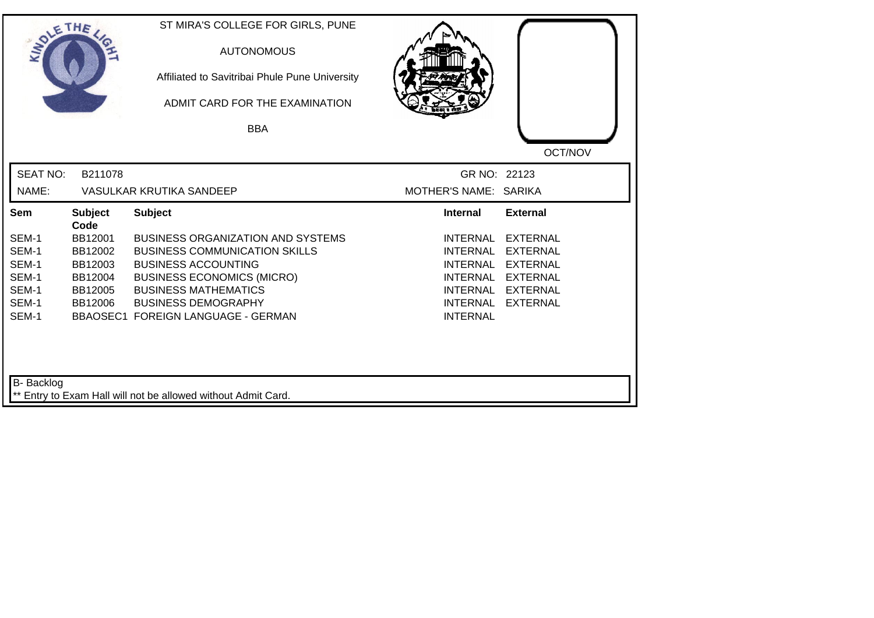| SOLETHE ,         |                        | ST MIRA'S COLLEGE FOR GIRLS, PUNE<br><b>AUTONOMOUS</b><br>Affiliated to Savitribai Phule Pune University<br>ADMIT CARD FOR THE EXAMINATION |                                    |                 |
|-------------------|------------------------|--------------------------------------------------------------------------------------------------------------------------------------------|------------------------------------|-----------------|
|                   |                        | <b>BBA</b>                                                                                                                                 |                                    |                 |
|                   |                        |                                                                                                                                            |                                    | OCT/NOV         |
| <b>SEAT NO:</b>   | B211078                |                                                                                                                                            | GR NO: 22123                       |                 |
| NAME:             |                        | <b>VASULKAR KRUTIKA SANDEEP</b>                                                                                                            | MOTHER'S NAME: SARIKA              |                 |
| Sem               | <b>Subject</b><br>Code | <b>Subject</b>                                                                                                                             | <b>Internal</b>                    | <b>External</b> |
| SEM-1             | BB12001                | <b>BUSINESS ORGANIZATION AND SYSTEMS</b>                                                                                                   | <b>INTERNAL</b>                    | <b>EXTERNAL</b> |
| SEM-1             | BB12002                | <b>BUSINESS COMMUNICATION SKILLS</b>                                                                                                       | <b>INTERNAL</b>                    | <b>EXTERNAL</b> |
| SEM-1             | BB12003                | <b>BUSINESS ACCOUNTING</b>                                                                                                                 | <b>INTERNAL</b>                    | <b>EXTERNAL</b> |
| SEM-1             | BB12004                | <b>BUSINESS ECONOMICS (MICRO)</b>                                                                                                          | <b>INTERNAL</b>                    | <b>EXTERNAL</b> |
| SEM-1             | BB12005                | <b>BUSINESS MATHEMATICS</b>                                                                                                                | INTERNAL                           | <b>EXTERNAL</b> |
| SEM-1<br>SEM-1    | BB12006                | <b>BUSINESS DEMOGRAPHY</b><br><b>BBAOSEC1 FOREIGN LANGUAGE - GERMAN</b>                                                                    | <b>INTERNAL</b><br><b>INTERNAL</b> | <b>EXTERNAL</b> |
| <b>B-</b> Backlog |                        | ** Entry to Exam Hall will not be allowed without Admit Card.                                                                              |                                    |                 |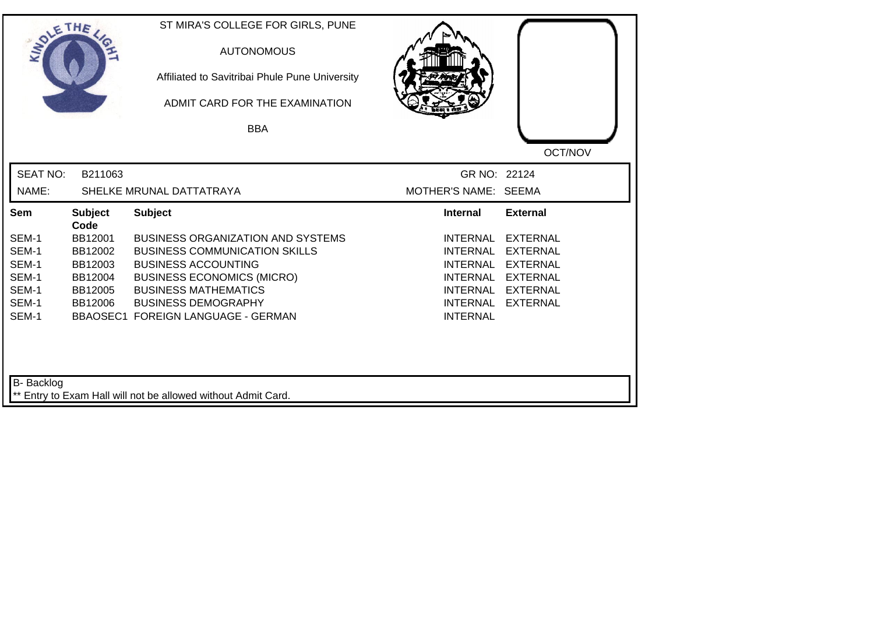| SOLETHE .       |                        | ST MIRA'S COLLEGE FOR GIRLS, PUNE<br><b>AUTONOMOUS</b><br>Affiliated to Savitribai Phule Pune University<br>ADMIT CARD FOR THE EXAMINATION |                                    |                                    |
|-----------------|------------------------|--------------------------------------------------------------------------------------------------------------------------------------------|------------------------------------|------------------------------------|
|                 |                        | <b>BBA</b>                                                                                                                                 |                                    |                                    |
|                 |                        |                                                                                                                                            |                                    | OCT/NOV                            |
| <b>SEAT NO:</b> | B211063                |                                                                                                                                            | GR NO: 22124                       |                                    |
| NAME:           |                        | SHELKE MRUNAL DATTATRAYA                                                                                                                   | MOTHER'S NAME: SEEMA               |                                    |
| <b>Sem</b>      | <b>Subject</b><br>Code | <b>Subject</b>                                                                                                                             | <b>Internal</b>                    | <b>External</b>                    |
| SEM-1           | BB12001                | <b>BUSINESS ORGANIZATION AND SYSTEMS</b>                                                                                                   | <b>INTERNAL</b>                    | <b>EXTERNAL</b>                    |
| SEM-1           | BB12002                | <b>BUSINESS COMMUNICATION SKILLS</b>                                                                                                       | <b>INTERNAL</b>                    | <b>EXTERNAL</b>                    |
| SEM-1           | BB12003                | <b>BUSINESS ACCOUNTING</b>                                                                                                                 | <b>INTERNAL</b>                    | <b>EXTERNAL</b>                    |
| SEM-1           | BB12004                | <b>BUSINESS ECONOMICS (MICRO)</b>                                                                                                          | INTERNAL                           | <b>EXTERNAL</b>                    |
| SEM-1<br>SEM-1  | BB12005<br>BB12006     | <b>BUSINESS MATHEMATICS</b><br><b>BUSINESS DEMOGRAPHY</b>                                                                                  | <b>INTERNAL</b><br><b>INTERNAL</b> | <b>EXTERNAL</b><br><b>EXTERNAL</b> |
| SEM-1           |                        | BBAOSEC1 FOREIGN LANGUAGE - GERMAN                                                                                                         | <b>INTERNAL</b>                    |                                    |
| B- Backlog      |                        | ** Entry to Exam Hall will not be allowed without Admit Card.                                                                              |                                    |                                    |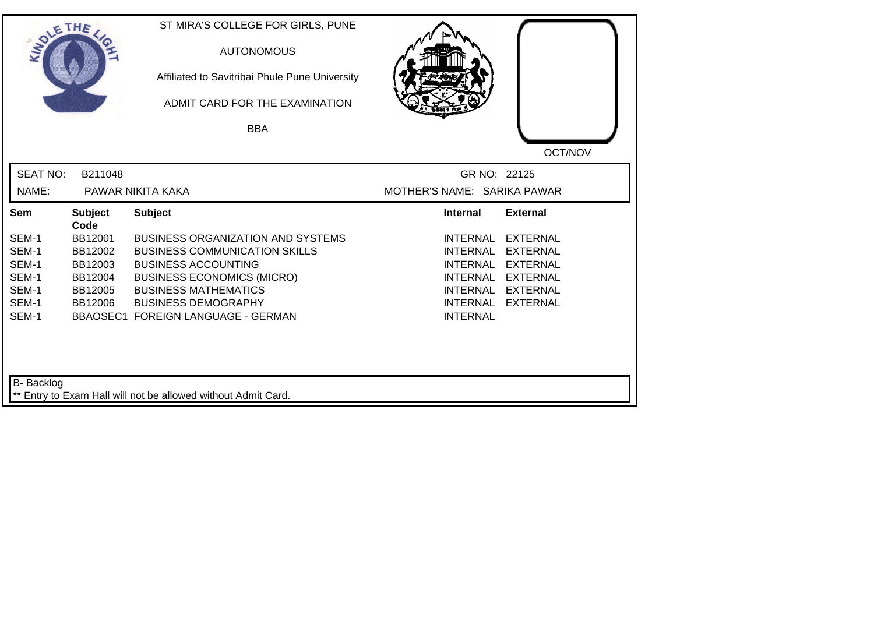| SOLETHE .         |                        | ST MIRA'S COLLEGE FOR GIRLS, PUNE<br><b>AUTONOMOUS</b><br>Affiliated to Savitribai Phule Pune University<br>ADMIT CARD FOR THE EXAMINATION<br><b>BBA</b> |                             |                 |
|-------------------|------------------------|----------------------------------------------------------------------------------------------------------------------------------------------------------|-----------------------------|-----------------|
|                   |                        |                                                                                                                                                          |                             | OCT/NOV         |
| <b>SEAT NO:</b>   | B211048                |                                                                                                                                                          | GR NO: 22125                |                 |
| NAME:             |                        | PAWAR NIKITA KAKA                                                                                                                                        | MOTHER'S NAME: SARIKA PAWAR |                 |
| Sem               | <b>Subject</b><br>Code | <b>Subject</b>                                                                                                                                           | <b>Internal</b>             | <b>External</b> |
| SEM-1             | BB12001                | <b>BUSINESS ORGANIZATION AND SYSTEMS</b>                                                                                                                 | <b>INTERNAL</b>             | <b>EXTERNAL</b> |
| SEM-1             | BB12002                | <b>BUSINESS COMMUNICATION SKILLS</b>                                                                                                                     | <b>INTERNAL</b>             | <b>EXTERNAL</b> |
| SEM-1             | BB12003                | <b>BUSINESS ACCOUNTING</b>                                                                                                                               | <b>INTERNAL</b>             | <b>EXTERNAL</b> |
| SEM-1             | BB12004                | <b>BUSINESS ECONOMICS (MICRO)</b>                                                                                                                        | <b>INTERNAL</b>             | <b>EXTERNAL</b> |
| SEM-1             | BB12005                | <b>BUSINESS MATHEMATICS</b>                                                                                                                              | <b>INTERNAL</b>             | <b>EXTERNAL</b> |
| SEM-1<br>SEM-1    | BB12006                | <b>BUSINESS DEMOGRAPHY</b>                                                                                                                               | <b>INTERNAL</b>             | <b>EXTERNAL</b> |
|                   |                        | <b>BBAOSEC1 FOREIGN LANGUAGE - GERMAN</b>                                                                                                                | <b>INTERNAL</b>             |                 |
| <b>B-</b> Backlog |                        | ** Entry to Exam Hall will not be allowed without Admit Card.                                                                                            |                             |                 |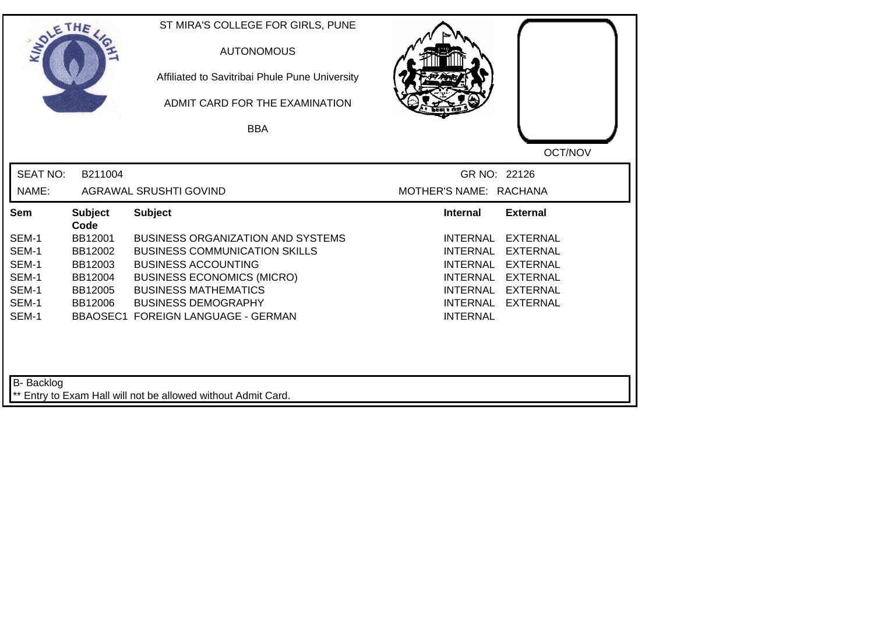| SOLETHE ,         |                        | ST MIRA'S COLLEGE FOR GIRLS, PUNE<br><b>AUTONOMOUS</b><br>Affiliated to Savitribai Phule Pune University<br>ADMIT CARD FOR THE EXAMINATION |                                                       |
|-------------------|------------------------|--------------------------------------------------------------------------------------------------------------------------------------------|-------------------------------------------------------|
|                   |                        | <b>BBA</b>                                                                                                                                 |                                                       |
|                   |                        |                                                                                                                                            | OCT/NOV                                               |
| <b>SEAT NO:</b>   | B211004                |                                                                                                                                            | GR NO: 22126                                          |
| NAME:             |                        | <b>AGRAWAL SRUSHTI GOVIND</b>                                                                                                              | MOTHER'S NAME: RACHANA                                |
| Sem               | <b>Subject</b><br>Code | <b>Subject</b>                                                                                                                             | <b>External</b><br><b>Internal</b>                    |
| SEM-1             | BB12001                | <b>BUSINESS ORGANIZATION AND SYSTEMS</b>                                                                                                   | <b>INTERNAL</b><br><b>EXTERNAL</b>                    |
| SEM-1             | BB12002                | <b>BUSINESS COMMUNICATION SKILLS</b>                                                                                                       | <b>INTERNAL</b><br><b>EXTERNAL</b>                    |
| SEM-1             | BB12003                | <b>BUSINESS ACCOUNTING</b>                                                                                                                 | <b>INTERNAL</b><br><b>EXTERNAL</b>                    |
| SEM-1             | BB12004                | <b>BUSINESS ECONOMICS (MICRO)</b>                                                                                                          | <b>INTERNAL</b><br><b>EXTERNAL</b>                    |
| SEM-1<br>SEM-1    | BB12005                | <b>BUSINESS MATHEMATICS</b>                                                                                                                | <b>EXTERNAL</b><br>INTERNAL                           |
| SEM-1             | BB12006                | <b>BUSINESS DEMOGRAPHY</b><br><b>BBAOSEC1 FOREIGN LANGUAGE - GERMAN</b>                                                                    | <b>INTERNAL</b><br><b>EXTERNAL</b><br><b>INTERNAL</b> |
| <b>B-</b> Backlog |                        | ** Entry to Exam Hall will not be allowed without Admit Card.                                                                              |                                                       |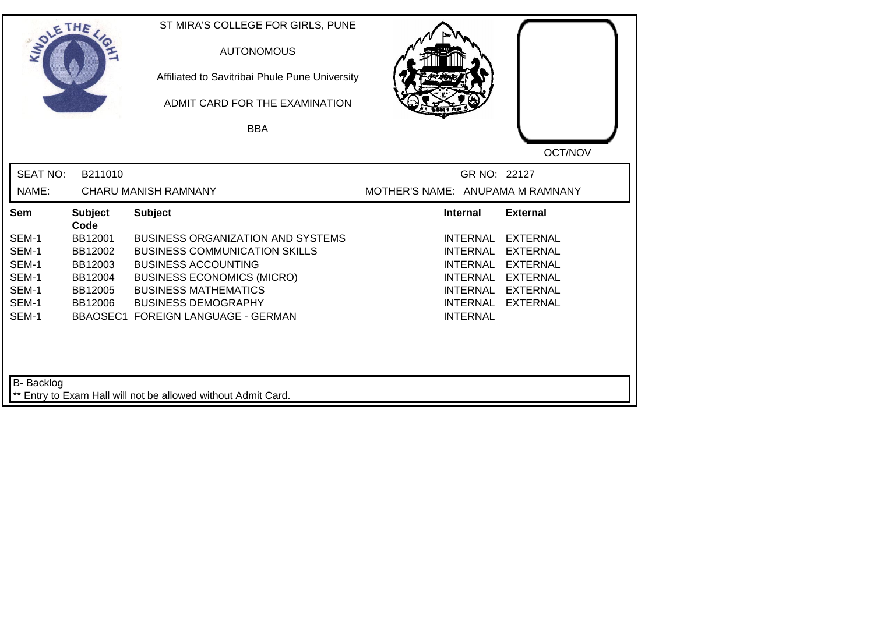| SOLETHE ,         |                        | ST MIRA'S COLLEGE FOR GIRLS, PUNE<br><b>AUTONOMOUS</b><br>Affiliated to Savitribai Phule Pune University<br>ADMIT CARD FOR THE EXAMINATION<br><b>BBA</b> |                                  |                 |
|-------------------|------------------------|----------------------------------------------------------------------------------------------------------------------------------------------------------|----------------------------------|-----------------|
|                   |                        |                                                                                                                                                          |                                  | OCT/NOV         |
| <b>SEAT NO:</b>   | B211010                |                                                                                                                                                          | GR NO: 22127                     |                 |
| NAME:             |                        | <b>CHARU MANISH RAMNANY</b>                                                                                                                              | MOTHER'S NAME: ANUPAMA M RAMNANY |                 |
| Sem               | <b>Subject</b><br>Code | <b>Subject</b>                                                                                                                                           | <b>Internal</b>                  | <b>External</b> |
| SEM-1             | BB12001                | <b>BUSINESS ORGANIZATION AND SYSTEMS</b>                                                                                                                 | <b>INTERNAL</b>                  | <b>EXTERNAL</b> |
| SEM-1             | BB12002                | <b>BUSINESS COMMUNICATION SKILLS</b>                                                                                                                     | <b>INTERNAL</b>                  | <b>EXTERNAL</b> |
| SEM-1             | BB12003                | <b>BUSINESS ACCOUNTING</b>                                                                                                                               | <b>INTERNAL</b>                  | <b>EXTERNAL</b> |
| SEM-1             | BB12004                | <b>BUSINESS ECONOMICS (MICRO)</b>                                                                                                                        | INTERNAL                         | <b>EXTERNAL</b> |
| SEM-1             | BB12005                | <b>BUSINESS MATHEMATICS</b>                                                                                                                              | INTERNAL                         | <b>EXTERNAL</b> |
| SEM-1             | BB12006                | <b>BUSINESS DEMOGRAPHY</b>                                                                                                                               | <b>INTERNAL</b>                  | <b>EXTERNAL</b> |
| SEM-1             |                        | BBAOSEC1 FOREIGN LANGUAGE - GERMAN                                                                                                                       | <b>INTERNAL</b>                  |                 |
|                   |                        |                                                                                                                                                          |                                  |                 |
| <b>B-</b> Backlog |                        | ** Entry to Exam Hall will not be allowed without Admit Card.                                                                                            |                                  |                 |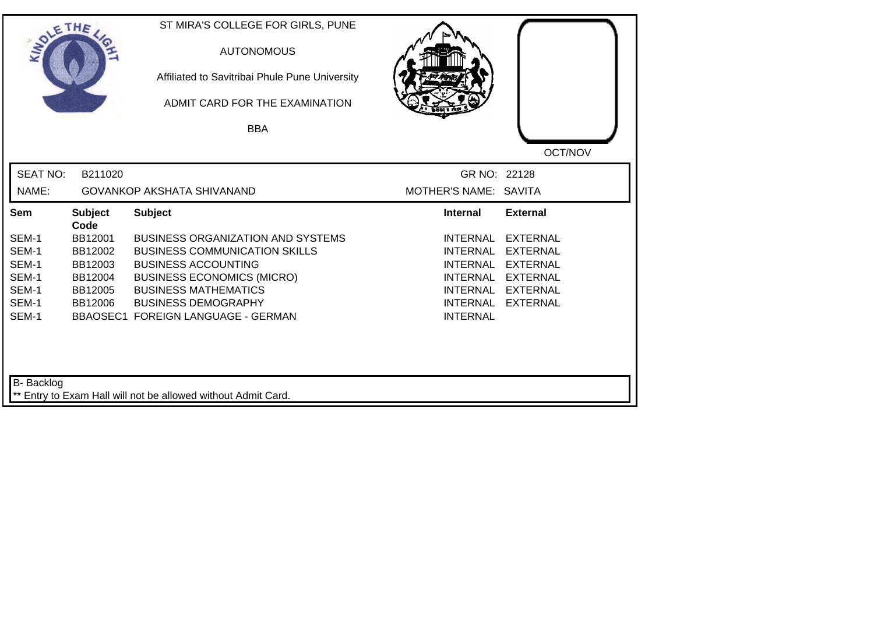| SOLETHE .         |                        | ST MIRA'S COLLEGE FOR GIRLS, PUNE<br><b>AUTONOMOUS</b><br>Affiliated to Savitribai Phule Pune University<br>ADMIT CARD FOR THE EXAMINATION |                                    |                 |
|-------------------|------------------------|--------------------------------------------------------------------------------------------------------------------------------------------|------------------------------------|-----------------|
|                   |                        | <b>BBA</b>                                                                                                                                 |                                    |                 |
|                   |                        |                                                                                                                                            |                                    | OCT/NOV         |
| <b>SEAT NO:</b>   | B211020                |                                                                                                                                            | GR NO: 22128                       |                 |
| NAME:             |                        | <b>GOVANKOP AKSHATA SHIVANAND</b>                                                                                                          | MOTHER'S NAME: SAVITA              |                 |
| Sem               | <b>Subject</b><br>Code | <b>Subject</b>                                                                                                                             | <b>Internal</b>                    | <b>External</b> |
| SEM-1             | BB12001                | <b>BUSINESS ORGANIZATION AND SYSTEMS</b>                                                                                                   | <b>INTERNAL</b>                    | <b>EXTERNAL</b> |
| SEM-1             | BB12002                | <b>BUSINESS COMMUNICATION SKILLS</b>                                                                                                       | <b>INTERNAL</b>                    | <b>EXTERNAL</b> |
| SEM-1             | BB12003                | <b>BUSINESS ACCOUNTING</b>                                                                                                                 | <b>INTERNAL</b>                    | <b>EXTERNAL</b> |
| SEM-1             | BB12004                | <b>BUSINESS ECONOMICS (MICRO)</b>                                                                                                          | <b>INTERNAL</b>                    | <b>EXTERNAL</b> |
| SEM-1<br>SEM-1    | BB12005                | <b>BUSINESS MATHEMATICS</b>                                                                                                                | <b>INTERNAL</b>                    | <b>EXTERNAL</b> |
| SEM-1             | BB12006                | <b>BUSINESS DEMOGRAPHY</b><br><b>BBAOSEC1 FOREIGN LANGUAGE - GERMAN</b>                                                                    | <b>INTERNAL</b><br><b>INTERNAL</b> | <b>EXTERNAL</b> |
| <b>B-</b> Backlog |                        | ** Entry to Exam Hall will not be allowed without Admit Card.                                                                              |                                    |                 |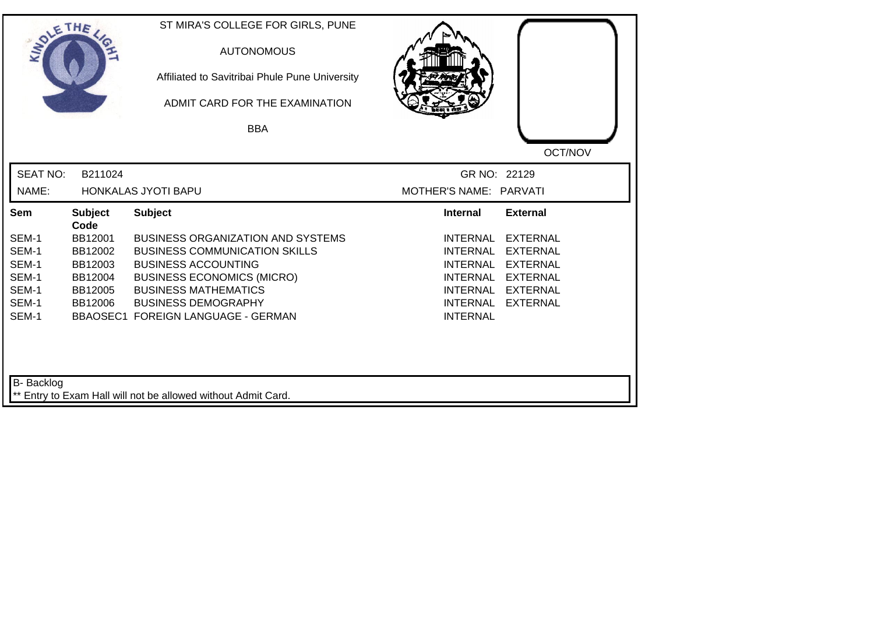| SOLETHE ,         |                        | ST MIRA'S COLLEGE FOR GIRLS, PUNE<br><b>AUTONOMOUS</b><br>Affiliated to Savitribai Phule Pune University<br>ADMIT CARD FOR THE EXAMINATION |                                                       |
|-------------------|------------------------|--------------------------------------------------------------------------------------------------------------------------------------------|-------------------------------------------------------|
|                   |                        | <b>BBA</b>                                                                                                                                 |                                                       |
|                   |                        |                                                                                                                                            | OCT/NOV                                               |
| <b>SEAT NO:</b>   | B211024                |                                                                                                                                            | GR NO: 22129                                          |
| NAME:             |                        | HONKALAS JYOTI BAPU                                                                                                                        | MOTHER'S NAME: PARVATI                                |
| Sem               | <b>Subject</b><br>Code | <b>Subject</b>                                                                                                                             | <b>Internal</b><br><b>External</b>                    |
| SEM-1             | BB12001                | <b>BUSINESS ORGANIZATION AND SYSTEMS</b>                                                                                                   | <b>INTERNAL</b><br><b>EXTERNAL</b>                    |
| SEM-1             | BB12002                | <b>BUSINESS COMMUNICATION SKILLS</b>                                                                                                       | <b>INTERNAL</b><br><b>EXTERNAL</b>                    |
| SEM-1             | BB12003                | <b>BUSINESS ACCOUNTING</b>                                                                                                                 | <b>INTERNAL</b><br><b>EXTERNAL</b>                    |
| SEM-1             | BB12004                | <b>BUSINESS ECONOMICS (MICRO)</b>                                                                                                          | <b>INTERNAL</b><br><b>EXTERNAL</b>                    |
| SEM-1<br>SEM-1    | BB12005                | <b>BUSINESS MATHEMATICS</b>                                                                                                                | <b>EXTERNAL</b><br>INTERNAL                           |
| SEM-1             | BB12006                | <b>BUSINESS DEMOGRAPHY</b><br><b>BBAOSEC1 FOREIGN LANGUAGE - GERMAN</b>                                                                    | <b>INTERNAL</b><br><b>EXTERNAL</b><br><b>INTERNAL</b> |
| <b>B-</b> Backlog |                        | ** Entry to Exam Hall will not be allowed without Admit Card.                                                                              |                                                       |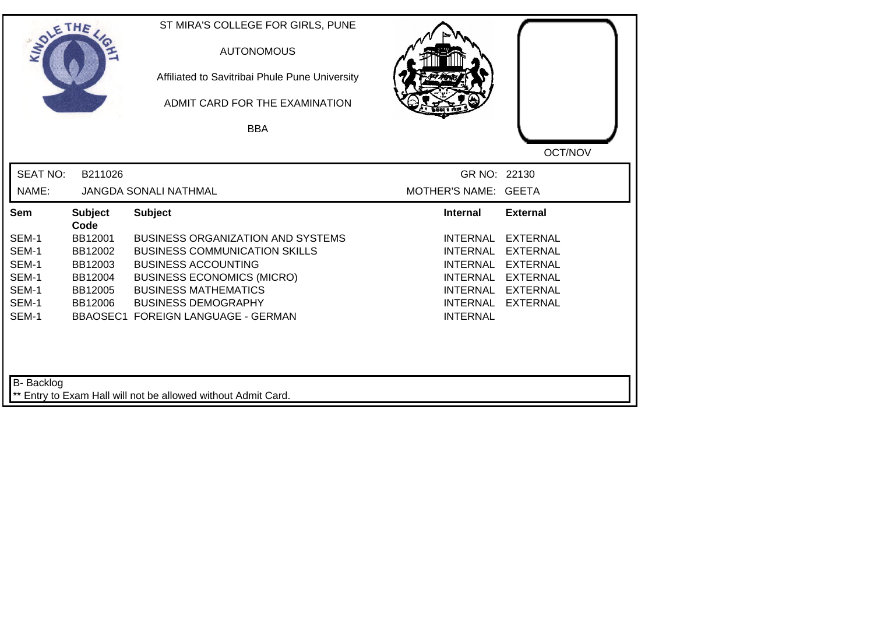| SOLE THE          |                        | ST MIRA'S COLLEGE FOR GIRLS, PUNE<br><b>AUTONOMOUS</b><br>Affiliated to Savitribai Phule Pune University<br>ADMIT CARD FOR THE EXAMINATION |                                    |                 |
|-------------------|------------------------|--------------------------------------------------------------------------------------------------------------------------------------------|------------------------------------|-----------------|
|                   |                        | <b>BBA</b>                                                                                                                                 |                                    |                 |
|                   |                        |                                                                                                                                            |                                    | OCT/NOV         |
| <b>SEAT NO:</b>   | B211026                |                                                                                                                                            | GR NO: 22130                       |                 |
| NAME:             |                        | <b>JANGDA SONALI NATHMAL</b>                                                                                                               | MOTHER'S NAME: GEETA               |                 |
| Sem               | <b>Subject</b><br>Code | <b>Subject</b>                                                                                                                             | <b>Internal</b>                    | <b>External</b> |
| SEM-1             | BB12001                | <b>BUSINESS ORGANIZATION AND SYSTEMS</b>                                                                                                   | <b>INTERNAL</b>                    | <b>EXTERNAL</b> |
| SEM-1             | BB12002                | <b>BUSINESS COMMUNICATION SKILLS</b>                                                                                                       | <b>INTERNAL</b>                    | <b>EXTERNAL</b> |
| SEM-1             | BB12003                | <b>BUSINESS ACCOUNTING</b>                                                                                                                 | <b>INTERNAL</b>                    | <b>EXTERNAL</b> |
| SEM-1             | BB12004                | <b>BUSINESS ECONOMICS (MICRO)</b>                                                                                                          | <b>INTERNAL</b>                    | <b>EXTERNAL</b> |
| SEM-1             | BB12005                | <b>BUSINESS MATHEMATICS</b>                                                                                                                | <b>INTERNAL</b>                    | <b>EXTERNAL</b> |
| SEM-1<br>SEM-1    | BB12006                | <b>BUSINESS DEMOGRAPHY</b><br><b>BBAOSEC1 FOREIGN LANGUAGE - GERMAN</b>                                                                    | <b>INTERNAL</b><br><b>INTERNAL</b> | <b>EXTERNAL</b> |
| <b>B-</b> Backlog |                        |                                                                                                                                            |                                    |                 |
|                   |                        | Entry to Exam Hall will not be allowed without Admit Card.                                                                                 |                                    |                 |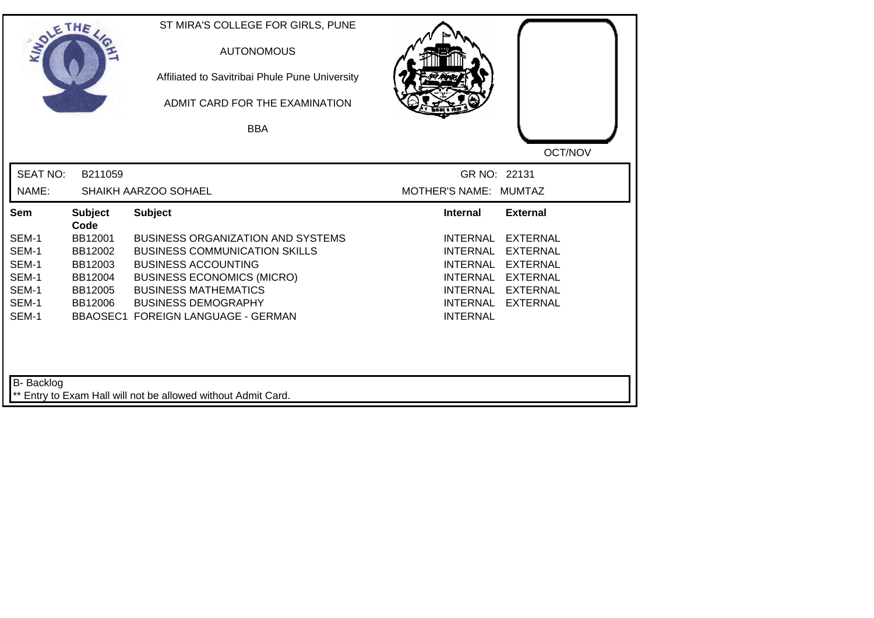| SOLETHE ,         |                        | ST MIRA'S COLLEGE FOR GIRLS, PUNE<br><b>AUTONOMOUS</b><br>Affiliated to Savitribai Phule Pune University<br>ADMIT CARD FOR THE EXAMINATION |                                                       |
|-------------------|------------------------|--------------------------------------------------------------------------------------------------------------------------------------------|-------------------------------------------------------|
|                   |                        | <b>BBA</b>                                                                                                                                 |                                                       |
|                   |                        |                                                                                                                                            | OCT/NOV                                               |
| <b>SEAT NO:</b>   | B211059                |                                                                                                                                            | GR NO: 22131                                          |
| NAME:             |                        | SHAIKH AARZOO SOHAEL                                                                                                                       | MOTHER'S NAME: MUMTAZ                                 |
| Sem               | <b>Subject</b><br>Code | <b>Subject</b>                                                                                                                             | <b>External</b><br><b>Internal</b>                    |
| SEM-1             | BB12001                | <b>BUSINESS ORGANIZATION AND SYSTEMS</b>                                                                                                   | <b>INTERNAL</b><br><b>EXTERNAL</b>                    |
| SEM-1             | BB12002                | <b>BUSINESS COMMUNICATION SKILLS</b>                                                                                                       | <b>INTERNAL</b><br><b>EXTERNAL</b>                    |
| SEM-1             | BB12003                | <b>BUSINESS ACCOUNTING</b>                                                                                                                 | <b>INTERNAL</b><br><b>EXTERNAL</b>                    |
| SEM-1             | BB12004                | <b>BUSINESS ECONOMICS (MICRO)</b>                                                                                                          | <b>INTERNAL</b><br><b>EXTERNAL</b>                    |
| SEM-1             | BB12005                | <b>BUSINESS MATHEMATICS</b>                                                                                                                | <b>EXTERNAL</b><br>INTERNAL                           |
| SEM-1<br>SEM-1    | BB12006                | <b>BUSINESS DEMOGRAPHY</b><br><b>BBAOSEC1 FOREIGN LANGUAGE - GERMAN</b>                                                                    | <b>INTERNAL</b><br><b>EXTERNAL</b><br><b>INTERNAL</b> |
|                   |                        |                                                                                                                                            |                                                       |
| <b>B-</b> Backlog |                        | ** Entry to Exam Hall will not be allowed without Admit Card.                                                                              |                                                       |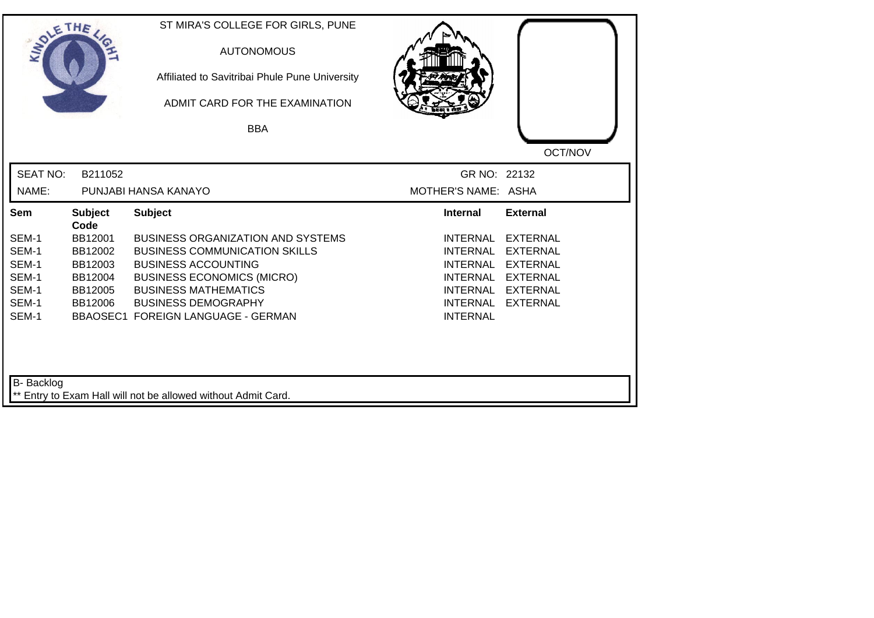| SOLETHE         |                        | ST MIRA'S COLLEGE FOR GIRLS, PUNE<br><b>AUTONOMOUS</b><br>Affiliated to Savitribai Phule Pune University<br>ADMIT CARD FOR THE EXAMINATION<br><b>BBA</b> |                     |                 |
|-----------------|------------------------|----------------------------------------------------------------------------------------------------------------------------------------------------------|---------------------|-----------------|
| <b>SEAT NO:</b> | B211052                |                                                                                                                                                          | GR NO: 22132        | OCT/NOV         |
| NAME:           |                        | PUNJABI HANSA KANAYO                                                                                                                                     | MOTHER'S NAME: ASHA |                 |
| Sem             | <b>Subject</b><br>Code | <b>Subject</b>                                                                                                                                           | <b>Internal</b>     | <b>External</b> |
| SEM-1           | BB12001                | <b>BUSINESS ORGANIZATION AND SYSTEMS</b>                                                                                                                 | <b>INTERNAL</b>     | <b>EXTERNAL</b> |
| SEM-1           | BB12002                | <b>BUSINESS COMMUNICATION SKILLS</b>                                                                                                                     | <b>INTERNAL</b>     | <b>EXTERNAL</b> |
| SEM-1           | BB12003                | <b>BUSINESS ACCOUNTING</b>                                                                                                                               | <b>INTERNAL</b>     | <b>EXTERNAL</b> |
| SEM-1           | BB12004                | <b>BUSINESS ECONOMICS (MICRO)</b>                                                                                                                        | <b>INTERNAL</b>     | <b>EXTERNAL</b> |
| SEM-1           | BB12005                | <b>BUSINESS MATHEMATICS</b>                                                                                                                              | <b>INTERNAL</b>     | <b>EXTERNAL</b> |
| SEM-1           | BB12006                | <b>BUSINESS DEMOGRAPHY</b>                                                                                                                               | <b>INTERNAL</b>     | <b>EXTERNAL</b> |
| SEM-1           |                        | BBAOSEC1 FOREIGN LANGUAGE - GERMAN                                                                                                                       | <b>INTERNAL</b>     |                 |
| B- Backlog      |                        | ** Entry to Exam Hall will not be allowed without Admit Card.                                                                                            |                     |                 |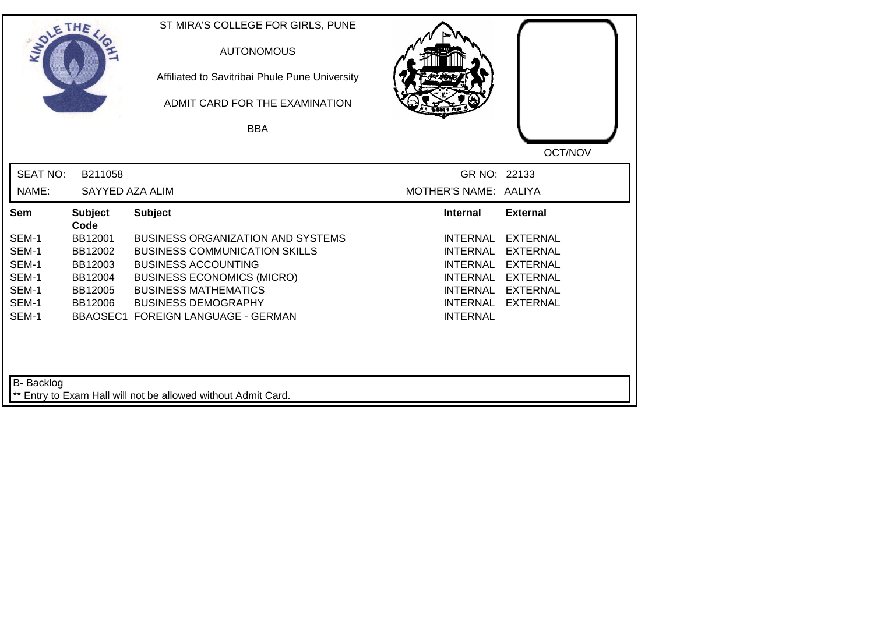| SOLETHE .       |                        | ST MIRA'S COLLEGE FOR GIRLS, PUNE<br><b>AUTONOMOUS</b><br>Affiliated to Savitribai Phule Pune University<br>ADMIT CARD FOR THE EXAMINATION<br><b>BBA</b> |                                    |                 |
|-----------------|------------------------|----------------------------------------------------------------------------------------------------------------------------------------------------------|------------------------------------|-----------------|
| <b>SEAT NO:</b> | B211058                |                                                                                                                                                          | GR NO: 22133                       | OCT/NOV         |
| NAME:           | SAYYED AZA ALIM        |                                                                                                                                                          | MOTHER'S NAME: AALIYA              |                 |
| Sem             | <b>Subject</b><br>Code | <b>Subject</b>                                                                                                                                           | Internal                           | <b>External</b> |
| SEM-1           | BB12001                | <b>BUSINESS ORGANIZATION AND SYSTEMS</b>                                                                                                                 | <b>INTERNAL</b>                    | <b>EXTERNAL</b> |
| SEM-1           | BB12002                | <b>BUSINESS COMMUNICATION SKILLS</b>                                                                                                                     | <b>INTERNAL</b>                    | <b>EXTERNAL</b> |
| SEM-1           | BB12003                | <b>BUSINESS ACCOUNTING</b>                                                                                                                               | <b>INTERNAL</b>                    | <b>EXTERNAL</b> |
| SEM-1           | BB12004                | <b>BUSINESS ECONOMICS (MICRO)</b>                                                                                                                        | <b>INTERNAL</b>                    | <b>EXTERNAL</b> |
| SEM-1           | BB12005                | <b>BUSINESS MATHEMATICS</b>                                                                                                                              | INTERNAL                           | <b>EXTERNAL</b> |
| SEM-1<br>SEM-1  | BB12006                | <b>BUSINESS DEMOGRAPHY</b><br>BBAOSEC1 FOREIGN LANGUAGE - GERMAN                                                                                         | <b>INTERNAL</b><br><b>INTERNAL</b> | <b>EXTERNAL</b> |
| B- Backlog      |                        | ** Entry to Exam Hall will not be allowed without Admit Card.                                                                                            |                                    |                 |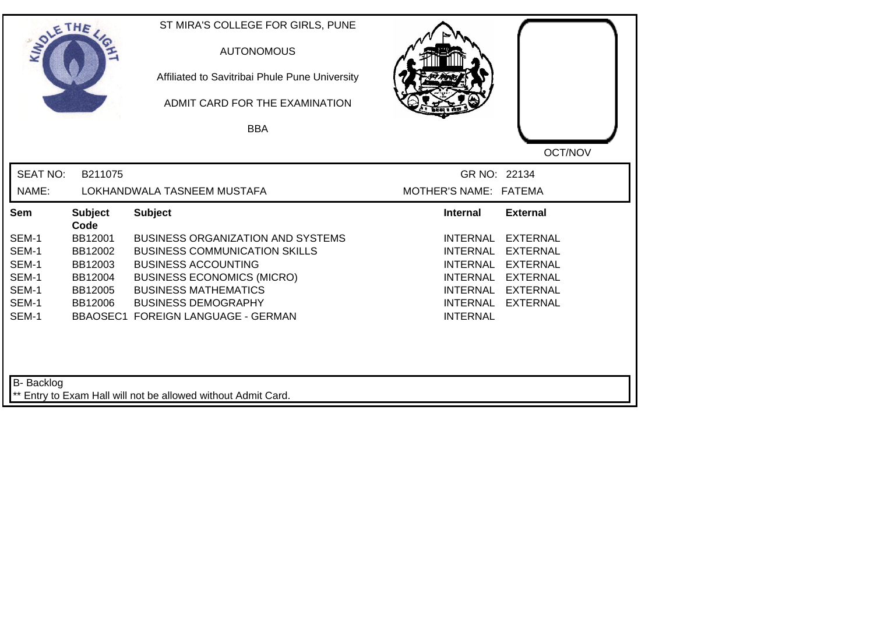| SOLETHE         |                        | ST MIRA'S COLLEGE FOR GIRLS, PUNE<br><b>AUTONOMOUS</b><br>Affiliated to Savitribai Phule Pune University<br>ADMIT CARD FOR THE EXAMINATION |                                    |                 |
|-----------------|------------------------|--------------------------------------------------------------------------------------------------------------------------------------------|------------------------------------|-----------------|
|                 |                        | <b>BBA</b>                                                                                                                                 |                                    |                 |
|                 |                        |                                                                                                                                            |                                    | OCT/NOV         |
| <b>SEAT NO:</b> | B211075                |                                                                                                                                            | GR NO: 22134                       |                 |
| NAME:           |                        | LOKHANDWALA TASNEEM MUSTAFA                                                                                                                | MOTHER'S NAME: FATEMA              |                 |
| Sem             | <b>Subject</b><br>Code | <b>Subject</b>                                                                                                                             | <b>Internal</b>                    | <b>External</b> |
| SEM-1           | BB12001                | <b>BUSINESS ORGANIZATION AND SYSTEMS</b>                                                                                                   | <b>INTERNAL</b>                    | <b>EXTERNAL</b> |
| SEM-1           | BB12002                | <b>BUSINESS COMMUNICATION SKILLS</b>                                                                                                       | <b>INTERNAL</b>                    | <b>EXTERNAL</b> |
| SEM-1           | BB12003                | <b>BUSINESS ACCOUNTING</b>                                                                                                                 | <b>INTERNAL</b>                    | <b>EXTERNAL</b> |
| SEM-1           | BB12004                | <b>BUSINESS ECONOMICS (MICRO)</b>                                                                                                          | <b>INTERNAL</b>                    | <b>EXTERNAL</b> |
| SEM-1<br>SEM-1  | BB12005                | <b>BUSINESS MATHEMATICS</b>                                                                                                                | <b>INTERNAL</b>                    | <b>EXTERNAL</b> |
| SEM-1           | BB12006                | <b>BUSINESS DEMOGRAPHY</b><br><b>BBAOSEC1 FOREIGN LANGUAGE - GERMAN</b>                                                                    | <b>INTERNAL</b><br><b>INTERNAL</b> | <b>EXTERNAL</b> |
| B- Backlog      |                        | ** Entry to Exam Hall will not be allowed without Admit Card.                                                                              |                                    |                 |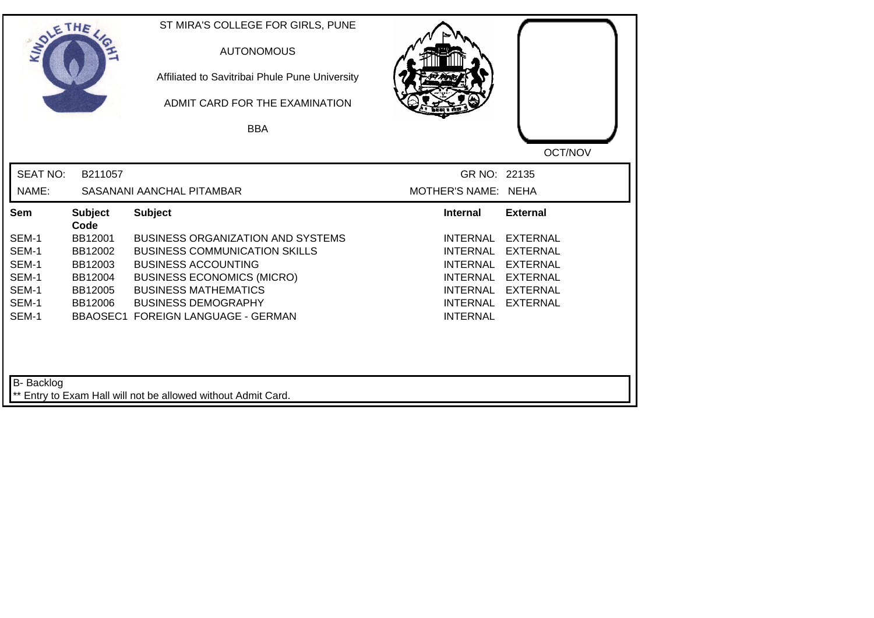| SOLETHE .         |                        | ST MIRA'S COLLEGE FOR GIRLS, PUNE<br><b>AUTONOMOUS</b><br>Affiliated to Savitribai Phule Pune University<br>ADMIT CARD FOR THE EXAMINATION<br><b>BBA</b> |                     |                 |
|-------------------|------------------------|----------------------------------------------------------------------------------------------------------------------------------------------------------|---------------------|-----------------|
|                   |                        |                                                                                                                                                          |                     | OCT/NOV         |
| <b>SEAT NO:</b>   | B211057                |                                                                                                                                                          | GR NO: 22135        |                 |
| NAME:             |                        | SASANANI AANCHAL PITAMBAR                                                                                                                                | MOTHER'S NAME: NEHA |                 |
| Sem               | <b>Subject</b><br>Code | <b>Subject</b>                                                                                                                                           | <b>Internal</b>     | <b>External</b> |
| SEM-1             | BB12001                | <b>BUSINESS ORGANIZATION AND SYSTEMS</b>                                                                                                                 | <b>INTERNAL</b>     | <b>EXTERNAL</b> |
| SEM-1             | BB12002                | <b>BUSINESS COMMUNICATION SKILLS</b>                                                                                                                     | <b>INTERNAL</b>     | <b>EXTERNAL</b> |
| SEM-1             | BB12003                | <b>BUSINESS ACCOUNTING</b>                                                                                                                               | <b>INTERNAL</b>     | <b>EXTERNAL</b> |
| SEM-1             | BB12004                | <b>BUSINESS ECONOMICS (MICRO)</b>                                                                                                                        | <b>INTERNAL</b>     | <b>EXTERNAL</b> |
| SEM-1             | BB12005                | <b>BUSINESS MATHEMATICS</b>                                                                                                                              | <b>INTERNAL</b>     | <b>EXTERNAL</b> |
| SEM-1             | BB12006                | <b>BUSINESS DEMOGRAPHY</b>                                                                                                                               | <b>INTERNAL</b>     | <b>EXTERNAL</b> |
| SEM-1             |                        | <b>BBAOSEC1 FOREIGN LANGUAGE - GERMAN</b>                                                                                                                | <b>INTERNAL</b>     |                 |
| <b>B-</b> Backlog |                        | ** Entry to Exam Hall will not be allowed without Admit Card.                                                                                            |                     |                 |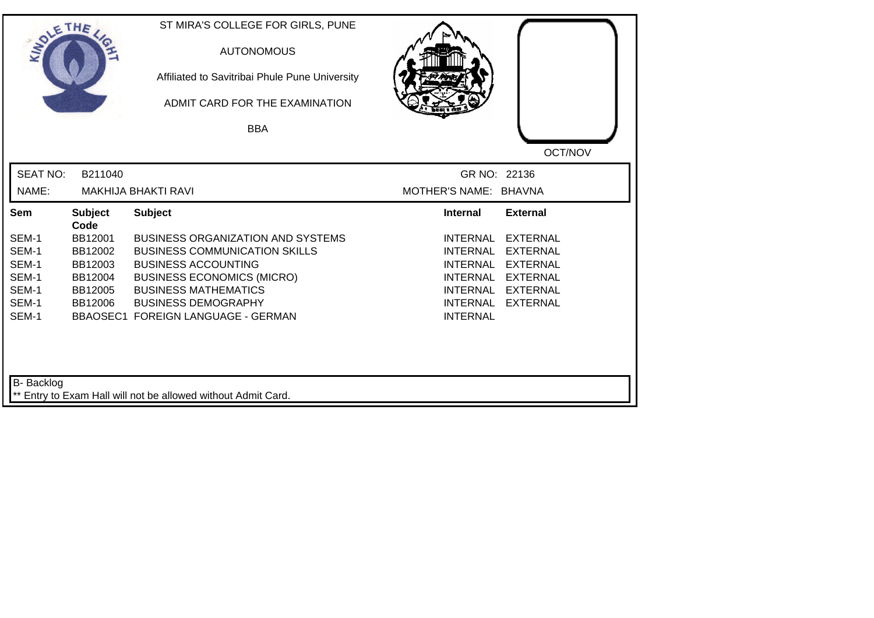| SOLETHE ,       |                        | ST MIRA'S COLLEGE FOR GIRLS, PUNE<br><b>AUTONOMOUS</b><br>Affiliated to Savitribai Phule Pune University<br>ADMIT CARD FOR THE EXAMINATION |                       |                 |
|-----------------|------------------------|--------------------------------------------------------------------------------------------------------------------------------------------|-----------------------|-----------------|
|                 |                        | <b>BBA</b>                                                                                                                                 |                       |                 |
|                 |                        |                                                                                                                                            |                       | OCT/NOV         |
| <b>SEAT NO:</b> | B211040                |                                                                                                                                            | GR NO: 22136          |                 |
| NAME:           |                        | <b>MAKHIJA BHAKTI RAVI</b>                                                                                                                 | MOTHER'S NAME: BHAVNA |                 |
| Sem             | <b>Subject</b><br>Code | <b>Subject</b>                                                                                                                             | <b>Internal</b>       | <b>External</b> |
| SEM-1           | BB12001                | <b>BUSINESS ORGANIZATION AND SYSTEMS</b>                                                                                                   | <b>INTERNAL</b>       | <b>EXTERNAL</b> |
| SEM-1           | BB12002                | <b>BUSINESS COMMUNICATION SKILLS</b>                                                                                                       | <b>INTERNAL</b>       | <b>EXTERNAL</b> |
| SEM-1           | BB12003                | <b>BUSINESS ACCOUNTING</b>                                                                                                                 | <b>INTERNAL</b>       | <b>EXTERNAL</b> |
| SEM-1           | BB12004                | <b>BUSINESS ECONOMICS (MICRO)</b>                                                                                                          | <b>INTERNAL</b>       | <b>EXTERNAL</b> |
| SEM-1<br>SEM-1  | BB12005                | <b>BUSINESS MATHEMATICS</b><br><b>BUSINESS DEMOGRAPHY</b>                                                                                  | INTERNAL<br>INTERNAL  | <b>EXTERNAL</b> |
| SEM-1           | BB12006                | <b>BBAOSEC1 FOREIGN LANGUAGE - GERMAN</b>                                                                                                  | <b>INTERNAL</b>       | <b>EXTERNAL</b> |
| B- Backlog      |                        | ** Entry to Exam Hall will not be allowed without Admit Card.                                                                              |                       |                 |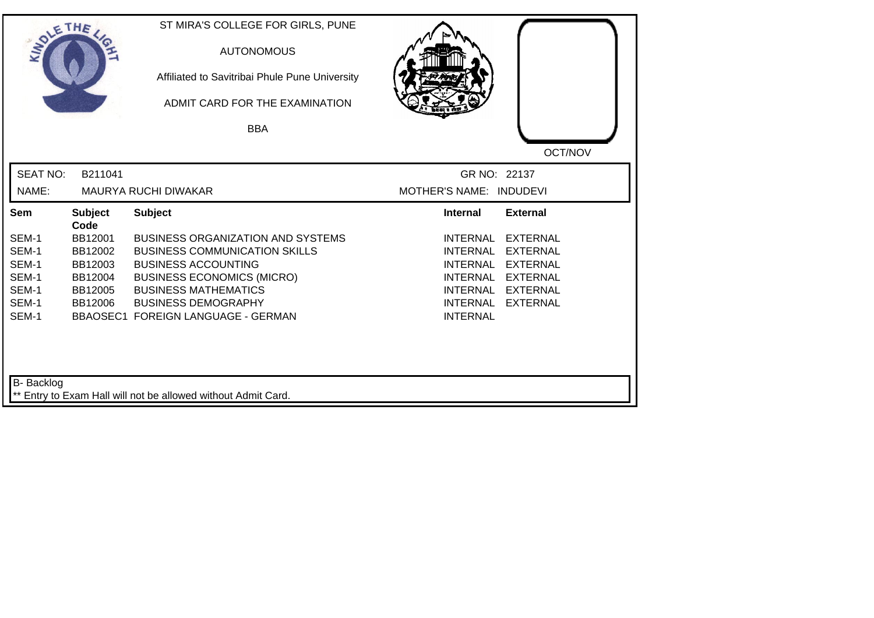| SOLETHE ,         |                        | ST MIRA'S COLLEGE FOR GIRLS, PUNE<br><b>AUTONOMOUS</b><br>Affiliated to Savitribai Phule Pune University<br>ADMIT CARD FOR THE EXAMINATION |                                                                   |  |
|-------------------|------------------------|--------------------------------------------------------------------------------------------------------------------------------------------|-------------------------------------------------------------------|--|
|                   |                        | <b>BBA</b>                                                                                                                                 |                                                                   |  |
|                   |                        |                                                                                                                                            | OCT/NOV                                                           |  |
| <b>SEAT NO:</b>   | B211041                |                                                                                                                                            | GR NO: 22137                                                      |  |
| NAME:             |                        | MAURYA RUCHI DIWAKAR                                                                                                                       | MOTHER'S NAME: INDUDEVI                                           |  |
| Sem               | <b>Subject</b><br>Code | <b>Subject</b>                                                                                                                             | <b>Internal</b><br><b>External</b>                                |  |
| SEM-1             | BB12001                | <b>BUSINESS ORGANIZATION AND SYSTEMS</b>                                                                                                   | <b>INTERNAL</b><br><b>EXTERNAL</b>                                |  |
| SEM-1             | BB12002                | <b>BUSINESS COMMUNICATION SKILLS</b>                                                                                                       | <b>INTERNAL</b><br><b>EXTERNAL</b>                                |  |
| SEM-1             | BB12003                | <b>BUSINESS ACCOUNTING</b>                                                                                                                 | <b>INTERNAL</b><br><b>EXTERNAL</b>                                |  |
| SEM-1             | BB12004                | <b>BUSINESS ECONOMICS (MICRO)</b>                                                                                                          | <b>INTERNAL</b><br><b>EXTERNAL</b>                                |  |
| SEM-1<br>SEM-1    | BB12005<br>BB12006     | <b>BUSINESS MATHEMATICS</b><br><b>BUSINESS DEMOGRAPHY</b>                                                                                  | <b>EXTERNAL</b><br>INTERNAL<br><b>INTERNAL</b><br><b>EXTERNAL</b> |  |
| SEM-1             |                        | <b>BBAOSEC1 FOREIGN LANGUAGE - GERMAN</b>                                                                                                  | <b>INTERNAL</b>                                                   |  |
| <b>B-</b> Backlog |                        | ** Entry to Exam Hall will not be allowed without Admit Card.                                                                              |                                                                   |  |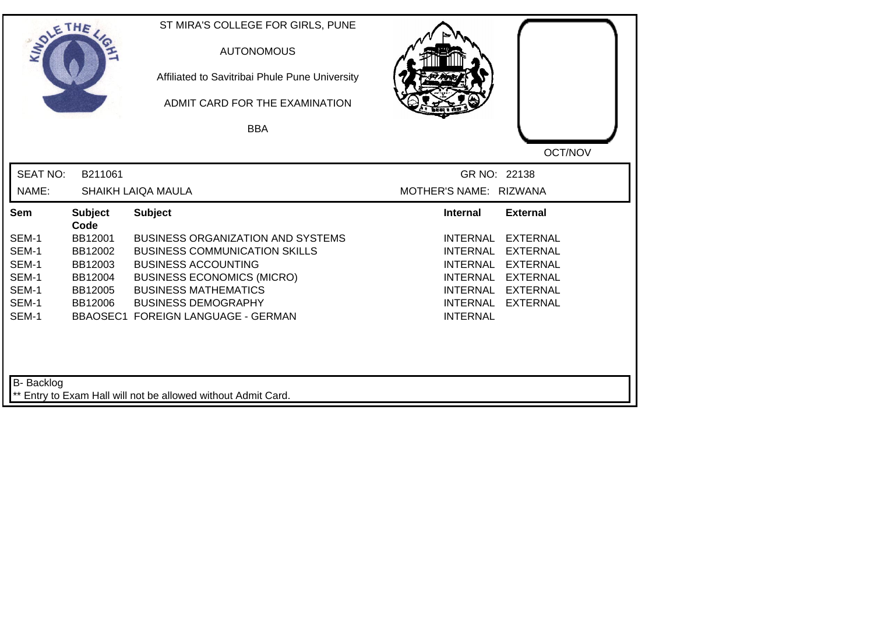| SOLE THE          |                        | ST MIRA'S COLLEGE FOR GIRLS, PUNE<br><b>AUTONOMOUS</b><br>Affiliated to Savitribai Phule Pune University<br>ADMIT CARD FOR THE EXAMINATION<br><b>BBA</b> |                        |                 |
|-------------------|------------------------|----------------------------------------------------------------------------------------------------------------------------------------------------------|------------------------|-----------------|
|                   |                        |                                                                                                                                                          |                        | OCT/NOV         |
| <b>SEAT NO:</b>   | B211061                |                                                                                                                                                          | GR NO: 22138           |                 |
| NAME:             |                        | <b>SHAIKH LAIQA MAULA</b>                                                                                                                                | MOTHER'S NAME: RIZWANA |                 |
| Sem               | <b>Subject</b><br>Code | <b>Subject</b>                                                                                                                                           | <b>Internal</b>        | <b>External</b> |
| SEM-1             | BB12001                | <b>BUSINESS ORGANIZATION AND SYSTEMS</b>                                                                                                                 | <b>INTERNAL</b>        | <b>EXTERNAL</b> |
| SEM-1             | BB12002                | <b>BUSINESS COMMUNICATION SKILLS</b>                                                                                                                     | <b>INTERNAL</b>        | <b>EXTERNAL</b> |
| SEM-1             | BB12003                | <b>BUSINESS ACCOUNTING</b>                                                                                                                               | <b>INTERNAL</b>        | <b>EXTERNAL</b> |
| SEM-1             | BB12004                | <b>BUSINESS ECONOMICS (MICRO)</b>                                                                                                                        | <b>INTERNAL</b>        | <b>EXTERNAL</b> |
| SEM-1             | BB12005                | <b>BUSINESS MATHEMATICS</b>                                                                                                                              | <b>INTERNAL</b>        | <b>EXTERNAL</b> |
| SEM-1             | BB12006                | <b>BUSINESS DEMOGRAPHY</b>                                                                                                                               | <b>INTERNAL</b>        | <b>EXTERNAL</b> |
| SEM-1             |                        | <b>BBAOSEC1 FOREIGN LANGUAGE - GERMAN</b>                                                                                                                | <b>INTERNAL</b>        |                 |
| <b>B-</b> Backlog |                        | ** Entry to Exam Hall will not be allowed without Admit Card.                                                                                            |                        |                 |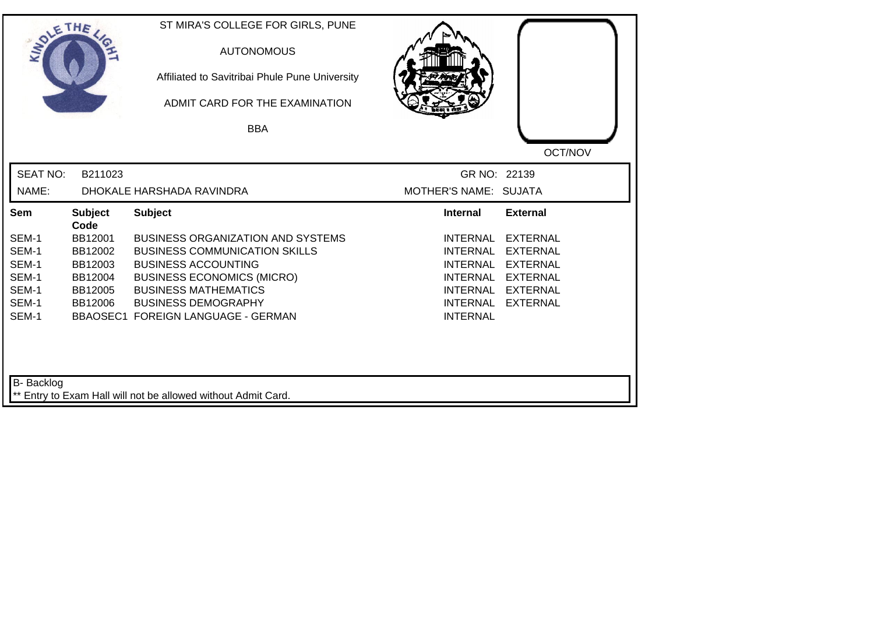| SOLETHE .         |                        | ST MIRA'S COLLEGE FOR GIRLS, PUNE<br><b>AUTONOMOUS</b><br>Affiliated to Savitribai Phule Pune University<br>ADMIT CARD FOR THE EXAMINATION |                                    |                                    |
|-------------------|------------------------|--------------------------------------------------------------------------------------------------------------------------------------------|------------------------------------|------------------------------------|
|                   |                        | <b>BBA</b>                                                                                                                                 |                                    |                                    |
|                   |                        |                                                                                                                                            |                                    | OCT/NOV                            |
| <b>SEAT NO:</b>   | B211023                |                                                                                                                                            | GR NO: 22139                       |                                    |
| NAME:             |                        | DHOKALE HARSHADA RAVINDRA                                                                                                                  | MOTHER'S NAME: SUJATA              |                                    |
| Sem               | <b>Subject</b><br>Code | <b>Subject</b>                                                                                                                             | <b>Internal</b>                    | <b>External</b>                    |
| SEM-1             | BB12001                | <b>BUSINESS ORGANIZATION AND SYSTEMS</b>                                                                                                   | <b>INTERNAL</b>                    | <b>EXTERNAL</b>                    |
| SEM-1             | BB12002                | <b>BUSINESS COMMUNICATION SKILLS</b>                                                                                                       | <b>INTERNAL</b>                    | <b>EXTERNAL</b>                    |
| SEM-1             | BB12003                | <b>BUSINESS ACCOUNTING</b>                                                                                                                 | <b>INTERNAL</b>                    | <b>EXTERNAL</b>                    |
| SEM-1             | BB12004                | <b>BUSINESS ECONOMICS (MICRO)</b>                                                                                                          | INTERNAL                           | <b>EXTERNAL</b>                    |
| SEM-1<br>SEM-1    | BB12005                | <b>BUSINESS MATHEMATICS</b><br><b>BUSINESS DEMOGRAPHY</b>                                                                                  | <b>INTERNAL</b><br><b>INTERNAL</b> | <b>EXTERNAL</b><br><b>EXTERNAL</b> |
| SEM-1             | BB12006                | BBAOSEC1 FOREIGN LANGUAGE - GERMAN                                                                                                         | <b>INTERNAL</b>                    |                                    |
| <b>B-</b> Backlog |                        | ** Entry to Exam Hall will not be allowed without Admit Card.                                                                              |                                    |                                    |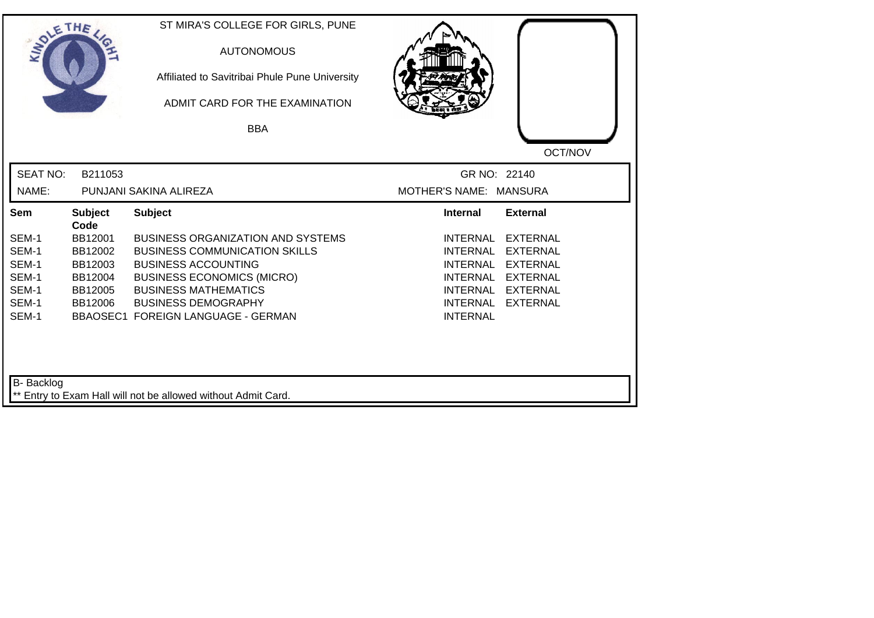| SOLETHE           |                        | ST MIRA'S COLLEGE FOR GIRLS, PUNE<br><b>AUTONOMOUS</b><br>Affiliated to Savitribai Phule Pune University<br>ADMIT CARD FOR THE EXAMINATION |                                                                          |         |
|-------------------|------------------------|--------------------------------------------------------------------------------------------------------------------------------------------|--------------------------------------------------------------------------|---------|
|                   |                        | <b>BBA</b>                                                                                                                                 |                                                                          |         |
|                   |                        |                                                                                                                                            |                                                                          | OCT/NOV |
| <b>SEAT NO:</b>   | B211053                |                                                                                                                                            | GR NO: 22140                                                             |         |
| NAME:             |                        | PUNJANI SAKINA ALIREZA                                                                                                                     | MOTHER'S NAME: MANSURA                                                   |         |
| Sem               | <b>Subject</b><br>Code | <b>Subject</b>                                                                                                                             | <b>Internal</b><br><b>External</b>                                       |         |
| SEM-1             | BB12001                | <b>BUSINESS ORGANIZATION AND SYSTEMS</b>                                                                                                   | <b>INTERNAL</b><br><b>EXTERNAL</b>                                       |         |
| SEM-1             | BB12002                | <b>BUSINESS COMMUNICATION SKILLS</b>                                                                                                       | <b>INTERNAL</b><br><b>EXTERNAL</b>                                       |         |
| SEM-1             | BB12003                | <b>BUSINESS ACCOUNTING</b>                                                                                                                 | <b>INTERNAL</b><br><b>EXTERNAL</b>                                       |         |
| SEM-1             | BB12004                | <b>BUSINESS ECONOMICS (MICRO)</b>                                                                                                          | <b>INTERNAL</b><br><b>EXTERNAL</b>                                       |         |
| SEM-1<br>SEM-1    | BB12005<br>BB12006     | <b>BUSINESS MATHEMATICS</b><br><b>BUSINESS DEMOGRAPHY</b>                                                                                  | <b>INTERNAL</b><br><b>EXTERNAL</b><br><b>EXTERNAL</b><br><b>INTERNAL</b> |         |
| SEM-1             |                        | <b>BBAOSEC1 FOREIGN LANGUAGE - GERMAN</b>                                                                                                  | <b>INTERNAL</b>                                                          |         |
| <b>B-</b> Backlog |                        | ** Entry to Exam Hall will not be allowed without Admit Card.                                                                              |                                                                          |         |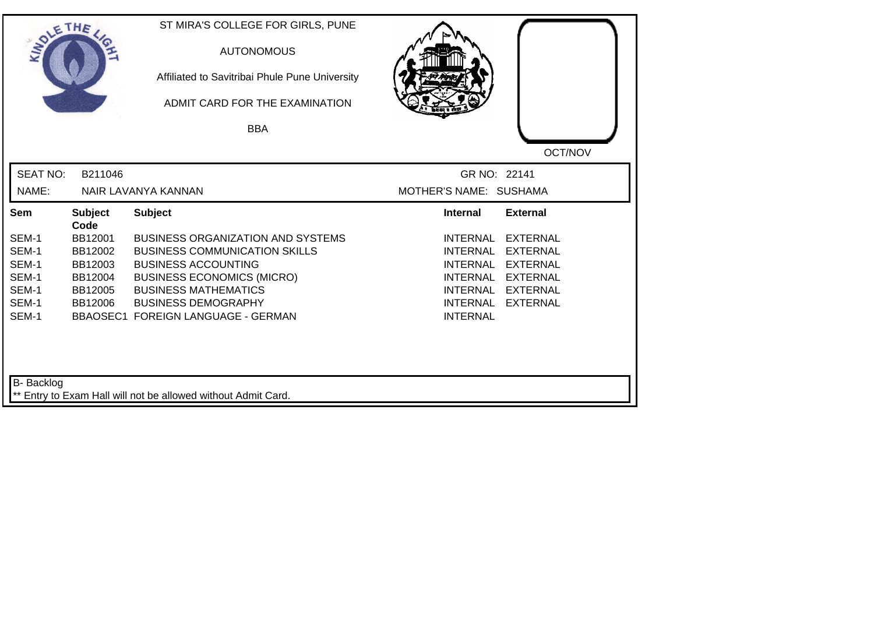| SOLETHE .         |                        | ST MIRA'S COLLEGE FOR GIRLS, PUNE<br><b>AUTONOMOUS</b><br>Affiliated to Savitribai Phule Pune University<br>ADMIT CARD FOR THE EXAMINATION |                                                       |
|-------------------|------------------------|--------------------------------------------------------------------------------------------------------------------------------------------|-------------------------------------------------------|
|                   |                        | <b>BBA</b>                                                                                                                                 |                                                       |
|                   |                        |                                                                                                                                            | OCT/NOV                                               |
| <b>SEAT NO:</b>   | B211046                |                                                                                                                                            | GR NO: 22141                                          |
| NAME:             |                        | NAIR LAVANYA KANNAN                                                                                                                        | MOTHER'S NAME: SUSHAMA                                |
| Sem               | <b>Subject</b><br>Code | <b>Subject</b>                                                                                                                             | <b>External</b><br><b>Internal</b>                    |
| SEM-1             | BB12001                | <b>BUSINESS ORGANIZATION AND SYSTEMS</b>                                                                                                   | <b>INTERNAL</b><br><b>EXTERNAL</b>                    |
| SEM-1             | BB12002                | <b>BUSINESS COMMUNICATION SKILLS</b>                                                                                                       | <b>INTERNAL</b><br><b>EXTERNAL</b>                    |
| SEM-1             | BB12003                | <b>BUSINESS ACCOUNTING</b>                                                                                                                 | <b>INTERNAL</b><br><b>EXTERNAL</b>                    |
| SEM-1             | BB12004                | <b>BUSINESS ECONOMICS (MICRO)</b>                                                                                                          | <b>INTERNAL</b><br><b>EXTERNAL</b>                    |
| SEM-1<br>SEM-1    | BB12005                | <b>BUSINESS MATHEMATICS</b>                                                                                                                | <b>EXTERNAL</b><br>INTERNAL                           |
| SEM-1             | BB12006                | <b>BUSINESS DEMOGRAPHY</b><br>BBAOSEC1 FOREIGN LANGUAGE - GERMAN                                                                           | <b>INTERNAL</b><br><b>EXTERNAL</b><br><b>INTERNAL</b> |
| <b>B-</b> Backlog |                        | ** Entry to Exam Hall will not be allowed without Admit Card.                                                                              |                                                       |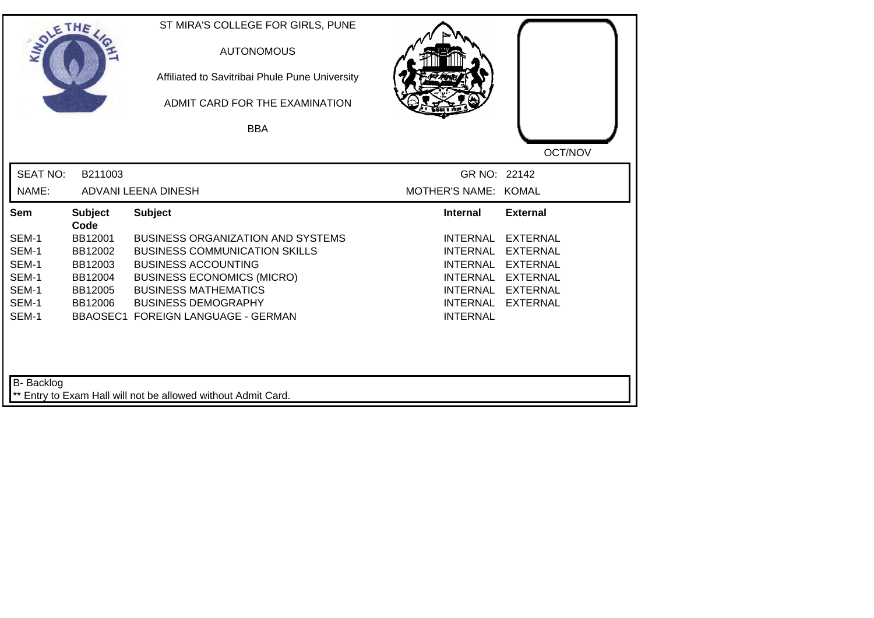| SOLETHE ,         |                        | ST MIRA'S COLLEGE FOR GIRLS, PUNE<br><b>AUTONOMOUS</b><br>Affiliated to Savitribai Phule Pune University<br>ADMIT CARD FOR THE EXAMINATION<br><b>BBA</b> |                      |                 |
|-------------------|------------------------|----------------------------------------------------------------------------------------------------------------------------------------------------------|----------------------|-----------------|
|                   |                        |                                                                                                                                                          |                      | OCT/NOV         |
| <b>SEAT NO:</b>   | B211003                |                                                                                                                                                          | GR NO: 22142         |                 |
| NAME:             |                        | ADVANI LEENA DINESH                                                                                                                                      | MOTHER'S NAME: KOMAL |                 |
| Sem               | <b>Subject</b><br>Code | <b>Subject</b>                                                                                                                                           | <b>Internal</b>      | <b>External</b> |
| SEM-1             | BB12001                | <b>BUSINESS ORGANIZATION AND SYSTEMS</b>                                                                                                                 | <b>INTERNAL</b>      | <b>EXTERNAL</b> |
| SEM-1             | BB12002                | <b>BUSINESS COMMUNICATION SKILLS</b>                                                                                                                     | <b>INTERNAL</b>      | <b>EXTERNAL</b> |
| SEM-1             | BB12003                | <b>BUSINESS ACCOUNTING</b>                                                                                                                               | <b>INTERNAL</b>      | <b>EXTERNAL</b> |
| SEM-1             | BB12004                | <b>BUSINESS ECONOMICS (MICRO)</b>                                                                                                                        | INTERNAL             | <b>EXTERNAL</b> |
| SEM-1             | BB12005                | <b>BUSINESS MATHEMATICS</b>                                                                                                                              | <b>INTERNAL</b>      | <b>EXTERNAL</b> |
| SEM-1             | BB12006                | <b>BUSINESS DEMOGRAPHY</b>                                                                                                                               | <b>INTERNAL</b>      | <b>EXTERNAL</b> |
| SEM-1             |                        | BBAOSEC1 FOREIGN LANGUAGE - GERMAN                                                                                                                       | <b>INTERNAL</b>      |                 |
| <b>B-</b> Backlog |                        | ** Entry to Exam Hall will not be allowed without Admit Card.                                                                                            |                      |                 |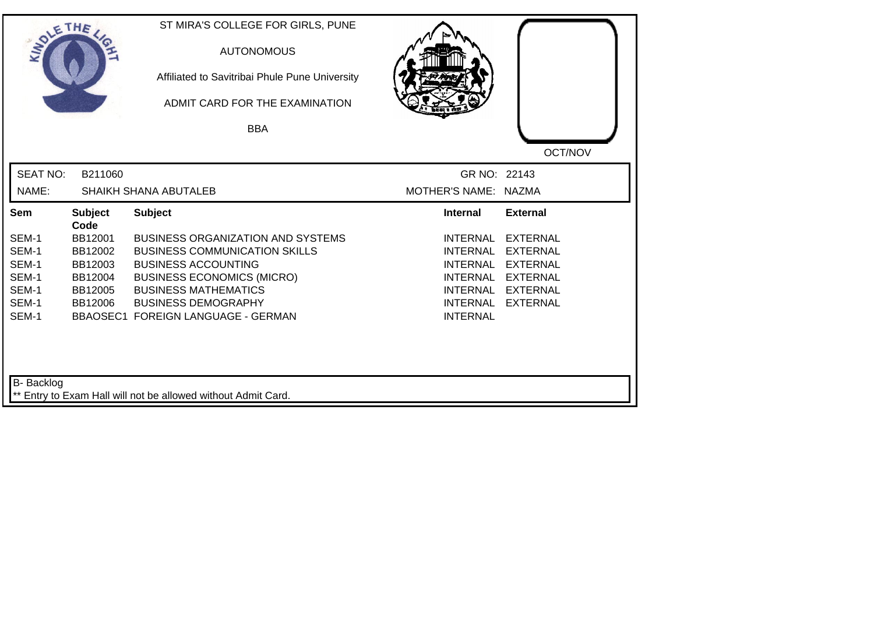| SOLETHE .         |                        | ST MIRA'S COLLEGE FOR GIRLS, PUNE<br><b>AUTONOMOUS</b><br>Affiliated to Savitribai Phule Pune University<br>ADMIT CARD FOR THE EXAMINATION |                      |                 |
|-------------------|------------------------|--------------------------------------------------------------------------------------------------------------------------------------------|----------------------|-----------------|
|                   |                        | <b>BBA</b>                                                                                                                                 |                      |                 |
|                   |                        |                                                                                                                                            |                      | OCT/NOV         |
| <b>SEAT NO:</b>   | B211060                |                                                                                                                                            | GR NO: 22143         |                 |
| NAME:             |                        | SHAIKH SHANA ABUTALEB                                                                                                                      | MOTHER'S NAME: NAZMA |                 |
| Sem               | <b>Subject</b><br>Code | <b>Subject</b>                                                                                                                             | <b>Internal</b>      | <b>External</b> |
| SEM-1             | BB12001                | <b>BUSINESS ORGANIZATION AND SYSTEMS</b>                                                                                                   | <b>INTERNAL</b>      | <b>EXTERNAL</b> |
| SEM-1             | BB12002                | <b>BUSINESS COMMUNICATION SKILLS</b>                                                                                                       | <b>INTERNAL</b>      | <b>EXTERNAL</b> |
| SEM-1             | BB12003                | <b>BUSINESS ACCOUNTING</b>                                                                                                                 | <b>INTERNAL</b>      | <b>EXTERNAL</b> |
| SEM-1             | BB12004                | <b>BUSINESS ECONOMICS (MICRO)</b>                                                                                                          | <b>INTERNAL</b>      | <b>EXTERNAL</b> |
| SEM-1             | BB12005                | <b>BUSINESS MATHEMATICS</b>                                                                                                                | INTERNAL             | <b>EXTERNAL</b> |
| SEM-1             | BB12006                | <b>BUSINESS DEMOGRAPHY</b>                                                                                                                 | <b>INTERNAL</b>      | <b>EXTERNAL</b> |
| SEM-1             |                        | BBAOSEC1 FOREIGN LANGUAGE - GERMAN                                                                                                         | <b>INTERNAL</b>      |                 |
|                   |                        |                                                                                                                                            |                      |                 |
| <b>B-</b> Backlog |                        | ** Entry to Exam Hall will not be allowed without Admit Card.                                                                              |                      |                 |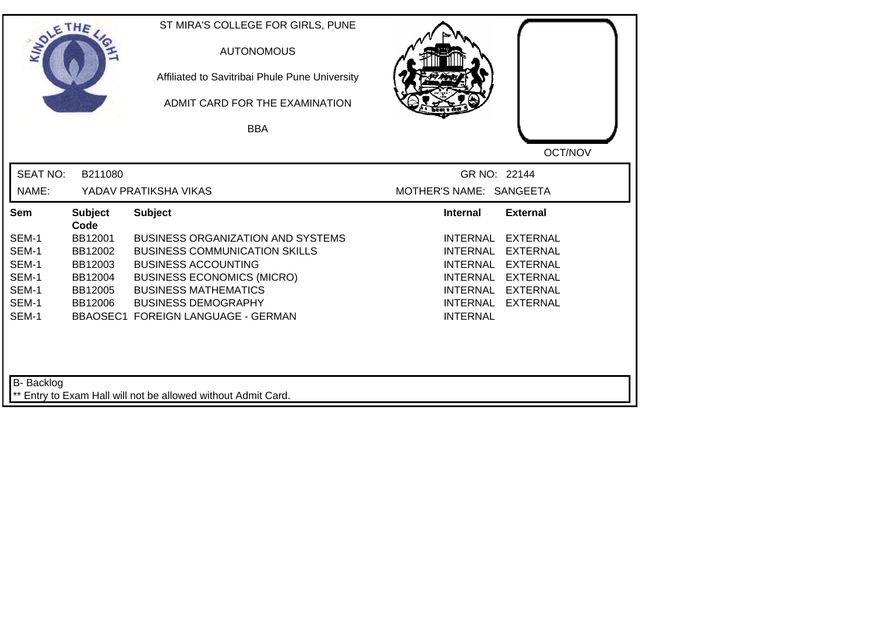| SOLETHE ,       |                        | ST MIRA'S COLLEGE FOR GIRLS, PUNE<br><b>AUTONOMOUS</b><br>Affiliated to Savitribai Phule Pune University<br>ADMIT CARD FOR THE EXAMINATION |                         |                 |
|-----------------|------------------------|--------------------------------------------------------------------------------------------------------------------------------------------|-------------------------|-----------------|
|                 |                        | <b>BBA</b>                                                                                                                                 |                         |                 |
|                 |                        |                                                                                                                                            |                         | OCT/NOV         |
| <b>SEAT NO:</b> | B211080                |                                                                                                                                            | GR NO: 22144            |                 |
| NAME:           |                        | YADAV PRATIKSHA VIKAS                                                                                                                      | MOTHER'S NAME: SANGEETA |                 |
| Sem             | <b>Subject</b><br>Code | <b>Subject</b>                                                                                                                             | <b>Internal</b>         | <b>External</b> |
| SEM-1           | BB12001                | <b>BUSINESS ORGANIZATION AND SYSTEMS</b>                                                                                                   | <b>INTERNAL</b>         | <b>EXTERNAL</b> |
| SEM-1           | BB12002                | <b>BUSINESS COMMUNICATION SKILLS</b>                                                                                                       | <b>INTERNAL</b>         | <b>EXTERNAL</b> |
| SEM-1           | BB12003                | <b>BUSINESS ACCOUNTING</b>                                                                                                                 | <b>INTERNAL</b>         | <b>EXTERNAL</b> |
| SEM-1           | BB12004                | <b>BUSINESS ECONOMICS (MICRO)</b>                                                                                                          | <b>INTERNAL</b>         | <b>EXTERNAL</b> |
| SEM-1           | BB12005                | <b>BUSINESS MATHEMATICS</b>                                                                                                                | INTERNAL                | EXTERNAL        |
| SEM-1           | BB12006                | <b>BUSINESS DEMOGRAPHY</b>                                                                                                                 | INTERNAL                | <b>EXTERNAL</b> |
| SEM-1           |                        | <b>BBAOSEC1 FOREIGN LANGUAGE - GERMAN</b>                                                                                                  | <b>INTERNAL</b>         |                 |
| B- Backlog      |                        | ** Entry to Exam Hall will not be allowed without Admit Card.                                                                              |                         |                 |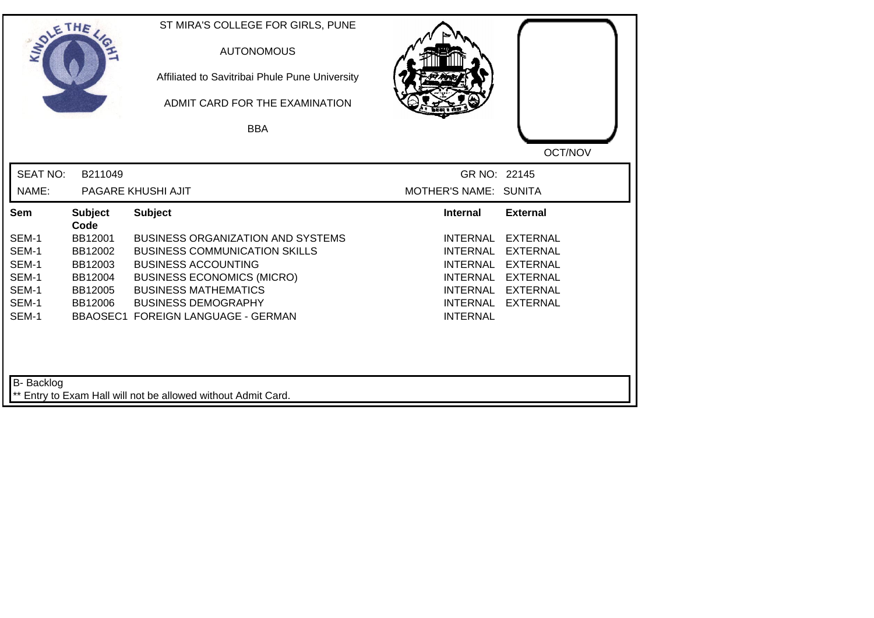| SOLETHE .         |                        | ST MIRA'S COLLEGE FOR GIRLS, PUNE<br><b>AUTONOMOUS</b><br>Affiliated to Savitribai Phule Pune University<br>ADMIT CARD FOR THE EXAMINATION |                       |                 |
|-------------------|------------------------|--------------------------------------------------------------------------------------------------------------------------------------------|-----------------------|-----------------|
|                   |                        | <b>BBA</b>                                                                                                                                 |                       |                 |
|                   |                        |                                                                                                                                            |                       | OCT/NOV         |
| <b>SEAT NO:</b>   | B211049                |                                                                                                                                            | GR NO: 22145          |                 |
| NAME:             |                        | PAGARE KHUSHI AJIT                                                                                                                         | MOTHER'S NAME: SUNITA |                 |
| Sem               | <b>Subject</b><br>Code | <b>Subject</b>                                                                                                                             | <b>Internal</b>       | <b>External</b> |
| SEM-1             | BB12001                | <b>BUSINESS ORGANIZATION AND SYSTEMS</b>                                                                                                   | <b>INTERNAL</b>       | <b>EXTERNAL</b> |
| SEM-1             | BB12002                | <b>BUSINESS COMMUNICATION SKILLS</b>                                                                                                       | <b>INTERNAL</b>       | <b>EXTERNAL</b> |
| SEM-1             | BB12003                | <b>BUSINESS ACCOUNTING</b>                                                                                                                 | <b>INTERNAL</b>       | <b>EXTERNAL</b> |
| SEM-1             | BB12004                | <b>BUSINESS ECONOMICS (MICRO)</b>                                                                                                          | <b>INTERNAL</b>       | <b>EXTERNAL</b> |
| SEM-1             | BB12005                | <b>BUSINESS MATHEMATICS</b>                                                                                                                | INTERNAL              | <b>EXTERNAL</b> |
| SEM-1             | BB12006                | <b>BUSINESS DEMOGRAPHY</b>                                                                                                                 | <b>INTERNAL</b>       | <b>EXTERNAL</b> |
| SEM-1             |                        | BBAOSEC1 FOREIGN LANGUAGE - GERMAN                                                                                                         | <b>INTERNAL</b>       |                 |
| <b>B-</b> Backlog |                        | ** Entry to Exam Hall will not be allowed without Admit Card.                                                                              |                       |                 |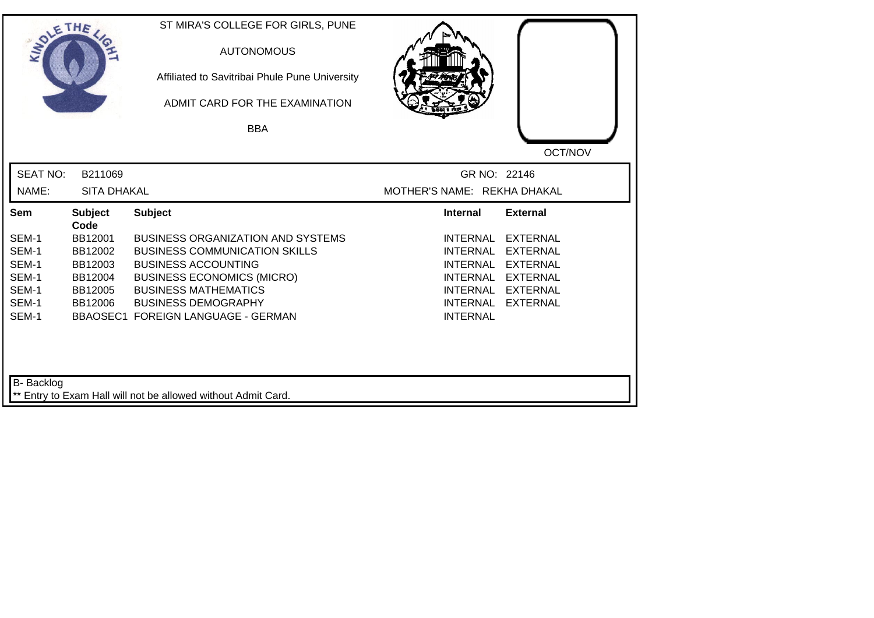| SOLETHE ,         |                        | ST MIRA'S COLLEGE FOR GIRLS, PUNE<br><b>AUTONOMOUS</b><br>Affiliated to Savitribai Phule Pune University<br>ADMIT CARD FOR THE EXAMINATION<br><b>BBA</b> |                                    |                 |
|-------------------|------------------------|----------------------------------------------------------------------------------------------------------------------------------------------------------|------------------------------------|-----------------|
|                   |                        |                                                                                                                                                          |                                    | OCT/NOV         |
| <b>SEAT NO:</b>   | B211069                |                                                                                                                                                          | GR NO: 22146                       |                 |
| NAME:             | <b>SITA DHAKAL</b>     |                                                                                                                                                          | MOTHER'S NAME: REKHA DHAKAL        |                 |
| Sem               | <b>Subject</b><br>Code | <b>Subject</b>                                                                                                                                           | <b>Internal</b>                    | <b>External</b> |
| SEM-1             | BB12001                | <b>BUSINESS ORGANIZATION AND SYSTEMS</b>                                                                                                                 | <b>INTERNAL</b>                    | <b>EXTERNAL</b> |
| SEM-1             | BB12002                | <b>BUSINESS COMMUNICATION SKILLS</b>                                                                                                                     | <b>INTERNAL</b>                    | <b>EXTERNAL</b> |
| SEM-1             | BB12003                | <b>BUSINESS ACCOUNTING</b>                                                                                                                               | <b>INTERNAL</b>                    | <b>EXTERNAL</b> |
| SEM-1             | BB12004                | <b>BUSINESS ECONOMICS (MICRO)</b>                                                                                                                        | INTERNAL                           | <b>EXTERNAL</b> |
| SEM-1             | BB12005                | <b>BUSINESS MATHEMATICS</b>                                                                                                                              | <b>INTERNAL</b>                    | <b>EXTERNAL</b> |
| SEM-1<br>SEM-1    | BB12006                | <b>BUSINESS DEMOGRAPHY</b><br>BBAOSEC1 FOREIGN LANGUAGE - GERMAN                                                                                         | <b>INTERNAL</b><br><b>INTERNAL</b> | <b>EXTERNAL</b> |
| <b>B-</b> Backlog |                        | ** Entry to Exam Hall will not be allowed without Admit Card.                                                                                            |                                    |                 |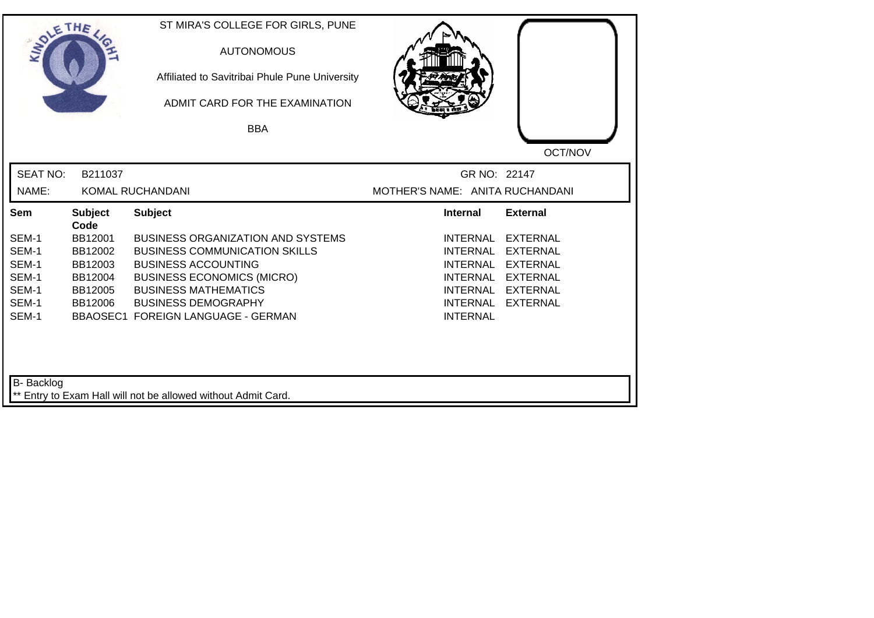| SOLETHE,          |                        | ST MIRA'S COLLEGE FOR GIRLS, PUNE<br><b>AUTONOMOUS</b><br>Affiliated to Savitribai Phule Pune University<br>ADMIT CARD FOR THE EXAMINATION |                                 |                 |
|-------------------|------------------------|--------------------------------------------------------------------------------------------------------------------------------------------|---------------------------------|-----------------|
|                   |                        | <b>BBA</b>                                                                                                                                 |                                 |                 |
|                   |                        |                                                                                                                                            |                                 | OCT/NOV         |
| <b>SEAT NO:</b>   | B211037                |                                                                                                                                            | GR NO: 22147                    |                 |
| NAME:             |                        | KOMAL RUCHANDANI                                                                                                                           | MOTHER'S NAME: ANITA RUCHANDANI |                 |
| Sem               | <b>Subject</b><br>Code | <b>Subject</b>                                                                                                                             | <b>Internal</b>                 | <b>External</b> |
| SEM-1             | BB12001                | BUSINESS ORGANIZATION AND SYSTEMS                                                                                                          | <b>INTERNAL</b>                 | <b>EXTERNAL</b> |
| SEM-1             | BB12002                | <b>BUSINESS COMMUNICATION SKILLS</b>                                                                                                       | <b>INTERNAL</b>                 | <b>EXTERNAL</b> |
| SEM-1             | BB12003                | <b>BUSINESS ACCOUNTING</b>                                                                                                                 | <b>INTERNAL</b>                 | <b>EXTERNAL</b> |
| SEM-1             | BB12004                | <b>BUSINESS ECONOMICS (MICRO)</b>                                                                                                          | INTERNAL                        | <b>EXTERNAL</b> |
| SEM-1             | BB12005                | <b>BUSINESS MATHEMATICS</b>                                                                                                                | INTERNAL                        | <b>EXTERNAL</b> |
| SEM-1<br>SEM-1    | BB12006                | <b>BUSINESS DEMOGRAPHY</b><br>BBAOSEC1 FOREIGN LANGUAGE - GERMAN                                                                           | INTERNAL<br><b>INTERNAL</b>     | <b>EXTERNAL</b> |
| <b>B-</b> Backlog |                        | ** Entry to Exam Hall will not be allowed without Admit Card.                                                                              |                                 |                 |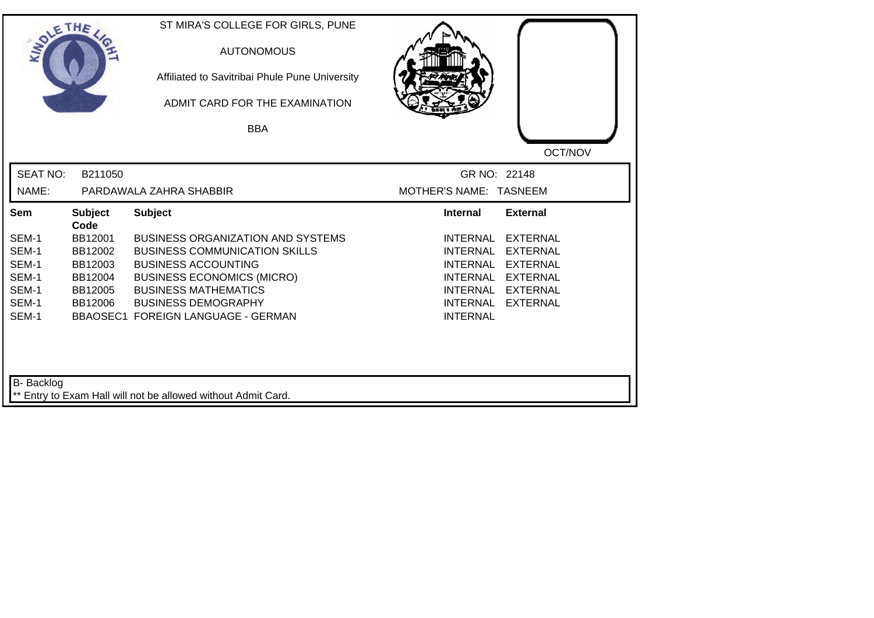| SOLETHE .         |                        | ST MIRA'S COLLEGE FOR GIRLS, PUNE<br><b>AUTONOMOUS</b><br>Affiliated to Savitribai Phule Pune University<br>ADMIT CARD FOR THE EXAMINATION |                                                       |  |
|-------------------|------------------------|--------------------------------------------------------------------------------------------------------------------------------------------|-------------------------------------------------------|--|
|                   |                        | <b>BBA</b>                                                                                                                                 |                                                       |  |
|                   |                        |                                                                                                                                            | OCT/NOV                                               |  |
| <b>SEAT NO:</b>   | B211050                |                                                                                                                                            | GR NO: 22148                                          |  |
| NAME:             |                        | PARDAWALA ZAHRA SHABBIR                                                                                                                    | MOTHER'S NAME: TASNEEM                                |  |
| Sem               | <b>Subject</b><br>Code | <b>Subject</b>                                                                                                                             | <b>Internal</b><br><b>External</b>                    |  |
| SEM-1             | BB12001                | <b>BUSINESS ORGANIZATION AND SYSTEMS</b>                                                                                                   | <b>INTERNAL</b><br><b>EXTERNAL</b>                    |  |
| SEM-1             | BB12002                | <b>BUSINESS COMMUNICATION SKILLS</b>                                                                                                       | <b>INTERNAL</b><br><b>EXTERNAL</b>                    |  |
| SEM-1             | BB12003                | <b>BUSINESS ACCOUNTING</b>                                                                                                                 | <b>INTERNAL</b><br><b>EXTERNAL</b>                    |  |
| SEM-1             | BB12004                | <b>BUSINESS ECONOMICS (MICRO)</b>                                                                                                          | <b>INTERNAL</b><br><b>EXTERNAL</b>                    |  |
| SEM-1<br>SEM-1    | BB12005                | <b>BUSINESS MATHEMATICS</b>                                                                                                                | <b>INTERNAL</b><br><b>EXTERNAL</b>                    |  |
| SEM-1             | BB12006                | <b>BUSINESS DEMOGRAPHY</b><br><b>BBAOSEC1 FOREIGN LANGUAGE - GERMAN</b>                                                                    | <b>EXTERNAL</b><br><b>INTERNAL</b><br><b>INTERNAL</b> |  |
| <b>B-</b> Backlog |                        | ** Entry to Exam Hall will not be allowed without Admit Card.                                                                              |                                                       |  |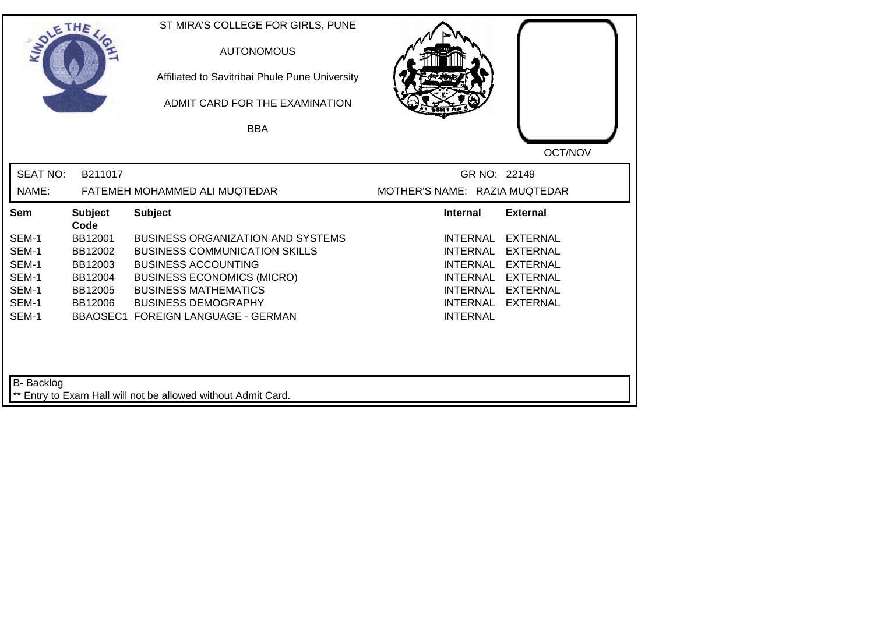| SOLETHE         |                        | ST MIRA'S COLLEGE FOR GIRLS, PUNE<br><b>AUTONOMOUS</b><br>Affiliated to Savitribai Phule Pune University<br>ADMIT CARD FOR THE EXAMINATION<br><b>BBA</b> |                               |                 |
|-----------------|------------------------|----------------------------------------------------------------------------------------------------------------------------------------------------------|-------------------------------|-----------------|
|                 |                        |                                                                                                                                                          |                               | OCT/NOV         |
| <b>SEAT NO:</b> | B211017                |                                                                                                                                                          | GR NO: 22149                  |                 |
| NAME:           |                        | FATEMEH MOHAMMED ALI MUQTEDAR                                                                                                                            | MOTHER'S NAME: RAZIA MUQTEDAR |                 |
| Sem             | <b>Subject</b><br>Code | <b>Subject</b>                                                                                                                                           | <b>Internal</b>               | <b>External</b> |
| SEM-1           | BB12001                | <b>BUSINESS ORGANIZATION AND SYSTEMS</b>                                                                                                                 | <b>INTERNAL</b>               | <b>EXTERNAL</b> |
| SEM-1           | BB12002                | <b>BUSINESS COMMUNICATION SKILLS</b>                                                                                                                     | <b>INTERNAL</b>               | <b>EXTERNAL</b> |
| SEM-1           | BB12003                | <b>BUSINESS ACCOUNTING</b>                                                                                                                               | <b>INTERNAL</b>               | <b>EXTERNAL</b> |
| SEM-1           | BB12004                | <b>BUSINESS ECONOMICS (MICRO)</b>                                                                                                                        | <b>INTERNAL</b>               | <b>EXTERNAL</b> |
| SEM-1           | BB12005                | <b>BUSINESS MATHEMATICS</b>                                                                                                                              | INTERNAL                      | <b>EXTERNAL</b> |
| SEM-1           | BB12006                | <b>BUSINESS DEMOGRAPHY</b>                                                                                                                               | <b>INTERNAL</b>               | <b>EXTERNAL</b> |
| SEM-1           |                        | BBAOSEC1 FOREIGN LANGUAGE - GERMAN                                                                                                                       | <b>INTERNAL</b>               |                 |
| B- Backlog      |                        |                                                                                                                                                          |                               |                 |
|                 |                        | ** Entry to Exam Hall will not be allowed without Admit Card.                                                                                            |                               |                 |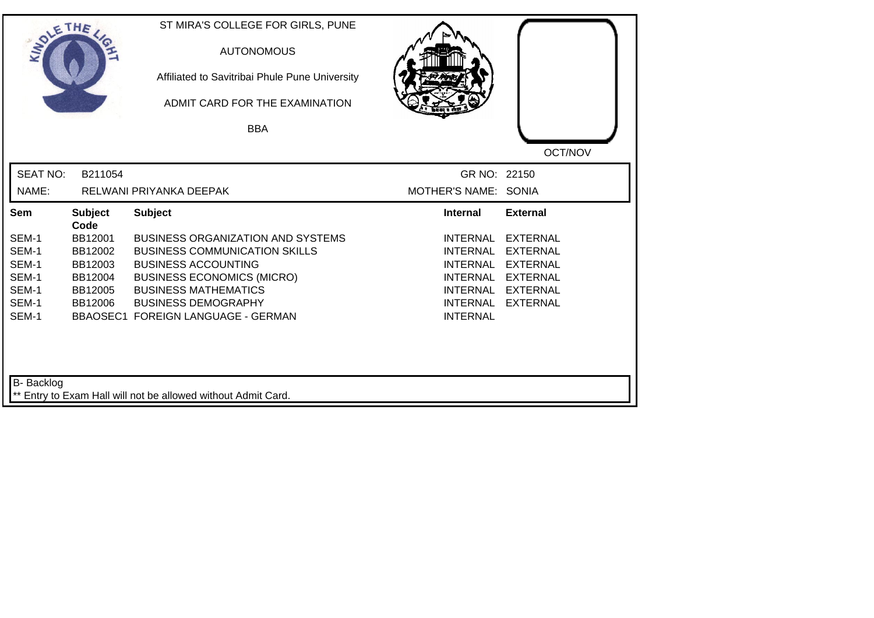| SOLETHE .         |                        | ST MIRA'S COLLEGE FOR GIRLS, PUNE<br><b>AUTONOMOUS</b><br>Affiliated to Savitribai Phule Pune University<br>ADMIT CARD FOR THE EXAMINATION<br><b>BBA</b> |                      |                 |
|-------------------|------------------------|----------------------------------------------------------------------------------------------------------------------------------------------------------|----------------------|-----------------|
|                   |                        |                                                                                                                                                          |                      | OCT/NOV         |
| <b>SEAT NO:</b>   | B211054                |                                                                                                                                                          | GR NO: 22150         |                 |
| NAME:             |                        | RELWANI PRIYANKA DEEPAK                                                                                                                                  | MOTHER'S NAME: SONIA |                 |
| Sem               | <b>Subject</b><br>Code | <b>Subject</b>                                                                                                                                           | <b>Internal</b>      | <b>External</b> |
| SEM-1             | BB12001                | <b>BUSINESS ORGANIZATION AND SYSTEMS</b>                                                                                                                 | <b>INTERNAL</b>      | <b>EXTERNAL</b> |
| SEM-1             | BB12002                | <b>BUSINESS COMMUNICATION SKILLS</b>                                                                                                                     | <b>INTERNAL</b>      | <b>EXTERNAL</b> |
| SEM-1             | BB12003                | <b>BUSINESS ACCOUNTING</b>                                                                                                                               | <b>INTERNAL</b>      | <b>EXTERNAL</b> |
| SEM-1             | BB12004                | <b>BUSINESS ECONOMICS (MICRO)</b>                                                                                                                        | <b>INTERNAL</b>      | <b>EXTERNAL</b> |
| SEM-1             | BB12005                | <b>BUSINESS MATHEMATICS</b>                                                                                                                              | INTERNAL             | <b>EXTERNAL</b> |
| SEM-1             | BB12006                | <b>BUSINESS DEMOGRAPHY</b>                                                                                                                               | <b>INTERNAL</b>      | <b>EXTERNAL</b> |
| SEM-1             |                        | BBAOSEC1 FOREIGN LANGUAGE - GERMAN                                                                                                                       | <b>INTERNAL</b>      |                 |
| <b>B-</b> Backlog |                        |                                                                                                                                                          |                      |                 |
|                   |                        | ** Entry to Exam Hall will not be allowed without Admit Card.                                                                                            |                      |                 |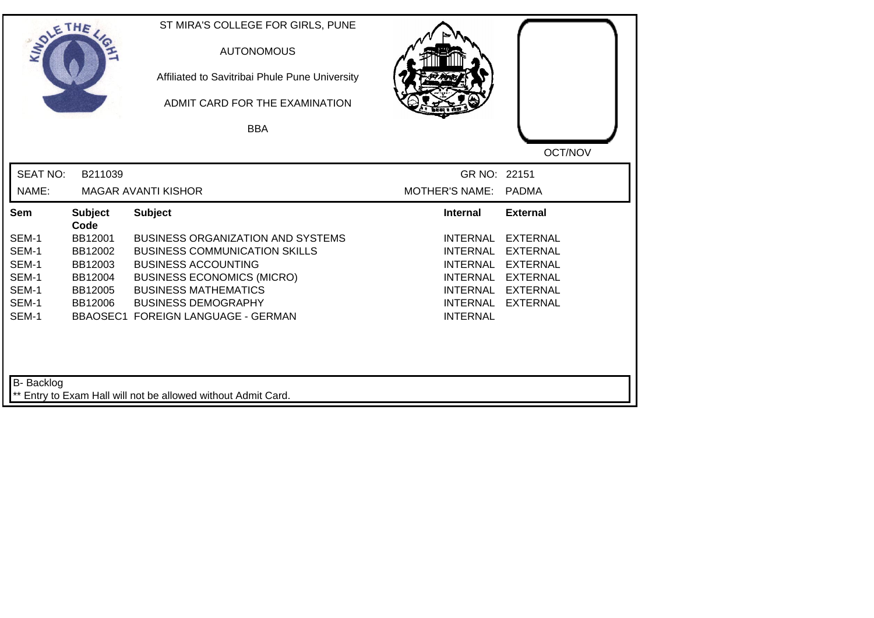| SOLETHE ,       |                        | ST MIRA'S COLLEGE FOR GIRLS, PUNE<br><b>AUTONOMOUS</b><br>Affiliated to Savitribai Phule Pune University<br>ADMIT CARD FOR THE EXAMINATION<br><b>BBA</b> |                       |                 |
|-----------------|------------------------|----------------------------------------------------------------------------------------------------------------------------------------------------------|-----------------------|-----------------|
|                 |                        |                                                                                                                                                          |                       | OCT/NOV         |
| <b>SEAT NO:</b> | B211039                |                                                                                                                                                          | GR NO: 22151          |                 |
| NAME:           |                        | <b>MAGAR AVANTI KISHOR</b>                                                                                                                               | <b>MOTHER'S NAME:</b> | <b>PADMA</b>    |
| Sem             | <b>Subject</b><br>Code | <b>Subject</b>                                                                                                                                           | <b>Internal</b>       | <b>External</b> |
| SEM-1           | BB12001                | <b>BUSINESS ORGANIZATION AND SYSTEMS</b>                                                                                                                 | <b>INTERNAL</b>       | <b>EXTERNAL</b> |
| SEM-1           | BB12002                | <b>BUSINESS COMMUNICATION SKILLS</b>                                                                                                                     | <b>INTERNAL</b>       | <b>EXTERNAL</b> |
| SEM-1           | BB12003                | <b>BUSINESS ACCOUNTING</b>                                                                                                                               | <b>INTERNAL</b>       | <b>EXTERNAL</b> |
| SEM-1           | BB12004                | <b>BUSINESS ECONOMICS (MICRO)</b>                                                                                                                        | <b>INTERNAL</b>       | <b>EXTERNAL</b> |
| SEM-1           | BB12005                | <b>BUSINESS MATHEMATICS</b>                                                                                                                              | INTERNAL              | EXTERNAL        |
| SEM-1           | BB12006                | <b>BUSINESS DEMOGRAPHY</b>                                                                                                                               | <b>INTERNAL</b>       | <b>EXTERNAL</b> |
| SEM-1           |                        | <b>BBAOSEC1 FOREIGN LANGUAGE - GERMAN</b>                                                                                                                | <b>INTERNAL</b>       |                 |
| B- Backlog      |                        |                                                                                                                                                          |                       |                 |
|                 |                        | ** Entry to Exam Hall will not be allowed without Admit Card.                                                                                            |                       |                 |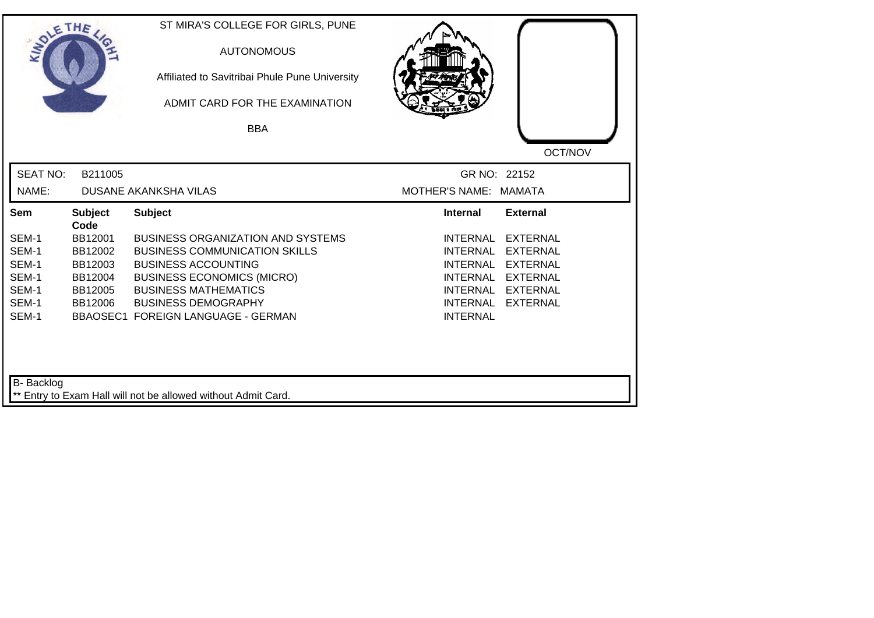| SOLE THE        |                        | ST MIRA'S COLLEGE FOR GIRLS, PUNE<br><b>AUTONOMOUS</b><br>Affiliated to Savitribai Phule Pune University<br>ADMIT CARD FOR THE EXAMINATION |                                                       |
|-----------------|------------------------|--------------------------------------------------------------------------------------------------------------------------------------------|-------------------------------------------------------|
|                 |                        | <b>BBA</b>                                                                                                                                 |                                                       |
|                 |                        |                                                                                                                                            | OCT/NOV                                               |
| <b>SEAT NO:</b> | B211005                |                                                                                                                                            | GR NO: 22152                                          |
| NAME:           |                        | <b>DUSANE AKANKSHA VILAS</b>                                                                                                               | MOTHER'S NAME: MAMATA                                 |
| Sem             | <b>Subject</b><br>Code | <b>Subject</b>                                                                                                                             | <b>Internal</b><br><b>External</b>                    |
| SEM-1           | BB12001                | <b>BUSINESS ORGANIZATION AND SYSTEMS</b>                                                                                                   | <b>INTERNAL</b><br><b>EXTERNAL</b>                    |
| SEM-1           | BB12002                | <b>BUSINESS COMMUNICATION SKILLS</b>                                                                                                       | <b>INTERNAL</b><br><b>EXTERNAL</b>                    |
| SEM-1           | BB12003                | <b>BUSINESS ACCOUNTING</b>                                                                                                                 | <b>EXTERNAL</b><br><b>INTERNAL</b>                    |
| SEM-1           | BB12004                | <b>BUSINESS ECONOMICS (MICRO)</b>                                                                                                          | <b>INTERNAL</b><br><b>EXTERNAL</b>                    |
| SEM-1<br>SEM-1  | BB12005                | <b>BUSINESS MATHEMATICS</b><br><b>BUSINESS DEMOGRAPHY</b>                                                                                  | <b>INTERNAL</b><br>EXTERNAL                           |
| SEM-1           | BB12006                | <b>BBAOSEC1 FOREIGN LANGUAGE - GERMAN</b>                                                                                                  | <b>INTERNAL</b><br><b>EXTERNAL</b><br><b>INTERNAL</b> |
| B- Backlog      |                        | Entry to Exam Hall will not be allowed without Admit Card.                                                                                 |                                                       |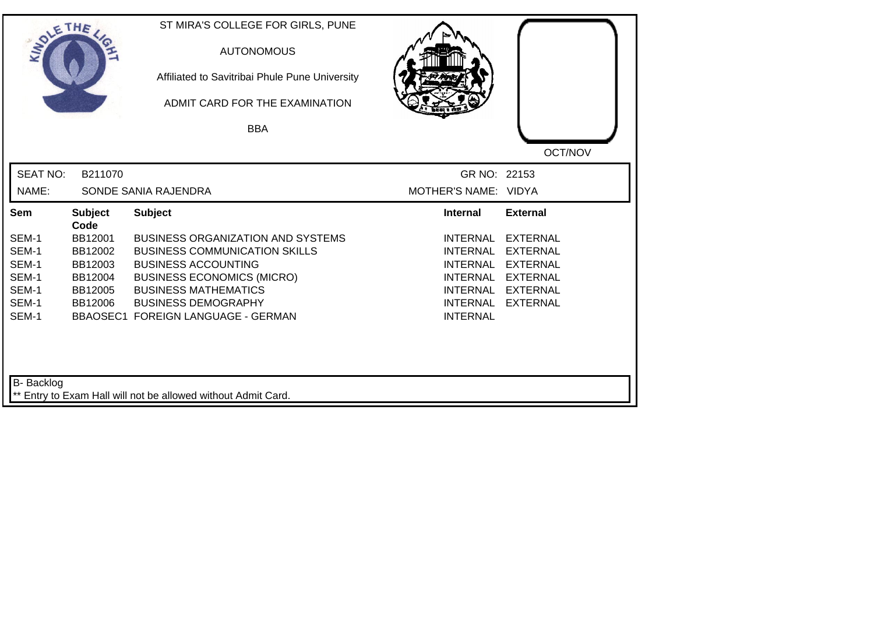| SOLETHE ,         |                        | ST MIRA'S COLLEGE FOR GIRLS, PUNE<br><b>AUTONOMOUS</b><br>Affiliated to Savitribai Phule Pune University<br>ADMIT CARD FOR THE EXAMINATION<br><b>BBA</b> |                                    |                 |
|-------------------|------------------------|----------------------------------------------------------------------------------------------------------------------------------------------------------|------------------------------------|-----------------|
|                   |                        |                                                                                                                                                          |                                    | OCT/NOV         |
| <b>SEAT NO:</b>   | B211070                |                                                                                                                                                          | GR NO: 22153                       |                 |
| NAME:             |                        | SONDE SANIA RAJENDRA                                                                                                                                     | MOTHER'S NAME: VIDYA               |                 |
| Sem               | <b>Subject</b><br>Code | <b>Subject</b>                                                                                                                                           | <b>Internal</b>                    | <b>External</b> |
| SEM-1             | BB12001                | <b>BUSINESS ORGANIZATION AND SYSTEMS</b>                                                                                                                 | <b>INTERNAL</b>                    | <b>EXTERNAL</b> |
| SEM-1             | BB12002                | <b>BUSINESS COMMUNICATION SKILLS</b>                                                                                                                     | <b>INTERNAL</b>                    | <b>EXTERNAL</b> |
| SEM-1             | BB12003                | <b>BUSINESS ACCOUNTING</b>                                                                                                                               | <b>INTERNAL</b>                    | <b>EXTERNAL</b> |
| SEM-1             | BB12004                | <b>BUSINESS ECONOMICS (MICRO)</b>                                                                                                                        | <b>INTERNAL</b>                    | <b>EXTERNAL</b> |
| SEM-1             | BB12005                | <b>BUSINESS MATHEMATICS</b>                                                                                                                              | <b>INTERNAL</b>                    | <b>EXTERNAL</b> |
| SEM-1<br>SEM-1    | BB12006                | <b>BUSINESS DEMOGRAPHY</b><br><b>BBAOSEC1 FOREIGN LANGUAGE - GERMAN</b>                                                                                  | <b>INTERNAL</b><br><b>INTERNAL</b> | <b>EXTERNAL</b> |
| <b>B-</b> Backlog |                        | ** Entry to Exam Hall will not be allowed without Admit Card.                                                                                            |                                    |                 |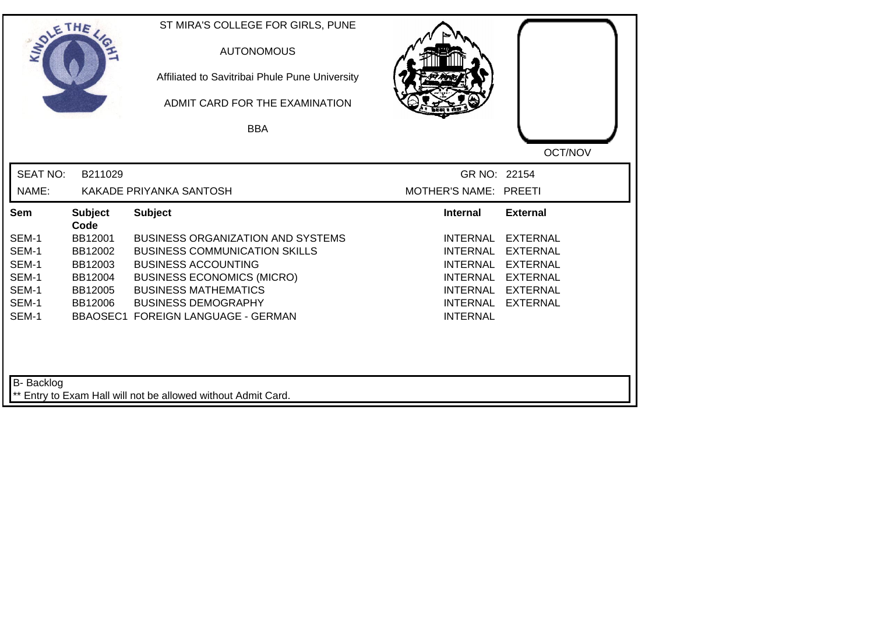| SOLETHE ,         |                        | ST MIRA'S COLLEGE FOR GIRLS, PUNE<br><b>AUTONOMOUS</b><br>Affiliated to Savitribai Phule Pune University<br>ADMIT CARD FOR THE EXAMINATION |                       |                 |
|-------------------|------------------------|--------------------------------------------------------------------------------------------------------------------------------------------|-----------------------|-----------------|
|                   |                        | <b>BBA</b>                                                                                                                                 |                       |                 |
|                   |                        |                                                                                                                                            |                       | OCT/NOV         |
| <b>SEAT NO:</b>   | B211029                |                                                                                                                                            | GR NO: 22154          |                 |
| NAME:             |                        | KAKADE PRIYANKA SANTOSH                                                                                                                    | MOTHER'S NAME: PREETI |                 |
| Sem               | <b>Subject</b><br>Code | <b>Subject</b>                                                                                                                             | <b>Internal</b>       | <b>External</b> |
| SEM-1             | BB12001                | <b>BUSINESS ORGANIZATION AND SYSTEMS</b>                                                                                                   | <b>INTERNAL</b>       | <b>EXTERNAL</b> |
| SEM-1             | BB12002                | <b>BUSINESS COMMUNICATION SKILLS</b>                                                                                                       | <b>INTERNAL</b>       | <b>EXTERNAL</b> |
| SEM-1             | BB12003                | <b>BUSINESS ACCOUNTING</b>                                                                                                                 | <b>INTERNAL</b>       | <b>EXTERNAL</b> |
| SEM-1             | BB12004                | <b>BUSINESS ECONOMICS (MICRO)</b>                                                                                                          | <b>INTERNAL</b>       | <b>EXTERNAL</b> |
| SEM-1             | BB12005                | <b>BUSINESS MATHEMATICS</b>                                                                                                                | INTERNAL              | <b>EXTERNAL</b> |
| SEM-1<br>SEM-1    | BB12006                | <b>BUSINESS DEMOGRAPHY</b>                                                                                                                 | <b>INTERNAL</b>       | <b>EXTERNAL</b> |
|                   |                        | <b>BBAOSEC1 FOREIGN LANGUAGE - GERMAN</b>                                                                                                  | <b>INTERNAL</b>       |                 |
| <b>B-</b> Backlog |                        | ** Entry to Exam Hall will not be allowed without Admit Card.                                                                              |                       |                 |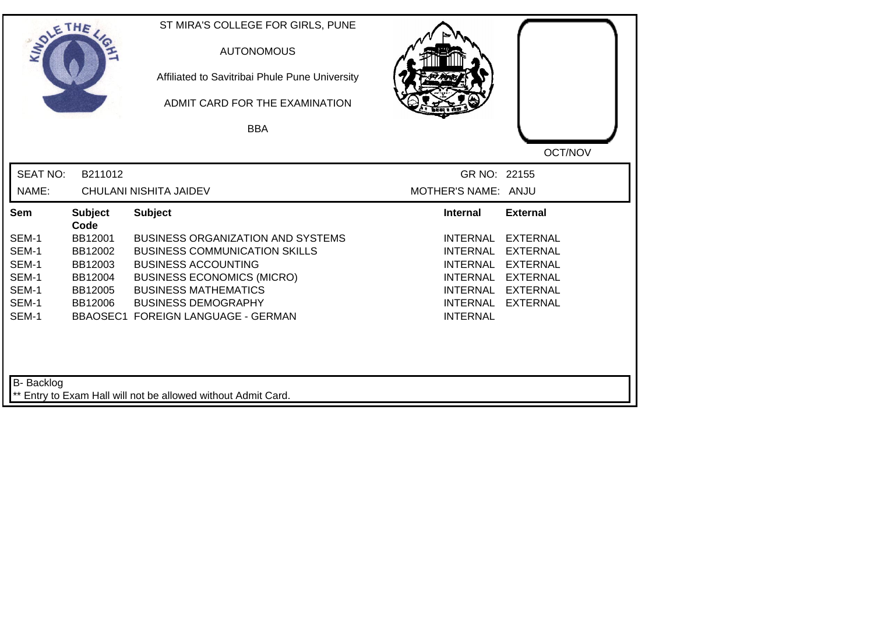| SOLETHE ,                |                | ST MIRA'S COLLEGE FOR GIRLS, PUNE<br><b>AUTONOMOUS</b><br>Affiliated to Savitribai Phule Pune University<br>ADMIT CARD FOR THE EXAMINATION<br><b>BBA</b> |                                     |                 |
|--------------------------|----------------|----------------------------------------------------------------------------------------------------------------------------------------------------------|-------------------------------------|-----------------|
| <b>SEAT NO:</b><br>NAME: | B211012        | CHULANI NISHITA JAIDEV                                                                                                                                   | GR NO: 22155<br>MOTHER'S NAME: ANJU | OCT/NOV         |
| Sem                      | <b>Subject</b> | <b>Subject</b>                                                                                                                                           | <b>Internal</b>                     | <b>External</b> |
|                          | Code           |                                                                                                                                                          |                                     |                 |
| SEM-1                    | BB12001        | <b>BUSINESS ORGANIZATION AND SYSTEMS</b>                                                                                                                 | <b>INTERNAL</b>                     | <b>EXTERNAL</b> |
| SEM-1                    | BB12002        | <b>BUSINESS COMMUNICATION SKILLS</b>                                                                                                                     | <b>INTERNAL</b>                     | <b>EXTERNAL</b> |
| SEM-1                    | BB12003        | <b>BUSINESS ACCOUNTING</b>                                                                                                                               | <b>INTERNAL</b>                     | <b>EXTERNAL</b> |
| SEM-1                    | BB12004        | <b>BUSINESS ECONOMICS (MICRO)</b>                                                                                                                        | <b>INTERNAL</b>                     | <b>EXTERNAL</b> |
| SEM-1                    | BB12005        | <b>BUSINESS MATHEMATICS</b>                                                                                                                              | <b>INTERNAL</b>                     | <b>EXTERNAL</b> |
| SEM-1                    | BB12006        | <b>BUSINESS DEMOGRAPHY</b>                                                                                                                               | <b>INTERNAL</b>                     | <b>EXTERNAL</b> |
| SEM-1                    |                | BBAOSEC1 FOREIGN LANGUAGE - GERMAN                                                                                                                       | <b>INTERNAL</b>                     |                 |
| B- Backlog               |                | ** Entry to Exam Hall will not be allowed without Admit Card.                                                                                            |                                     |                 |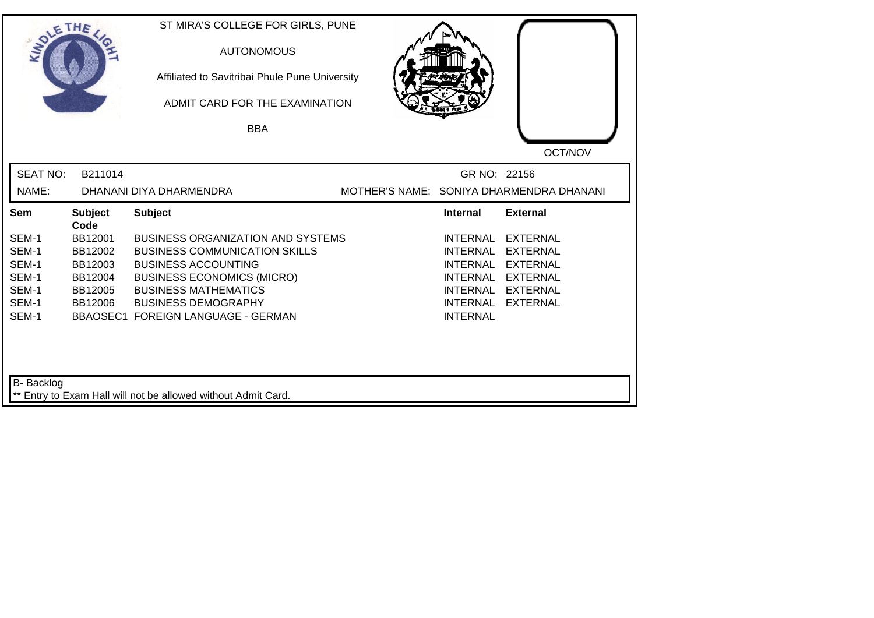| SOLETHE ,                                                   |                                                                | ST MIRA'S COLLEGE FOR GIRLS, PUNE<br><b>AUTONOMOUS</b><br>Affiliated to Savitribai Phule Pune University<br>ADMIT CARD FOR THE EXAMINATION<br><b>BBA</b>                                                                                               |                                                                                                                                   | OCT/NOV                                                                                                        |
|-------------------------------------------------------------|----------------------------------------------------------------|--------------------------------------------------------------------------------------------------------------------------------------------------------------------------------------------------------------------------------------------------------|-----------------------------------------------------------------------------------------------------------------------------------|----------------------------------------------------------------------------------------------------------------|
| <b>SEAT NO:</b><br>NAME:                                    | B211014                                                        | DHANANI DIYA DHARMENDRA                                                                                                                                                                                                                                | GR NO: 22156                                                                                                                      | MOTHER'S NAME: SONIYA DHARMENDRA DHANANI                                                                       |
| Sem                                                         | <b>Subject</b><br>Code                                         | <b>Subject</b>                                                                                                                                                                                                                                         | <b>Internal</b>                                                                                                                   | <b>External</b>                                                                                                |
| SEM-1<br>SEM-1<br>SEM-1<br>SEM-1<br>SEM-1<br>SEM-1<br>SEM-1 | BB12001<br>BB12002<br>BB12003<br>BB12004<br>BB12005<br>BB12006 | <b>BUSINESS ORGANIZATION AND SYSTEMS</b><br><b>BUSINESS COMMUNICATION SKILLS</b><br><b>BUSINESS ACCOUNTING</b><br><b>BUSINESS ECONOMICS (MICRO)</b><br><b>BUSINESS MATHEMATICS</b><br><b>BUSINESS DEMOGRAPHY</b><br>BBAOSEC1 FOREIGN LANGUAGE - GERMAN | <b>INTERNAL</b><br><b>INTERNAL</b><br><b>INTERNAL</b><br><b>INTERNAL</b><br><b>INTERNAL</b><br><b>INTERNAL</b><br><b>INTERNAL</b> | <b>EXTERNAL</b><br><b>EXTERNAL</b><br><b>EXTERNAL</b><br><b>EXTERNAL</b><br><b>EXTERNAL</b><br><b>EXTERNAL</b> |
| B- Backlog                                                  |                                                                | ** Entry to Exam Hall will not be allowed without Admit Card.                                                                                                                                                                                          |                                                                                                                                   |                                                                                                                |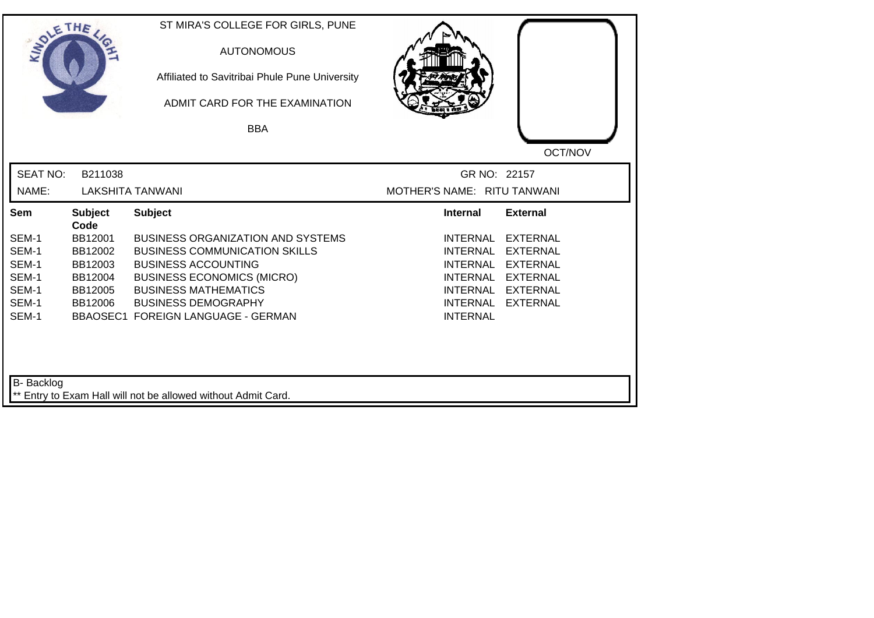| SOLETHE ,                  |                        | ST MIRA'S COLLEGE FOR GIRLS, PUNE<br><b>AUTONOMOUS</b><br>Affiliated to Savitribai Phule Pune University<br>ADMIT CARD FOR THE EXAMINATION<br><b>BBA</b> |                             |                 |
|----------------------------|------------------------|----------------------------------------------------------------------------------------------------------------------------------------------------------|-----------------------------|-----------------|
|                            |                        |                                                                                                                                                          |                             | OCT/NOV         |
| <b>SEAT NO:</b>            | B211038                |                                                                                                                                                          | GR NO: 22157                |                 |
| NAME:                      |                        | <b>LAKSHITA TANWANI</b>                                                                                                                                  | MOTHER'S NAME: RITU TANWANI |                 |
| Sem                        | <b>Subject</b><br>Code | <b>Subject</b>                                                                                                                                           | <b>Internal</b>             | <b>External</b> |
| SEM-1                      | BB12001                | BUSINESS ORGANIZATION AND SYSTEMS                                                                                                                        | <b>INTERNAL</b>             | <b>EXTERNAL</b> |
| SEM-1                      | BB12002                | <b>BUSINESS COMMUNICATION SKILLS</b>                                                                                                                     | <b>INTERNAL</b>             | <b>EXTERNAL</b> |
| SEM-1                      | BB12003                | <b>BUSINESS ACCOUNTING</b>                                                                                                                               | <b>INTERNAL</b>             | <b>EXTERNAL</b> |
| SEM-1                      | BB12004                | <b>BUSINESS ECONOMICS (MICRO)</b>                                                                                                                        | INTERNAL                    | <b>EXTERNAL</b> |
| SEM-1                      | BB12005                | <b>BUSINESS MATHEMATICS</b>                                                                                                                              | INTERNAL                    | <b>EXTERNAL</b> |
| SEM-1                      | BB12006                | <b>BUSINESS DEMOGRAPHY</b>                                                                                                                               | <b>INTERNAL</b>             | <b>EXTERNAL</b> |
| SEM-1<br><b>B-</b> Backlog |                        | BBAOSEC1 FOREIGN LANGUAGE - GERMAN<br>** Entry to Exam Hall will not be allowed without Admit Card.                                                      | <b>INTERNAL</b>             |                 |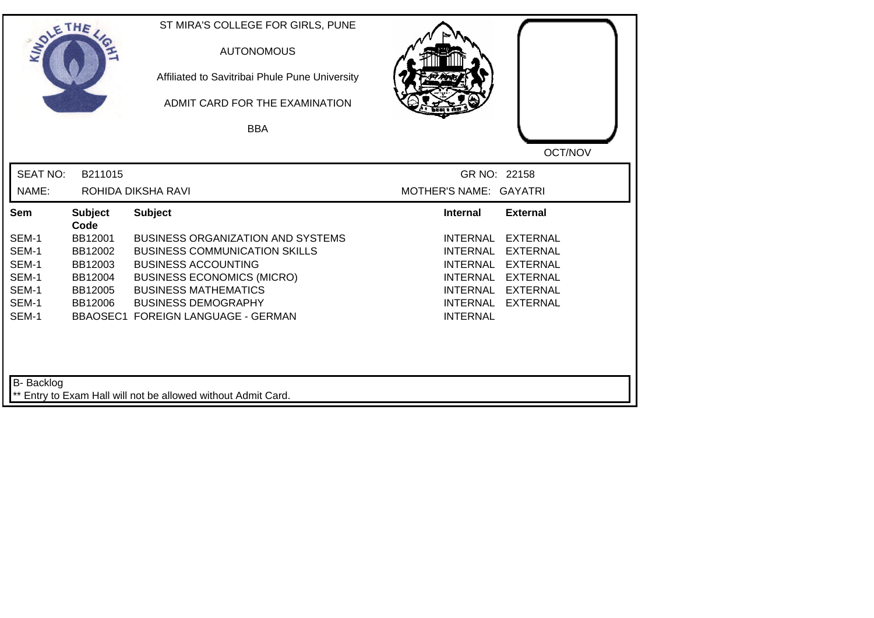| SOLETHE           |                        | ST MIRA'S COLLEGE FOR GIRLS, PUNE<br><b>AUTONOMOUS</b><br>Affiliated to Savitribai Phule Pune University<br>ADMIT CARD FOR THE EXAMINATION<br><b>BBA</b> |                                                       |  |
|-------------------|------------------------|----------------------------------------------------------------------------------------------------------------------------------------------------------|-------------------------------------------------------|--|
|                   |                        |                                                                                                                                                          | OCT/NOV                                               |  |
| <b>SEAT NO:</b>   | B211015                |                                                                                                                                                          | GR NO: 22158                                          |  |
| NAME:             |                        | ROHIDA DIKSHA RAVI                                                                                                                                       | MOTHER'S NAME: GAYATRI                                |  |
| Sem               | <b>Subject</b><br>Code | <b>Subject</b>                                                                                                                                           | <b>External</b><br><b>Internal</b>                    |  |
| SEM-1             | BB12001                | <b>BUSINESS ORGANIZATION AND SYSTEMS</b>                                                                                                                 | <b>INTERNAL</b><br><b>EXTERNAL</b>                    |  |
| SEM-1             | BB12002                | <b>BUSINESS COMMUNICATION SKILLS</b>                                                                                                                     | <b>EXTERNAL</b><br><b>INTERNAL</b>                    |  |
| SEM-1             | BB12003                | <b>BUSINESS ACCOUNTING</b>                                                                                                                               | <b>INTERNAL</b><br><b>EXTERNAL</b>                    |  |
| SEM-1             | BB12004                | <b>BUSINESS ECONOMICS (MICRO)</b>                                                                                                                        | <b>INTERNAL</b><br><b>EXTERNAL</b>                    |  |
| SEM-1             | BB12005                | <b>BUSINESS MATHEMATICS</b>                                                                                                                              | <b>INTERNAL</b><br><b>EXTERNAL</b>                    |  |
| SEM-1<br>SEM-1    | BB12006                | <b>BUSINESS DEMOGRAPHY</b><br><b>BBAOSEC1 FOREIGN LANGUAGE - GERMAN</b>                                                                                  | <b>INTERNAL</b><br><b>EXTERNAL</b><br><b>INTERNAL</b> |  |
| <b>B-</b> Backlog |                        | ** Entry to Exam Hall will not be allowed without Admit Card.                                                                                            |                                                       |  |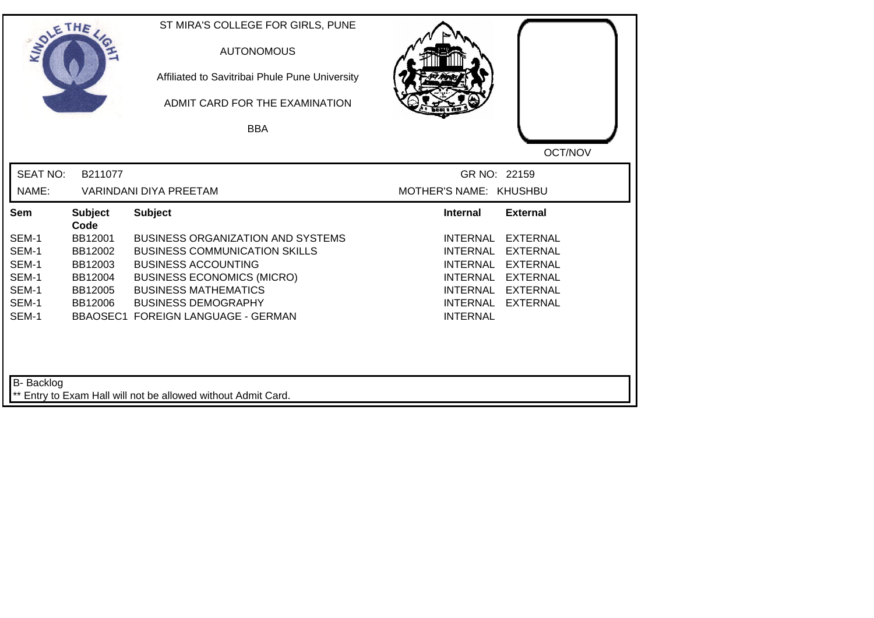| SOLETHE ,       |                        | ST MIRA'S COLLEGE FOR GIRLS, PUNE<br><b>AUTONOMOUS</b><br>Affiliated to Savitribai Phule Pune University<br>ADMIT CARD FOR THE EXAMINATION |                                    |                                    |
|-----------------|------------------------|--------------------------------------------------------------------------------------------------------------------------------------------|------------------------------------|------------------------------------|
|                 |                        | <b>BBA</b>                                                                                                                                 |                                    |                                    |
|                 |                        |                                                                                                                                            |                                    | OCT/NOV                            |
| <b>SEAT NO:</b> | B211077                |                                                                                                                                            | GR NO: 22159                       |                                    |
| NAME:           |                        | <b>VARINDANI DIYA PREETAM</b>                                                                                                              | MOTHER'S NAME: KHUSHBU             |                                    |
| Sem             | <b>Subject</b><br>Code | <b>Subject</b>                                                                                                                             | <b>Internal</b>                    | <b>External</b>                    |
| SEM-1           | BB12001                | <b>BUSINESS ORGANIZATION AND SYSTEMS</b>                                                                                                   | <b>INTERNAL</b>                    | <b>EXTERNAL</b>                    |
| SEM-1           | BB12002                | <b>BUSINESS COMMUNICATION SKILLS</b>                                                                                                       | <b>INTERNAL</b>                    | <b>EXTERNAL</b>                    |
| SEM-1           | BB12003                | <b>BUSINESS ACCOUNTING</b>                                                                                                                 | <b>INTERNAL</b>                    | <b>EXTERNAL</b>                    |
| SEM-1           | BB12004                | <b>BUSINESS ECONOMICS (MICRO)</b>                                                                                                          | INTERNAL                           | <b>EXTERNAL</b>                    |
| SEM-1<br>SEM-1  | BB12005<br>BB12006     | <b>BUSINESS MATHEMATICS</b><br><b>BUSINESS DEMOGRAPHY</b>                                                                                  | <b>INTERNAL</b><br><b>INTERNAL</b> | <b>EXTERNAL</b><br><b>EXTERNAL</b> |
| SEM-1           |                        | BBAOSEC1 FOREIGN LANGUAGE - GERMAN                                                                                                         | <b>INTERNAL</b>                    |                                    |
| B- Backlog      |                        | ** Entry to Exam Hall will not be allowed without Admit Card.                                                                              |                                    |                                    |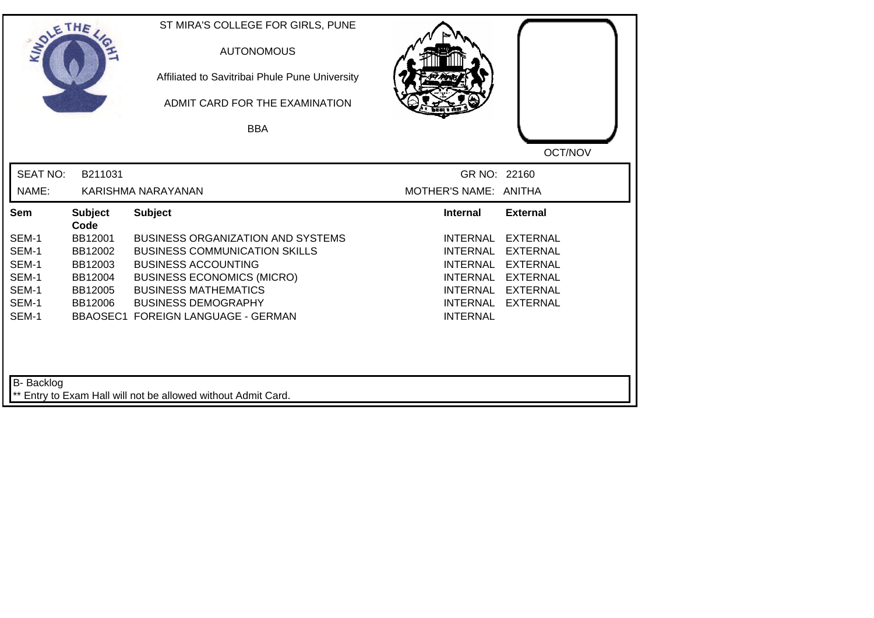| SOLE THE        |                        | ST MIRA'S COLLEGE FOR GIRLS, PUNE<br><b>AUTONOMOUS</b><br>Affiliated to Savitribai Phule Pune University<br>ADMIT CARD FOR THE EXAMINATION |                       |                 |
|-----------------|------------------------|--------------------------------------------------------------------------------------------------------------------------------------------|-----------------------|-----------------|
|                 |                        | <b>BBA</b>                                                                                                                                 |                       |                 |
|                 |                        |                                                                                                                                            |                       | OCT/NOV         |
| <b>SEAT NO:</b> | B211031                |                                                                                                                                            | GR NO: 22160          |                 |
| NAME:           |                        | KARISHMA NARAYANAN                                                                                                                         | MOTHER'S NAME: ANITHA |                 |
| Sem             | <b>Subject</b><br>Code | <b>Subject</b>                                                                                                                             | <b>Internal</b>       | <b>External</b> |
| SEM-1           | BB12001                | <b>BUSINESS ORGANIZATION AND SYSTEMS</b>                                                                                                   | <b>INTERNAL</b>       | <b>EXTERNAL</b> |
| SEM-1           | BB12002                | <b>BUSINESS COMMUNICATION SKILLS</b>                                                                                                       | <b>INTERNAL</b>       | <b>EXTERNAL</b> |
| SEM-1           | BB12003                | <b>BUSINESS ACCOUNTING</b>                                                                                                                 | <b>INTERNAL</b>       | <b>EXTERNAL</b> |
| SEM-1           | BB12004                | <b>BUSINESS ECONOMICS (MICRO)</b>                                                                                                          | <b>INTERNAL</b>       | <b>EXTERNAL</b> |
| SEM-1<br>SEM-1  | BB12005                | <b>BUSINESS MATHEMATICS</b><br><b>BUSINESS DEMOGRAPHY</b>                                                                                  | INTERNAL<br>INTERNAL  | <b>EXTERNAL</b> |
| SEM-1           | BB12006                | <b>BBAOSEC1 FOREIGN LANGUAGE - GERMAN</b>                                                                                                  | <b>INTERNAL</b>       | <b>EXTERNAL</b> |
| B- Backlog      |                        | ** Entry to Exam Hall will not be allowed without Admit Card.                                                                              |                       |                 |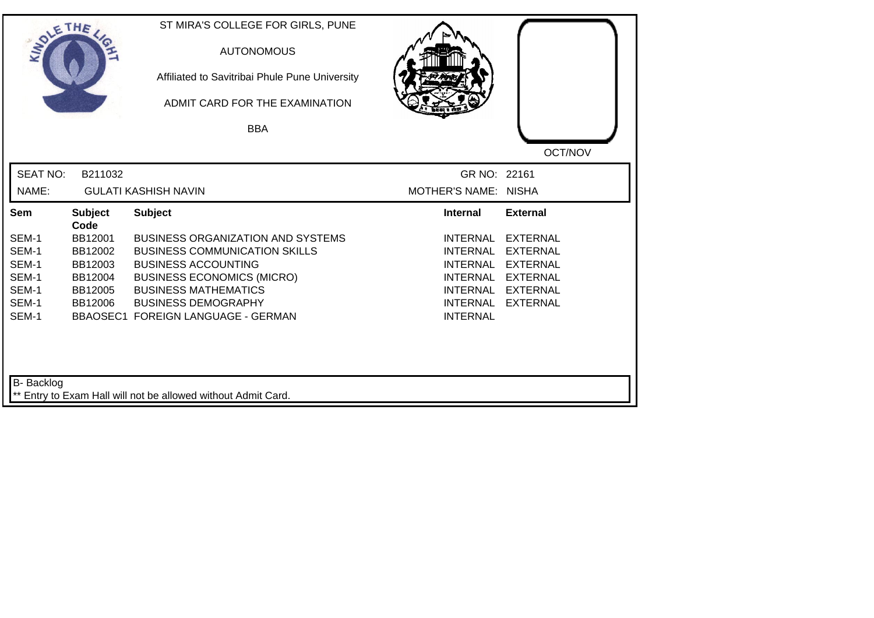| SOLETHE .                                                   |                                                                        | ST MIRA'S COLLEGE FOR GIRLS, PUNE<br><b>AUTONOMOUS</b><br>Affiliated to Savitribai Phule Pune University<br>ADMIT CARD FOR THE EXAMINATION<br><b>BBA</b>                                                                                               |                                                                                                                                   | OCT/NOV                                                                                                        |
|-------------------------------------------------------------|------------------------------------------------------------------------|--------------------------------------------------------------------------------------------------------------------------------------------------------------------------------------------------------------------------------------------------------|-----------------------------------------------------------------------------------------------------------------------------------|----------------------------------------------------------------------------------------------------------------|
| <b>SEAT NO:</b><br>NAME:                                    | B211032                                                                | <b>GULATI KASHISH NAVIN</b>                                                                                                                                                                                                                            | GR NO: 22161<br><b>MOTHER'S NAME: NISHA</b>                                                                                       |                                                                                                                |
| Sem                                                         | <b>Subject</b>                                                         | <b>Subject</b>                                                                                                                                                                                                                                         | <b>Internal</b>                                                                                                                   | <b>External</b>                                                                                                |
| SEM-1<br>SEM-1<br>SEM-1<br>SEM-1<br>SEM-1<br>SEM-1<br>SEM-1 | Code<br>BB12001<br>BB12002<br>BB12003<br>BB12004<br>BB12005<br>BB12006 | <b>BUSINESS ORGANIZATION AND SYSTEMS</b><br><b>BUSINESS COMMUNICATION SKILLS</b><br><b>BUSINESS ACCOUNTING</b><br><b>BUSINESS ECONOMICS (MICRO)</b><br><b>BUSINESS MATHEMATICS</b><br><b>BUSINESS DEMOGRAPHY</b><br>BBAOSEC1 FOREIGN LANGUAGE - GERMAN | <b>INTERNAL</b><br><b>INTERNAL</b><br><b>INTERNAL</b><br><b>INTERNAL</b><br><b>INTERNAL</b><br><b>INTERNAL</b><br><b>INTERNAL</b> | <b>EXTERNAL</b><br><b>EXTERNAL</b><br><b>EXTERNAL</b><br><b>EXTERNAL</b><br><b>EXTERNAL</b><br><b>EXTERNAL</b> |
| B- Backlog                                                  |                                                                        | ** Entry to Exam Hall will not be allowed without Admit Card.                                                                                                                                                                                          |                                                                                                                                   |                                                                                                                |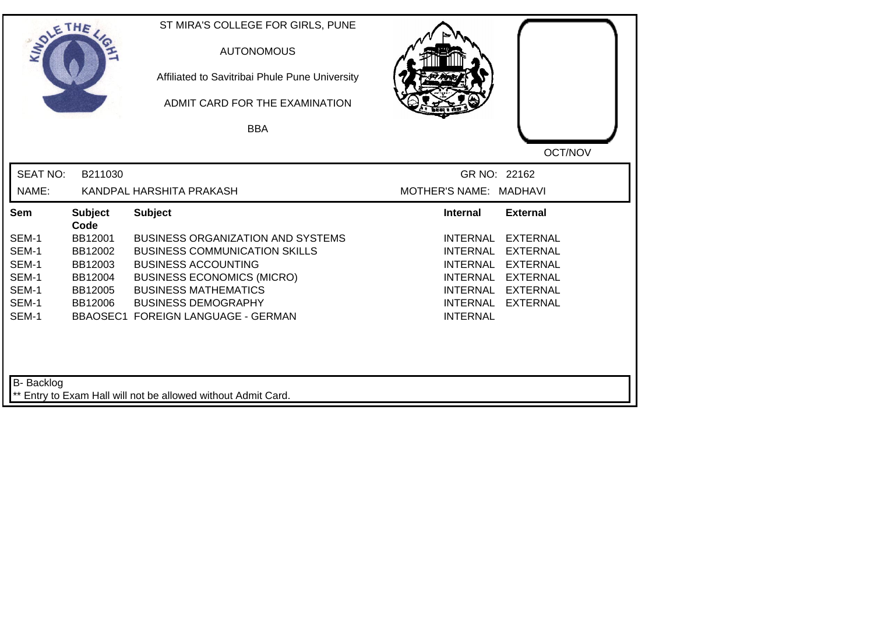| SOLE THE        |                        | ST MIRA'S COLLEGE FOR GIRLS, PUNE<br><b>AUTONOMOUS</b><br>Affiliated to Savitribai Phule Pune University<br>ADMIT CARD FOR THE EXAMINATION |                                                       |
|-----------------|------------------------|--------------------------------------------------------------------------------------------------------------------------------------------|-------------------------------------------------------|
|                 |                        | <b>BBA</b>                                                                                                                                 | OCT/NOV                                               |
| <b>SEAT NO:</b> | B211030                |                                                                                                                                            | GR NO: 22162                                          |
| NAME:           |                        | KANDPAL HARSHITA PRAKASH                                                                                                                   | MOTHER'S NAME: MADHAVI                                |
| Sem             | <b>Subject</b><br>Code | <b>Subject</b>                                                                                                                             | <b>External</b><br><b>Internal</b>                    |
| SEM-1           | BB12001                | <b>BUSINESS ORGANIZATION AND SYSTEMS</b>                                                                                                   | <b>INTERNAL</b><br><b>EXTERNAL</b>                    |
| SEM-1           | BB12002                | <b>BUSINESS COMMUNICATION SKILLS</b>                                                                                                       | <b>INTERNAL</b><br><b>EXTERNAL</b>                    |
| SEM-1           | BB12003                | <b>BUSINESS ACCOUNTING</b>                                                                                                                 | <b>INTERNAL</b><br><b>EXTERNAL</b>                    |
| SEM-1           | BB12004                | <b>BUSINESS ECONOMICS (MICRO)</b>                                                                                                          | <b>INTERNAL</b><br><b>EXTERNAL</b>                    |
| SEM-1<br>SEM-1  | BB12005                | <b>BUSINESS MATHEMATICS</b>                                                                                                                | <b>EXTERNAL</b><br>INTERNAL                           |
| SEM-1           | BB12006                | <b>BUSINESS DEMOGRAPHY</b><br>BBAOSEC1 FOREIGN LANGUAGE - GERMAN                                                                           | <b>EXTERNAL</b><br><b>INTERNAL</b><br><b>INTERNAL</b> |
| B- Backlog      |                        | Entry to Exam Hall will not be allowed without Admit Card.                                                                                 |                                                       |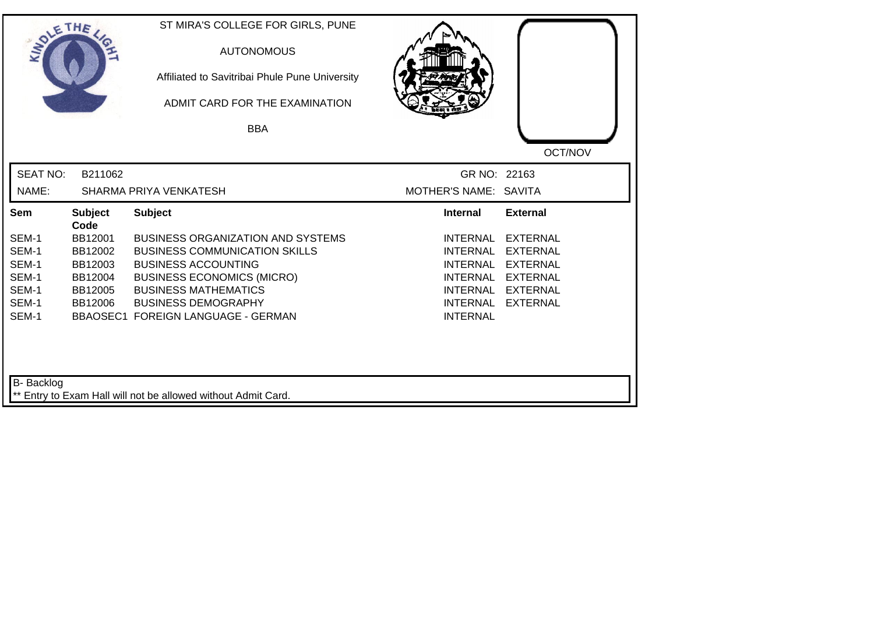| SOLETHE .         |                        | ST MIRA'S COLLEGE FOR GIRLS, PUNE<br><b>AUTONOMOUS</b><br>Affiliated to Savitribai Phule Pune University<br>ADMIT CARD FOR THE EXAMINATION |                             |                 |
|-------------------|------------------------|--------------------------------------------------------------------------------------------------------------------------------------------|-----------------------------|-----------------|
|                   |                        | <b>BBA</b>                                                                                                                                 |                             |                 |
|                   |                        |                                                                                                                                            |                             | OCT/NOV         |
| <b>SEAT NO:</b>   | B211062                |                                                                                                                                            | GR NO: 22163                |                 |
| NAME:             |                        | SHARMA PRIYA VENKATESH                                                                                                                     | MOTHER'S NAME: SAVITA       |                 |
| Sem               | <b>Subject</b><br>Code | <b>Subject</b>                                                                                                                             | <b>Internal</b>             | <b>External</b> |
| SEM-1             | BB12001                | <b>BUSINESS ORGANIZATION AND SYSTEMS</b>                                                                                                   | <b>INTERNAL</b>             | <b>EXTERNAL</b> |
| SEM-1             | BB12002                | <b>BUSINESS COMMUNICATION SKILLS</b>                                                                                                       | <b>INTERNAL</b>             | <b>EXTERNAL</b> |
| SEM-1             | BB12003                | <b>BUSINESS ACCOUNTING</b>                                                                                                                 | <b>INTERNAL</b>             | <b>EXTERNAL</b> |
| SEM-1             | BB12004                | <b>BUSINESS ECONOMICS (MICRO)</b>                                                                                                          | <b>INTERNAL</b>             | <b>EXTERNAL</b> |
| SEM-1<br>SEM-1    | BB12005                | <b>BUSINESS MATHEMATICS</b><br><b>BUSINESS DEMOGRAPHY</b>                                                                                  | INTERNAL<br><b>INTERNAL</b> | <b>EXTERNAL</b> |
| SEM-1             | BB12006                | BBAOSEC1 FOREIGN LANGUAGE - GERMAN                                                                                                         | <b>INTERNAL</b>             | <b>EXTERNAL</b> |
| <b>B-</b> Backlog |                        | ** Entry to Exam Hall will not be allowed without Admit Card.                                                                              |                             |                 |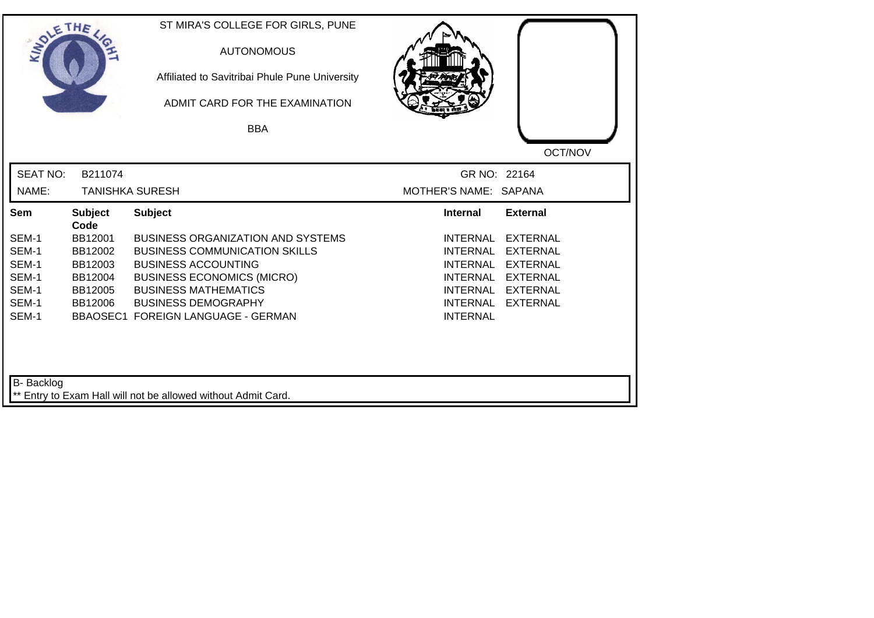| SOLETHE .       |                        | ST MIRA'S COLLEGE FOR GIRLS, PUNE<br><b>AUTONOMOUS</b><br>Affiliated to Savitribai Phule Pune University<br>ADMIT CARD FOR THE EXAMINATION<br><b>BBA</b> |                                    |                 |
|-----------------|------------------------|----------------------------------------------------------------------------------------------------------------------------------------------------------|------------------------------------|-----------------|
|                 |                        |                                                                                                                                                          |                                    | OCT/NOV         |
| <b>SEAT NO:</b> | B211074                |                                                                                                                                                          | GR NO: 22164                       |                 |
| NAME:           |                        | <b>TANISHKA SURESH</b>                                                                                                                                   | MOTHER'S NAME: SAPANA              |                 |
| Sem             | <b>Subject</b><br>Code | <b>Subject</b>                                                                                                                                           | <b>Internal</b>                    | <b>External</b> |
| SEM-1           | BB12001                | <b>BUSINESS ORGANIZATION AND SYSTEMS</b>                                                                                                                 | <b>INTERNAL</b>                    | <b>EXTERNAL</b> |
| SEM-1           | BB12002                | <b>BUSINESS COMMUNICATION SKILLS</b>                                                                                                                     | <b>INTERNAL</b>                    | <b>EXTERNAL</b> |
| SEM-1           | BB12003                | <b>BUSINESS ACCOUNTING</b>                                                                                                                               | <b>INTERNAL</b>                    | <b>EXTERNAL</b> |
| SEM-1           | BB12004                | <b>BUSINESS ECONOMICS (MICRO)</b>                                                                                                                        | <b>INTERNAL</b>                    | <b>EXTERNAL</b> |
| SEM-1           | BB12005                | <b>BUSINESS MATHEMATICS</b>                                                                                                                              | <b>INTERNAL</b>                    | <b>EXTERNAL</b> |
| SEM-1<br>SEM-1  | BB12006                | <b>BUSINESS DEMOGRAPHY</b><br>BBAOSEC1 FOREIGN LANGUAGE - GERMAN                                                                                         | <b>INTERNAL</b><br><b>INTERNAL</b> | <b>EXTERNAL</b> |
| B- Backlog      |                        | ** Entry to Exam Hall will not be allowed without Admit Card.                                                                                            |                                    |                 |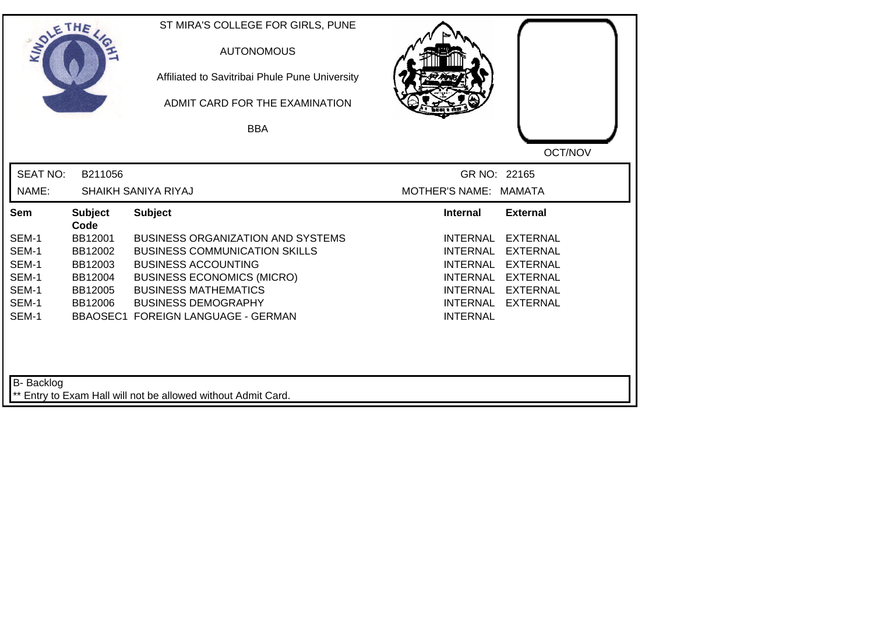| SOLETHE ,         |                        | ST MIRA'S COLLEGE FOR GIRLS, PUNE<br><b>AUTONOMOUS</b><br>Affiliated to Savitribai Phule Pune University<br>ADMIT CARD FOR THE EXAMINATION<br><b>BBA</b> |                                                       |
|-------------------|------------------------|----------------------------------------------------------------------------------------------------------------------------------------------------------|-------------------------------------------------------|
|                   |                        |                                                                                                                                                          |                                                       |
| <b>SEAT NO:</b>   | B211056                |                                                                                                                                                          | OCT/NOV<br>GR NO: 22165                               |
| NAME:             |                        | SHAIKH SANIYA RIYAJ                                                                                                                                      | MOTHER'S NAME: MAMATA                                 |
| Sem               | <b>Subject</b><br>Code | <b>Subject</b>                                                                                                                                           | <b>External</b><br><b>Internal</b>                    |
| SEM-1             | BB12001                | <b>BUSINESS ORGANIZATION AND SYSTEMS</b>                                                                                                                 | <b>INTERNAL</b><br><b>EXTERNAL</b>                    |
| SEM-1             | BB12002                | <b>BUSINESS COMMUNICATION SKILLS</b>                                                                                                                     | <b>INTERNAL</b><br><b>EXTERNAL</b>                    |
| SEM-1             | BB12003                | <b>BUSINESS ACCOUNTING</b>                                                                                                                               | <b>INTERNAL</b><br><b>EXTERNAL</b>                    |
| SEM-1             | BB12004                | <b>BUSINESS ECONOMICS (MICRO)</b>                                                                                                                        | <b>INTERNAL</b><br><b>EXTERNAL</b>                    |
| SEM-1             | BB12005                | <b>BUSINESS MATHEMATICS</b>                                                                                                                              | <b>EXTERNAL</b><br>INTERNAL                           |
| SEM-1<br>SEM-1    | BB12006                | <b>BUSINESS DEMOGRAPHY</b><br><b>BBAOSEC1 FOREIGN LANGUAGE - GERMAN</b>                                                                                  | <b>INTERNAL</b><br><b>EXTERNAL</b><br><b>INTERNAL</b> |
| <b>B-</b> Backlog |                        |                                                                                                                                                          |                                                       |
|                   |                        | ** Entry to Exam Hall will not be allowed without Admit Card.                                                                                            |                                                       |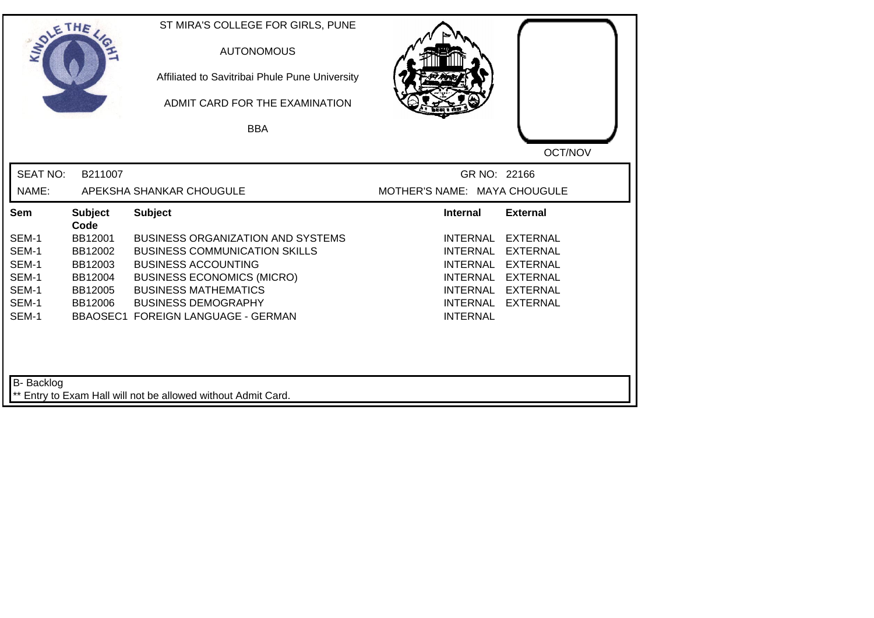| SOLETHE .                                                   |                                                                        | ST MIRA'S COLLEGE FOR GIRLS, PUNE<br><b>AUTONOMOUS</b><br>Affiliated to Savitribai Phule Pune University<br>ADMIT CARD FOR THE EXAMINATION<br><b>BBA</b>                                                                                               |                                                                                                         |                                                                                                                  |
|-------------------------------------------------------------|------------------------------------------------------------------------|--------------------------------------------------------------------------------------------------------------------------------------------------------------------------------------------------------------------------------------------------------|---------------------------------------------------------------------------------------------------------|------------------------------------------------------------------------------------------------------------------|
| <b>SEAT NO:</b><br>NAME:                                    | B211007                                                                | APEKSHA SHANKAR CHOUGULE                                                                                                                                                                                                                               | GR NO: 22166<br>MOTHER'S NAME: MAYA CHOUGULE                                                            | OCT/NOV                                                                                                          |
| Sem                                                         | <b>Subject</b>                                                         | <b>Subject</b>                                                                                                                                                                                                                                         | <b>Internal</b>                                                                                         | <b>External</b>                                                                                                  |
| SEM-1<br>SEM-1<br>SEM-1<br>SEM-1<br>SEM-1<br>SEM-1<br>SEM-1 | Code<br>BB12001<br>BB12002<br>BB12003<br>BB12004<br>BB12005<br>BB12006 | <b>BUSINESS ORGANIZATION AND SYSTEMS</b><br><b>BUSINESS COMMUNICATION SKILLS</b><br><b>BUSINESS ACCOUNTING</b><br><b>BUSINESS ECONOMICS (MICRO)</b><br><b>BUSINESS MATHEMATICS</b><br><b>BUSINESS DEMOGRAPHY</b><br>BBAOSEC1 FOREIGN LANGUAGE - GERMAN | <b>INTERNAL</b><br><b>INTERNAL</b><br><b>INTERNAL</b><br>INTERNAL<br><b>INTERNAL</b><br><b>INTERNAL</b> | <b>EXTERNAL</b><br><b>EXTERNAL</b><br><b>EXTERNAL</b><br>INTERNAL EXTERNAL<br><b>EXTERNAL</b><br><b>EXTERNAL</b> |
| <b>B-</b> Backlog                                           |                                                                        | ** Entry to Exam Hall will not be allowed without Admit Card.                                                                                                                                                                                          |                                                                                                         |                                                                                                                  |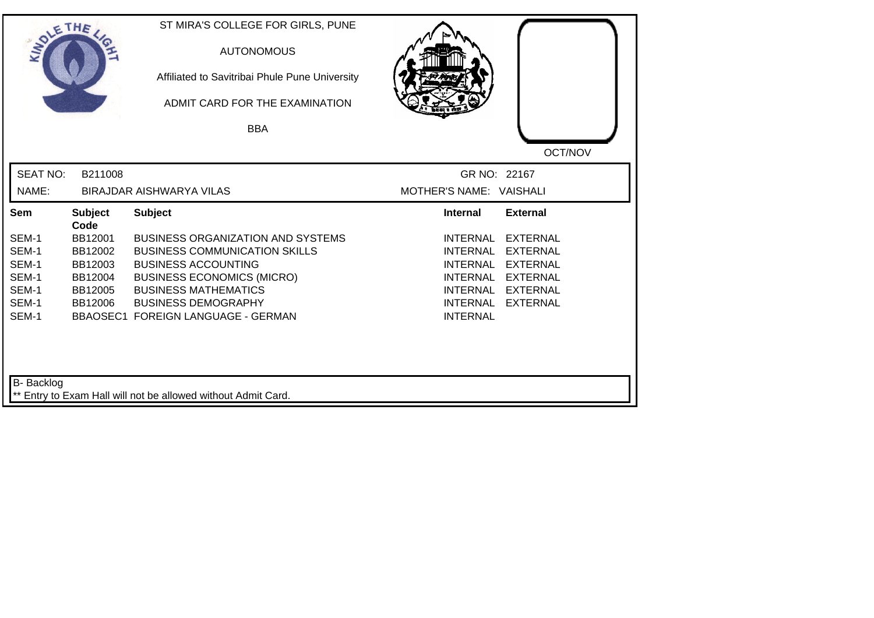| SOLETHE           |                        | ST MIRA'S COLLEGE FOR GIRLS, PUNE<br><b>AUTONOMOUS</b><br>Affiliated to Savitribai Phule Pune University<br>ADMIT CARD FOR THE EXAMINATION |                             |                                    |
|-------------------|------------------------|--------------------------------------------------------------------------------------------------------------------------------------------|-----------------------------|------------------------------------|
|                   |                        | <b>BBA</b>                                                                                                                                 |                             |                                    |
|                   |                        |                                                                                                                                            |                             | OCT/NOV                            |
| <b>SEAT NO:</b>   | B211008                |                                                                                                                                            | GR NO: 22167                |                                    |
| NAME:             |                        | BIRAJDAR AISHWARYA VILAS                                                                                                                   | MOTHER'S NAME: VAISHALI     |                                    |
| Sem               | <b>Subject</b><br>Code | <b>Subject</b>                                                                                                                             | <b>Internal</b>             | <b>External</b>                    |
| SEM-1             | BB12001                | <b>BUSINESS ORGANIZATION AND SYSTEMS</b>                                                                                                   | <b>INTERNAL</b>             | <b>EXTERNAL</b>                    |
| SEM-1             | BB12002                | <b>BUSINESS COMMUNICATION SKILLS</b>                                                                                                       | <b>INTERNAL</b>             | <b>EXTERNAL</b>                    |
| SEM-1             | BB12003                | <b>BUSINESS ACCOUNTING</b>                                                                                                                 | <b>INTERNAL</b>             | <b>EXTERNAL</b>                    |
| SEM-1             | BB12004                | <b>BUSINESS ECONOMICS (MICRO)</b>                                                                                                          | <b>INTERNAL</b>             | <b>EXTERNAL</b>                    |
| SEM-1<br>SEM-1    | BB12005<br>BB12006     | <b>BUSINESS MATHEMATICS</b><br><b>BUSINESS DEMOGRAPHY</b>                                                                                  | <b>INTERNAL</b><br>INTERNAL | <b>EXTERNAL</b><br><b>EXTERNAL</b> |
| SEM-1             |                        | <b>BBAOSEC1 FOREIGN LANGUAGE - GERMAN</b>                                                                                                  | <b>INTERNAL</b>             |                                    |
| <b>B-</b> Backlog |                        | ** Entry to Exam Hall will not be allowed without Admit Card.                                                                              |                             |                                    |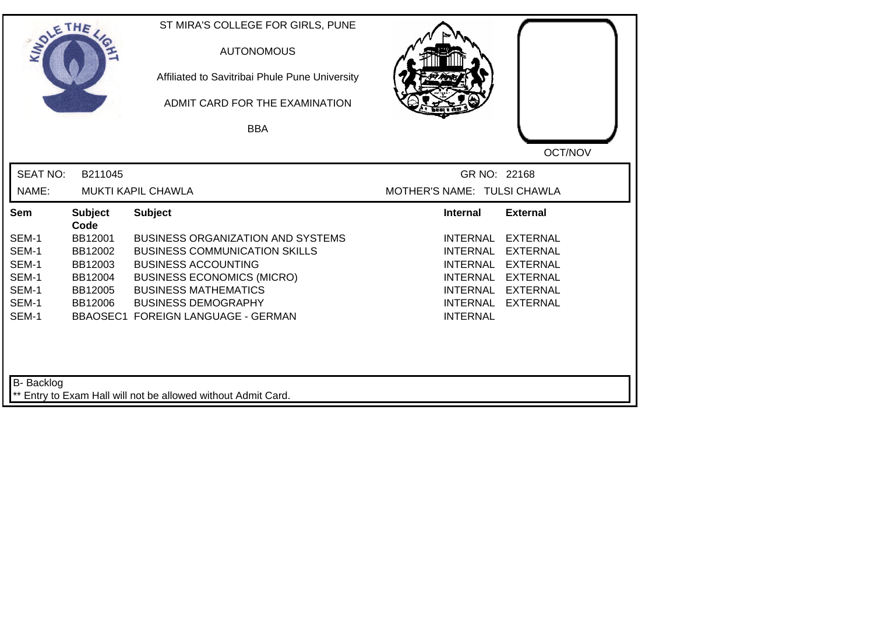| SOLETHE ,                |                    | ST MIRA'S COLLEGE FOR GIRLS, PUNE<br><b>AUTONOMOUS</b><br>Affiliated to Savitribai Phule Pune University<br>ADMIT CARD FOR THE EXAMINATION<br><b>BBA</b> |                                             |                                    |
|--------------------------|--------------------|----------------------------------------------------------------------------------------------------------------------------------------------------------|---------------------------------------------|------------------------------------|
| <b>SEAT NO:</b><br>NAME: | B211045            | <b>MUKTI KAPIL CHAWLA</b>                                                                                                                                | GR NO: 22168<br>MOTHER'S NAME: TULSI CHAWLA | OCT/NOV                            |
| Sem                      | <b>Subject</b>     | <b>Subject</b>                                                                                                                                           | <b>Internal</b>                             | <b>External</b>                    |
|                          | Code               |                                                                                                                                                          |                                             |                                    |
| SEM-1                    | BB12001            | <b>BUSINESS ORGANIZATION AND SYSTEMS</b>                                                                                                                 | <b>INTERNAL</b>                             | <b>EXTERNAL</b>                    |
| SEM-1                    | BB12002            | <b>BUSINESS COMMUNICATION SKILLS</b>                                                                                                                     | <b>INTERNAL</b>                             | <b>EXTERNAL</b>                    |
| SEM-1                    | BB12003            | <b>BUSINESS ACCOUNTING</b>                                                                                                                               | <b>INTERNAL</b>                             | <b>EXTERNAL</b>                    |
| SEM-1                    | BB12004            | <b>BUSINESS ECONOMICS (MICRO)</b>                                                                                                                        | INTERNAL                                    | <b>EXTERNAL</b>                    |
| SEM-1<br>SEM-1           | BB12005<br>BB12006 | <b>BUSINESS MATHEMATICS</b><br><b>BUSINESS DEMOGRAPHY</b>                                                                                                | INTERNAL<br><b>INTERNAL</b>                 | <b>EXTERNAL</b><br><b>EXTERNAL</b> |
| SEM-1                    |                    | BBAOSEC1 FOREIGN LANGUAGE - GERMAN                                                                                                                       | <b>INTERNAL</b>                             |                                    |
| <b>B-</b> Backlog        |                    | ** Entry to Exam Hall will not be allowed without Admit Card.                                                                                            |                                             |                                    |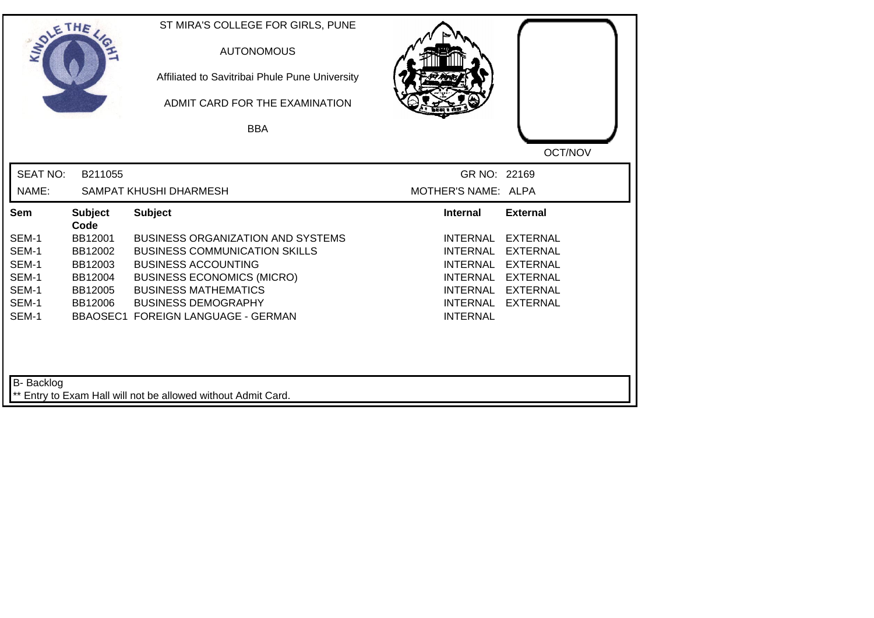| SOLETHE .         |                        | ST MIRA'S COLLEGE FOR GIRLS, PUNE<br><b>AUTONOMOUS</b><br>Affiliated to Savitribai Phule Pune University<br>ADMIT CARD FOR THE EXAMINATION<br><b>BBA</b> |                     |                 |
|-------------------|------------------------|----------------------------------------------------------------------------------------------------------------------------------------------------------|---------------------|-----------------|
|                   |                        |                                                                                                                                                          |                     |                 |
|                   |                        |                                                                                                                                                          |                     | OCT/NOV         |
| <b>SEAT NO:</b>   | B211055                |                                                                                                                                                          | GR NO: 22169        |                 |
| NAME:             |                        | SAMPAT KHUSHI DHARMESH                                                                                                                                   | MOTHER'S NAME: ALPA |                 |
| Sem               | <b>Subject</b><br>Code | <b>Subject</b>                                                                                                                                           | <b>Internal</b>     | <b>External</b> |
| SEM-1             | BB12001                | <b>BUSINESS ORGANIZATION AND SYSTEMS</b>                                                                                                                 | <b>INTERNAL</b>     | <b>EXTERNAL</b> |
| SEM-1             | BB12002                | <b>BUSINESS COMMUNICATION SKILLS</b>                                                                                                                     | <b>INTERNAL</b>     | <b>EXTERNAL</b> |
| SEM-1             | BB12003                | <b>BUSINESS ACCOUNTING</b>                                                                                                                               | <b>INTERNAL</b>     | <b>EXTERNAL</b> |
| SEM-1             | BB12004                | <b>BUSINESS ECONOMICS (MICRO)</b>                                                                                                                        | <b>INTERNAL</b>     | <b>EXTERNAL</b> |
| SEM-1             | BB12005                | <b>BUSINESS MATHEMATICS</b>                                                                                                                              | <b>INTERNAL</b>     | <b>EXTERNAL</b> |
| SEM-1             | BB12006                | <b>BUSINESS DEMOGRAPHY</b>                                                                                                                               | <b>INTERNAL</b>     | <b>EXTERNAL</b> |
| SEM-1             |                        | <b>BBAOSEC1 FOREIGN LANGUAGE - GERMAN</b>                                                                                                                | <b>INTERNAL</b>     |                 |
| <b>B-</b> Backlog |                        | ** Entry to Exam Hall will not be allowed without Admit Card.                                                                                            |                     |                 |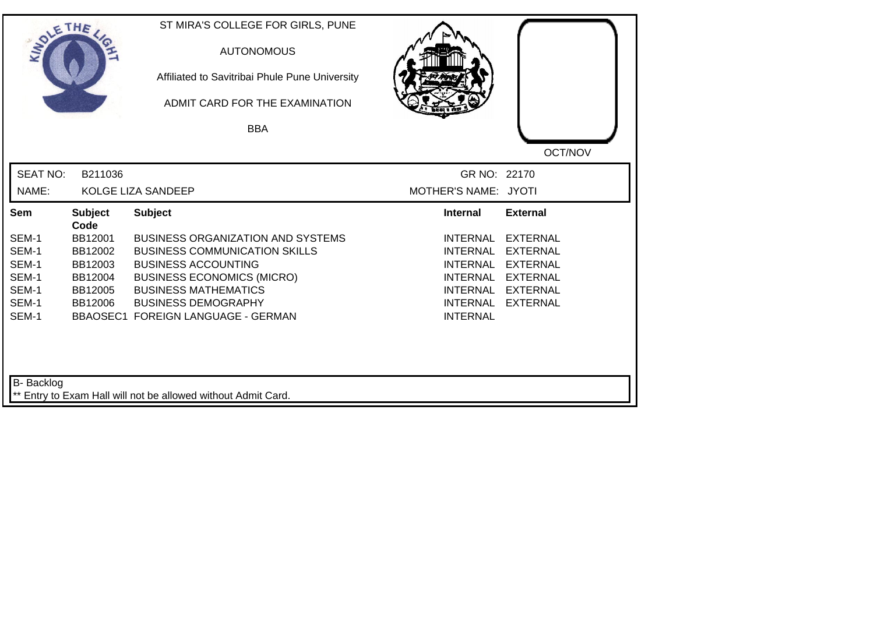| SOLETHE ,         |                        | ST MIRA'S COLLEGE FOR GIRLS, PUNE<br><b>AUTONOMOUS</b><br>Affiliated to Savitribai Phule Pune University<br>ADMIT CARD FOR THE EXAMINATION<br><b>BBA</b> |                                      |                                    |
|-------------------|------------------------|----------------------------------------------------------------------------------------------------------------------------------------------------------|--------------------------------------|------------------------------------|
| <b>SEAT NO:</b>   |                        |                                                                                                                                                          |                                      | OCT/NOV                            |
| NAME:             | B211036                | KOLGE LIZA SANDEEP                                                                                                                                       | GR NO: 22170<br>MOTHER'S NAME: JYOTI |                                    |
| Sem               | <b>Subject</b><br>Code | <b>Subject</b>                                                                                                                                           | <b>Internal</b>                      | <b>External</b>                    |
| SEM-1<br>SEM-1    | BB12001<br>BB12002     | <b>BUSINESS ORGANIZATION AND SYSTEMS</b><br><b>BUSINESS COMMUNICATION SKILLS</b>                                                                         | <b>INTERNAL</b><br><b>INTERNAL</b>   | <b>EXTERNAL</b><br><b>EXTERNAL</b> |
| SEM-1             | BB12003                | <b>BUSINESS ACCOUNTING</b>                                                                                                                               | <b>INTERNAL</b>                      | <b>EXTERNAL</b>                    |
| SEM-1<br>SEM-1    | BB12004<br>BB12005     | <b>BUSINESS ECONOMICS (MICRO)</b><br><b>BUSINESS MATHEMATICS</b>                                                                                         | <b>INTERNAL</b><br><b>INTERNAL</b>   | <b>EXTERNAL</b><br><b>EXTERNAL</b> |
| SEM-1<br>SEM-1    | BB12006                | <b>BUSINESS DEMOGRAPHY</b><br><b>BBAOSEC1 FOREIGN LANGUAGE - GERMAN</b>                                                                                  | <b>INTERNAL</b><br><b>INTERNAL</b>   | <b>EXTERNAL</b>                    |
|                   |                        |                                                                                                                                                          |                                      |                                    |
| <b>B-</b> Backlog |                        | ** Entry to Exam Hall will not be allowed without Admit Card.                                                                                            |                                      |                                    |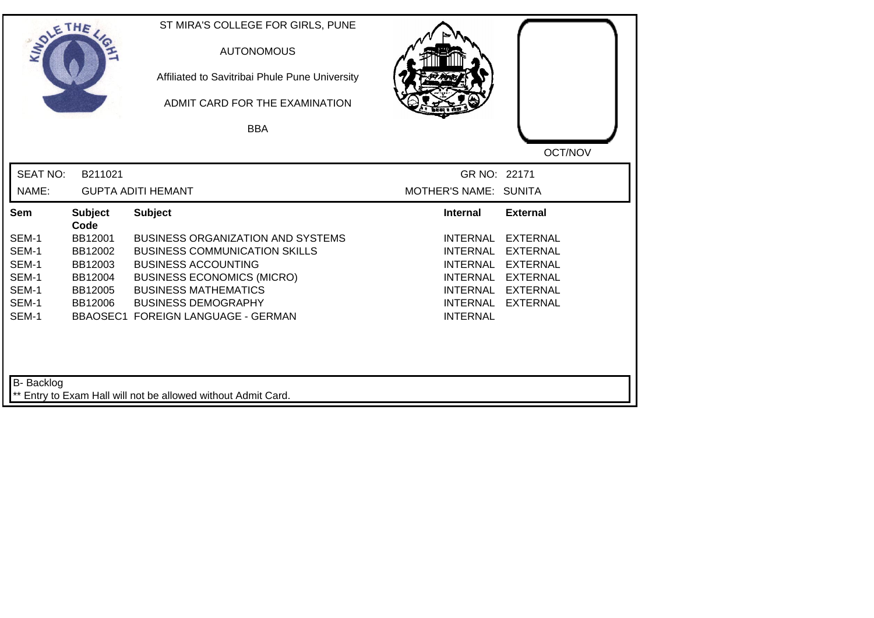| SOLETHE .       |                        | ST MIRA'S COLLEGE FOR GIRLS, PUNE<br><b>AUTONOMOUS</b><br>Affiliated to Savitribai Phule Pune University<br>ADMIT CARD FOR THE EXAMINATION |                                    |                 |
|-----------------|------------------------|--------------------------------------------------------------------------------------------------------------------------------------------|------------------------------------|-----------------|
|                 |                        | <b>BBA</b>                                                                                                                                 |                                    |                 |
|                 |                        |                                                                                                                                            |                                    | OCT/NOV         |
| <b>SEAT NO:</b> | B211021                |                                                                                                                                            | GR NO: 22171                       |                 |
| NAME:           |                        | <b>GUPTA ADITI HEMANT</b>                                                                                                                  | MOTHER'S NAME: SUNITA              |                 |
| Sem             | <b>Subject</b><br>Code | <b>Subject</b>                                                                                                                             | <b>Internal</b>                    | <b>External</b> |
| SEM-1           | BB12001                | <b>BUSINESS ORGANIZATION AND SYSTEMS</b>                                                                                                   | <b>INTERNAL</b>                    | <b>EXTERNAL</b> |
| SEM-1           | BB12002                | <b>BUSINESS COMMUNICATION SKILLS</b>                                                                                                       | <b>INTERNAL</b>                    | <b>EXTERNAL</b> |
| SEM-1           | BB12003                | <b>BUSINESS ACCOUNTING</b>                                                                                                                 | <b>INTERNAL</b>                    | <b>EXTERNAL</b> |
| SEM-1           | BB12004                | <b>BUSINESS ECONOMICS (MICRO)</b>                                                                                                          | <b>INTERNAL</b>                    | <b>EXTERNAL</b> |
| SEM-1           | BB12005                | <b>BUSINESS MATHEMATICS</b>                                                                                                                | INTERNAL                           | <b>EXTERNAL</b> |
| SEM-1<br>SEM-1  | BB12006                | <b>BUSINESS DEMOGRAPHY</b><br>BBAOSEC1 FOREIGN LANGUAGE - GERMAN                                                                           | <b>INTERNAL</b><br><b>INTERNAL</b> | <b>EXTERNAL</b> |
| B- Backlog      |                        | ** Entry to Exam Hall will not be allowed without Admit Card.                                                                              |                                    |                 |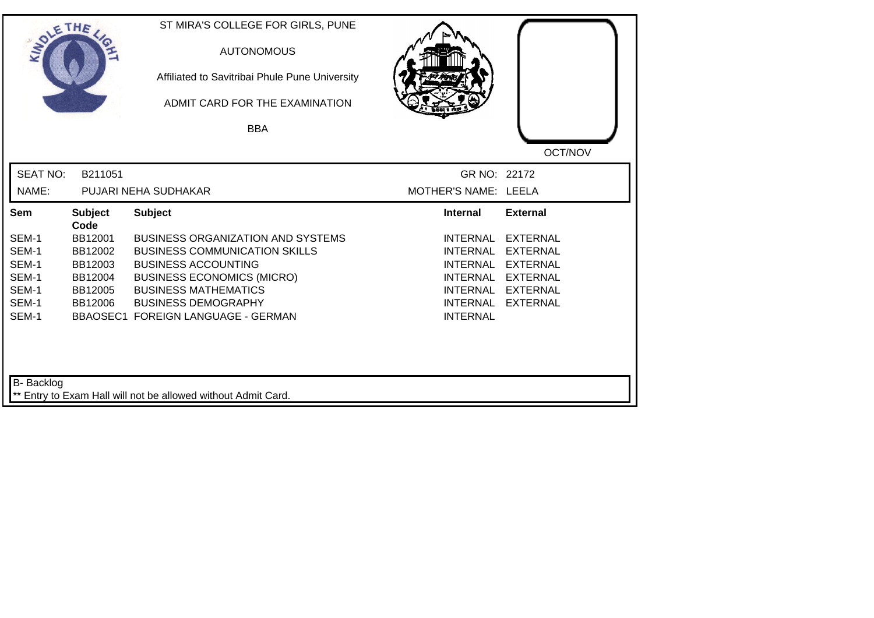| SOLETHE .         |                        | ST MIRA'S COLLEGE FOR GIRLS, PUNE<br><b>AUTONOMOUS</b><br>Affiliated to Savitribai Phule Pune University<br>ADMIT CARD FOR THE EXAMINATION<br><b>BBA</b> |                                    |                 |
|-------------------|------------------------|----------------------------------------------------------------------------------------------------------------------------------------------------------|------------------------------------|-----------------|
|                   |                        |                                                                                                                                                          |                                    | OCT/NOV         |
| <b>SEAT NO:</b>   | B211051                |                                                                                                                                                          | GR NO: 22172                       |                 |
| NAME:             |                        | PUJARI NEHA SUDHAKAR                                                                                                                                     | MOTHER'S NAME: LEELA               |                 |
| Sem               | <b>Subject</b><br>Code | <b>Subject</b>                                                                                                                                           | <b>Internal</b>                    | <b>External</b> |
| SEM-1             | BB12001                | <b>BUSINESS ORGANIZATION AND SYSTEMS</b>                                                                                                                 | <b>INTERNAL</b>                    | <b>EXTERNAL</b> |
| SEM-1             | BB12002                | <b>BUSINESS COMMUNICATION SKILLS</b>                                                                                                                     | <b>INTERNAL</b>                    | <b>EXTERNAL</b> |
| SEM-1             | BB12003                | <b>BUSINESS ACCOUNTING</b>                                                                                                                               | <b>INTERNAL</b>                    | <b>EXTERNAL</b> |
| SEM-1             | BB12004                | <b>BUSINESS ECONOMICS (MICRO)</b>                                                                                                                        | <b>INTERNAL</b>                    | <b>EXTERNAL</b> |
| SEM-1             | BB12005                | <b>BUSINESS MATHEMATICS</b>                                                                                                                              | INTERNAL                           | <b>EXTERNAL</b> |
| SEM-1<br>SEM-1    | BB12006                | <b>BUSINESS DEMOGRAPHY</b><br><b>BBAOSEC1 FOREIGN LANGUAGE - GERMAN</b>                                                                                  | <b>INTERNAL</b><br><b>INTERNAL</b> | <b>EXTERNAL</b> |
| <b>B-</b> Backlog |                        | ** Entry to Exam Hall will not be allowed without Admit Card.                                                                                            |                                    |                 |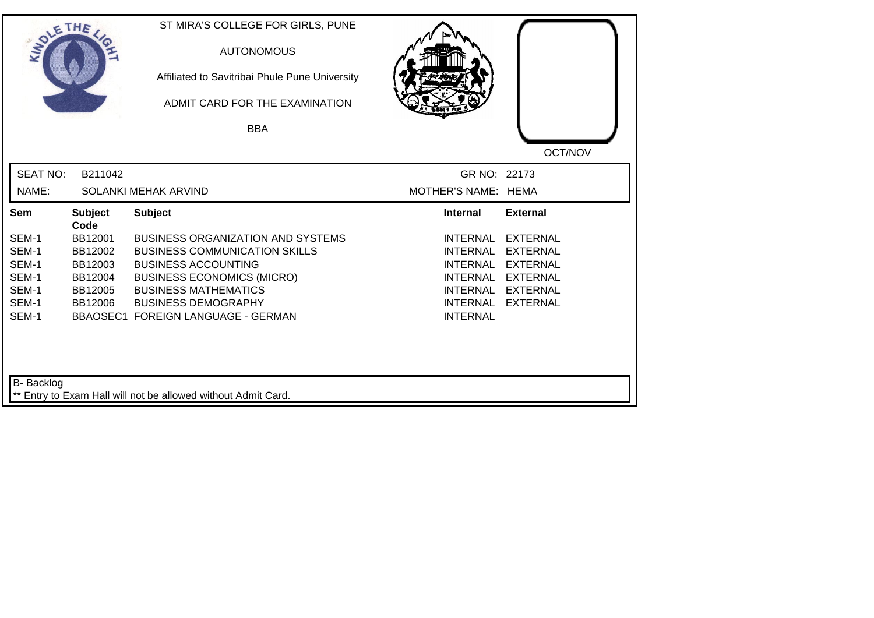| SOLETHE ,         |                        | ST MIRA'S COLLEGE FOR GIRLS, PUNE<br><b>AUTONOMOUS</b><br>Affiliated to Savitribai Phule Pune University<br>ADMIT CARD FOR THE EXAMINATION<br><b>BBA</b> |                                    |                 |
|-------------------|------------------------|----------------------------------------------------------------------------------------------------------------------------------------------------------|------------------------------------|-----------------|
|                   |                        |                                                                                                                                                          |                                    | OCT/NOV         |
| <b>SEAT NO:</b>   | B211042                |                                                                                                                                                          | GR NO: 22173                       |                 |
| NAME:             |                        | SOLANKI MEHAK ARVIND                                                                                                                                     | MOTHER'S NAME: HEMA                |                 |
| Sem               | <b>Subject</b><br>Code | <b>Subject</b>                                                                                                                                           | <b>Internal</b>                    | <b>External</b> |
| SEM-1             | BB12001                | <b>BUSINESS ORGANIZATION AND SYSTEMS</b>                                                                                                                 | <b>INTERNAL</b>                    | <b>EXTERNAL</b> |
| SEM-1             | BB12002                | <b>BUSINESS COMMUNICATION SKILLS</b>                                                                                                                     | <b>INTERNAL</b>                    | <b>EXTERNAL</b> |
| SEM-1             | BB12003                | <b>BUSINESS ACCOUNTING</b>                                                                                                                               | <b>INTERNAL</b>                    | <b>EXTERNAL</b> |
| SEM-1             | BB12004                | <b>BUSINESS ECONOMICS (MICRO)</b>                                                                                                                        | <b>INTERNAL</b>                    | <b>EXTERNAL</b> |
| SEM-1             | BB12005                | <b>BUSINESS MATHEMATICS</b>                                                                                                                              | INTERNAL                           | <b>EXTERNAL</b> |
| SEM-1<br>SEM-1    | BB12006                | <b>BUSINESS DEMOGRAPHY</b><br><b>BBAOSEC1 FOREIGN LANGUAGE - GERMAN</b>                                                                                  | <b>INTERNAL</b><br><b>INTERNAL</b> | <b>EXTERNAL</b> |
| <b>B-</b> Backlog |                        | ** Entry to Exam Hall will not be allowed without Admit Card.                                                                                            |                                    |                 |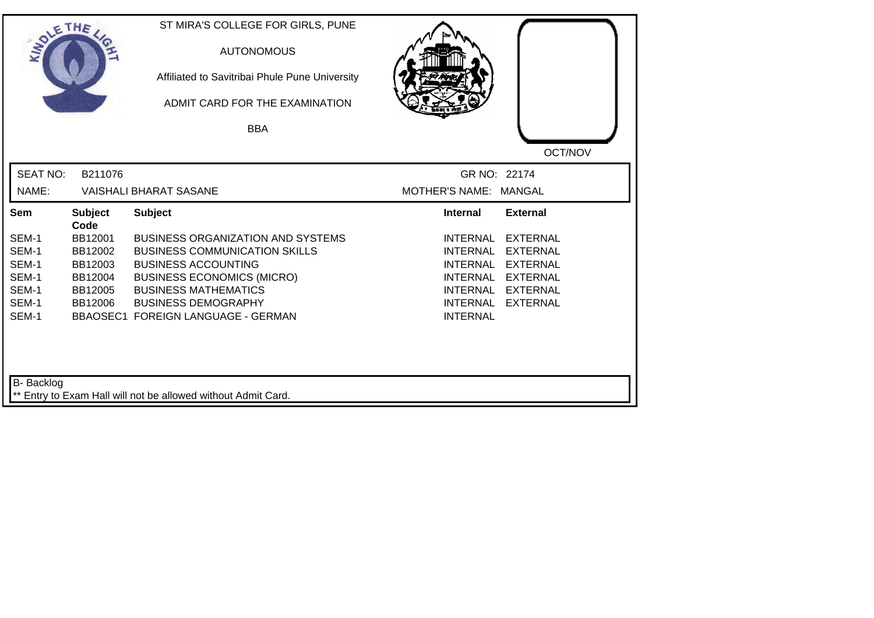| SOLETHE ,         |                        | ST MIRA'S COLLEGE FOR GIRLS, PUNE<br><b>AUTONOMOUS</b><br>Affiliated to Savitribai Phule Pune University<br>ADMIT CARD FOR THE EXAMINATION |                                                                   |
|-------------------|------------------------|--------------------------------------------------------------------------------------------------------------------------------------------|-------------------------------------------------------------------|
|                   |                        | <b>BBA</b>                                                                                                                                 |                                                                   |
|                   |                        |                                                                                                                                            | OCT/NOV                                                           |
| <b>SEAT NO:</b>   | B211076                |                                                                                                                                            | GR NO: 22174                                                      |
| NAME:             |                        | <b>VAISHALI BHARAT SASANE</b>                                                                                                              | MOTHER'S NAME: MANGAL                                             |
| Sem               | <b>Subject</b><br>Code | <b>Subject</b>                                                                                                                             | <b>External</b><br><b>Internal</b>                                |
| SEM-1             | BB12001                | <b>BUSINESS ORGANIZATION AND SYSTEMS</b>                                                                                                   | <b>INTERNAL</b><br><b>EXTERNAL</b>                                |
| SEM-1             | BB12002                | <b>BUSINESS COMMUNICATION SKILLS</b>                                                                                                       | <b>INTERNAL</b><br><b>EXTERNAL</b>                                |
| SEM-1             | BB12003                | <b>BUSINESS ACCOUNTING</b>                                                                                                                 | <b>INTERNAL</b><br><b>EXTERNAL</b>                                |
| SEM-1             | BB12004                | <b>BUSINESS ECONOMICS (MICRO)</b>                                                                                                          | <b>INTERNAL</b><br><b>EXTERNAL</b>                                |
| SEM-1<br>SEM-1    | BB12005<br>BB12006     | <b>BUSINESS MATHEMATICS</b><br><b>BUSINESS DEMOGRAPHY</b>                                                                                  | <b>EXTERNAL</b><br>INTERNAL<br><b>INTERNAL</b><br><b>EXTERNAL</b> |
| SEM-1             |                        | <b>BBAOSEC1 FOREIGN LANGUAGE - GERMAN</b>                                                                                                  | <b>INTERNAL</b>                                                   |
| <b>B-</b> Backlog |                        | ** Entry to Exam Hall will not be allowed without Admit Card.                                                                              |                                                                   |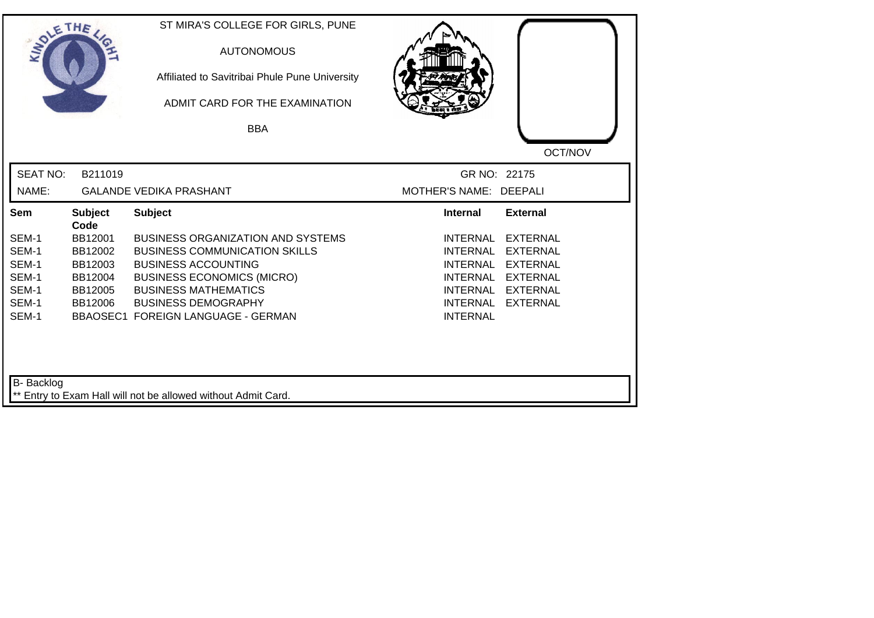| SOLETHE ,         |                        | ST MIRA'S COLLEGE FOR GIRLS, PUNE<br><b>AUTONOMOUS</b><br>Affiliated to Savitribai Phule Pune University<br>ADMIT CARD FOR THE EXAMINATION |                                                       |
|-------------------|------------------------|--------------------------------------------------------------------------------------------------------------------------------------------|-------------------------------------------------------|
|                   |                        | <b>BBA</b>                                                                                                                                 |                                                       |
|                   |                        |                                                                                                                                            | OCT/NOV                                               |
| <b>SEAT NO:</b>   | B211019                |                                                                                                                                            | GR NO: 22175                                          |
| NAME:             |                        | <b>GALANDE VEDIKA PRASHANT</b>                                                                                                             | MOTHER'S NAME: DEEPALI                                |
| Sem               | <b>Subject</b><br>Code | <b>Subject</b>                                                                                                                             | <b>Internal</b><br><b>External</b>                    |
| SEM-1             | BB12001                | <b>BUSINESS ORGANIZATION AND SYSTEMS</b>                                                                                                   | <b>INTERNAL</b><br><b>EXTERNAL</b>                    |
| SEM-1             | BB12002                | <b>BUSINESS COMMUNICATION SKILLS</b>                                                                                                       | <b>INTERNAL</b><br><b>EXTERNAL</b>                    |
| SEM-1             | BB12003                | <b>BUSINESS ACCOUNTING</b>                                                                                                                 | <b>INTERNAL</b><br><b>EXTERNAL</b>                    |
| SEM-1             | BB12004                | <b>BUSINESS ECONOMICS (MICRO)</b>                                                                                                          | <b>INTERNAL</b><br><b>EXTERNAL</b>                    |
| SEM-1<br>SEM-1    | BB12005                | <b>BUSINESS MATHEMATICS</b><br><b>BUSINESS DEMOGRAPHY</b>                                                                                  | <b>EXTERNAL</b><br>INTERNAL                           |
| SEM-1             | BB12006                | <b>BBAOSEC1 FOREIGN LANGUAGE - GERMAN</b>                                                                                                  | <b>INTERNAL</b><br><b>EXTERNAL</b><br><b>INTERNAL</b> |
| <b>B-</b> Backlog |                        | ** Entry to Exam Hall will not be allowed without Admit Card.                                                                              |                                                       |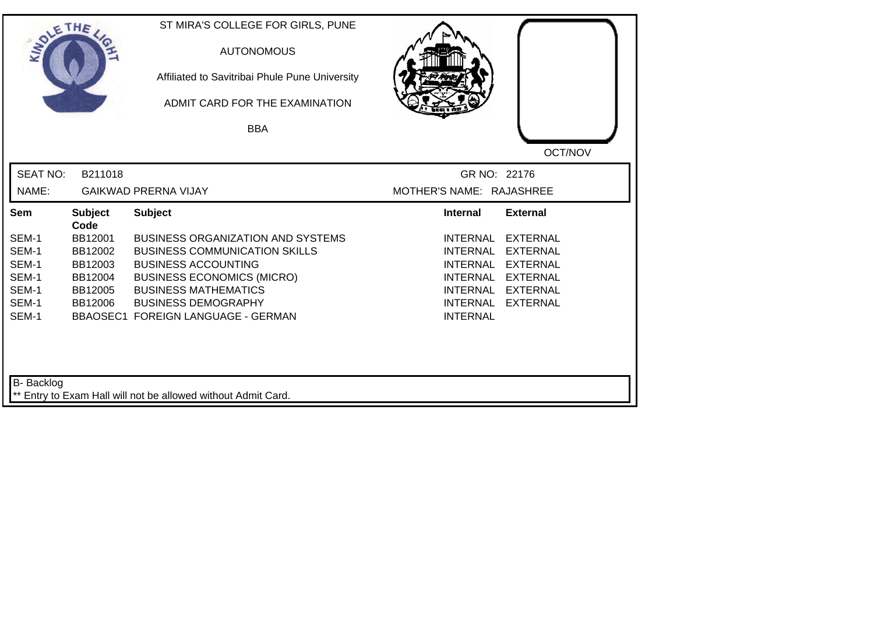| SOLETHE,          |                        | ST MIRA'S COLLEGE FOR GIRLS, PUNE<br><b>AUTONOMOUS</b><br>Affiliated to Savitribai Phule Pune University<br>ADMIT CARD FOR THE EXAMINATION |                             |                 |
|-------------------|------------------------|--------------------------------------------------------------------------------------------------------------------------------------------|-----------------------------|-----------------|
|                   |                        | <b>BBA</b>                                                                                                                                 |                             |                 |
|                   |                        |                                                                                                                                            |                             | OCT/NOV         |
| <b>SEAT NO:</b>   | B211018                |                                                                                                                                            | GR NO: 22176                |                 |
| NAME:             |                        | <b>GAIKWAD PRERNA VIJAY</b>                                                                                                                | MOTHER'S NAME: RAJASHREE    |                 |
| Sem               | <b>Subject</b><br>Code | <b>Subject</b>                                                                                                                             | <b>Internal</b>             | <b>External</b> |
| SEM-1             | BB12001                | <b>BUSINESS ORGANIZATION AND SYSTEMS</b>                                                                                                   | <b>INTERNAL</b>             | <b>EXTERNAL</b> |
| SEM-1             | BB12002                | <b>BUSINESS COMMUNICATION SKILLS</b>                                                                                                       | <b>INTERNAL</b>             | <b>EXTERNAL</b> |
| SEM-1             | BB12003                | <b>BUSINESS ACCOUNTING</b>                                                                                                                 | INTERNAL                    | <b>EXTERNAL</b> |
| SEM-1             | BB12004                | <b>BUSINESS ECONOMICS (MICRO)</b>                                                                                                          | <b>INTERNAL</b>             | <b>EXTERNAL</b> |
| SEM-1             | BB12005                | <b>BUSINESS MATHEMATICS</b>                                                                                                                | INTERNAL                    | EXTERNAL        |
| SEM-1<br>SEM-1    | BB12006                | <b>BUSINESS DEMOGRAPHY</b><br><b>BBAOSEC1 FOREIGN LANGUAGE - GERMAN</b>                                                                    | INTERNAL<br><b>INTERNAL</b> | <b>EXTERNAL</b> |
| <b>B-</b> Backlog |                        |                                                                                                                                            |                             |                 |
|                   |                        | ** Entry to Exam Hall will not be allowed without Admit Card.                                                                              |                             |                 |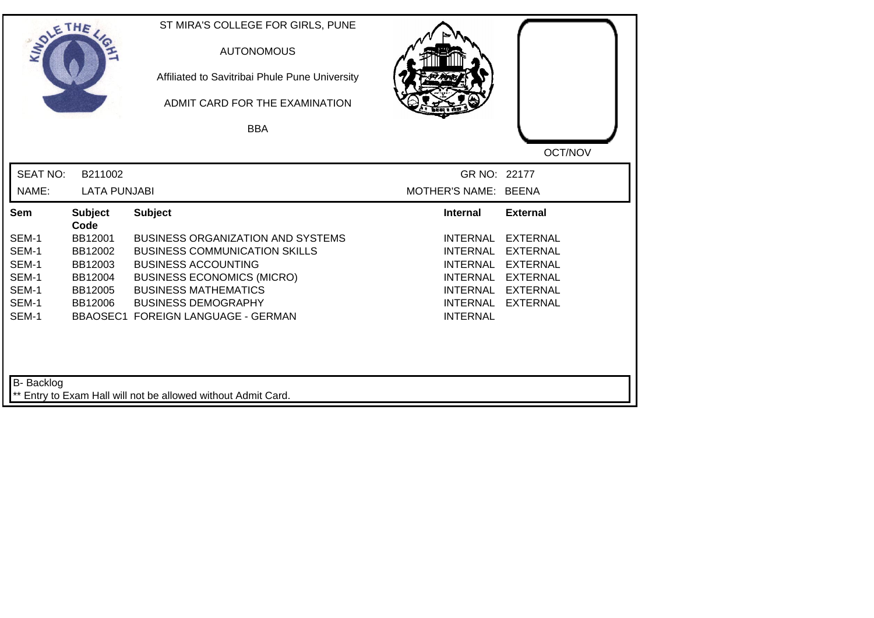| SOLE THE                   |                        | ST MIRA'S COLLEGE FOR GIRLS, PUNE<br><b>AUTONOMOUS</b><br>Affiliated to Savitribai Phule Pune University<br>ADMIT CARD FOR THE EXAMINATION<br><b>BBA</b> |                      |                 |
|----------------------------|------------------------|----------------------------------------------------------------------------------------------------------------------------------------------------------|----------------------|-----------------|
|                            |                        |                                                                                                                                                          |                      | OCT/NOV         |
| <b>SEAT NO:</b>            | B211002                |                                                                                                                                                          | GR NO: 22177         |                 |
| NAME:                      | <b>LATA PUNJABI</b>    |                                                                                                                                                          | MOTHER'S NAME: BEENA |                 |
| Sem                        | <b>Subject</b><br>Code | <b>Subject</b>                                                                                                                                           | <b>Internal</b>      | <b>External</b> |
| SEM-1                      | BB12001                | <b>BUSINESS ORGANIZATION AND SYSTEMS</b>                                                                                                                 | <b>INTERNAL</b>      | <b>EXTERNAL</b> |
| SEM-1                      | BB12002                | <b>BUSINESS COMMUNICATION SKILLS</b>                                                                                                                     | <b>INTERNAL</b>      | <b>EXTERNAL</b> |
| SEM-1                      | BB12003                | <b>BUSINESS ACCOUNTING</b>                                                                                                                               | <b>INTERNAL</b>      | <b>EXTERNAL</b> |
| SEM-1                      | BB12004                | <b>BUSINESS ECONOMICS (MICRO)</b>                                                                                                                        | <b>INTERNAL</b>      | <b>EXTERNAL</b> |
| SEM-1                      | BB12005                | <b>BUSINESS MATHEMATICS</b>                                                                                                                              | INTERNAL             | EXTERNAL        |
| SEM-1                      | BB12006                | <b>BUSINESS DEMOGRAPHY</b>                                                                                                                               | <b>INTERNAL</b>      | <b>EXTERNAL</b> |
| SEM-1<br><b>B-</b> Backlog |                        | <b>BBAOSEC1 FOREIGN LANGUAGE - GERMAN</b>                                                                                                                | <b>INTERNAL</b>      |                 |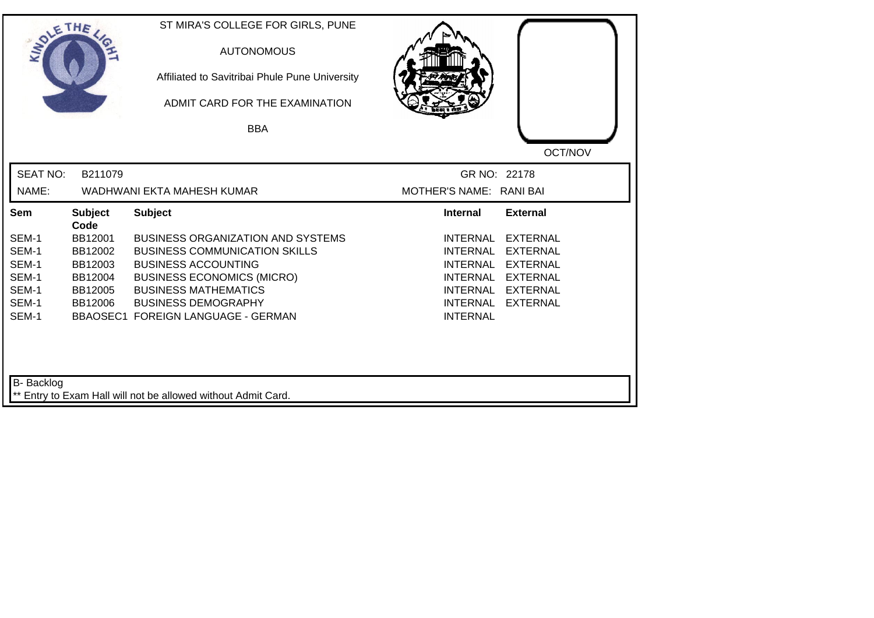| SOLETHE         |                        | ST MIRA'S COLLEGE FOR GIRLS, PUNE<br><b>AUTONOMOUS</b><br>Affiliated to Savitribai Phule Pune University<br>ADMIT CARD FOR THE EXAMINATION |                                                                   |
|-----------------|------------------------|--------------------------------------------------------------------------------------------------------------------------------------------|-------------------------------------------------------------------|
|                 |                        | <b>BBA</b>                                                                                                                                 |                                                                   |
|                 |                        |                                                                                                                                            | OCT/NOV                                                           |
| <b>SEAT NO:</b> | B211079                |                                                                                                                                            | GR NO: 22178                                                      |
| NAME:           |                        | WADHWANI EKTA MAHESH KUMAR                                                                                                                 | MOTHER'S NAME: RANI BAI                                           |
| Sem             | <b>Subject</b><br>Code | <b>Subject</b>                                                                                                                             | <b>External</b><br><b>Internal</b>                                |
| SEM-1           | BB12001                | <b>BUSINESS ORGANIZATION AND SYSTEMS</b>                                                                                                   | <b>EXTERNAL</b><br><b>INTERNAL</b>                                |
| SEM-1           | BB12002                | <b>BUSINESS COMMUNICATION SKILLS</b>                                                                                                       | <b>INTERNAL</b><br><b>EXTERNAL</b>                                |
| SEM-1           | BB12003                | <b>BUSINESS ACCOUNTING</b>                                                                                                                 | <b>INTERNAL</b><br><b>EXTERNAL</b>                                |
| SEM-1           | BB12004                | <b>BUSINESS ECONOMICS (MICRO)</b>                                                                                                          | <b>INTERNAL</b><br><b>EXTERNAL</b>                                |
| SEM-1<br>SEM-1  | BB12005<br>BB12006     | <b>BUSINESS MATHEMATICS</b><br><b>BUSINESS DEMOGRAPHY</b>                                                                                  | <b>INTERNAL</b><br>EXTERNAL<br><b>INTERNAL</b><br><b>EXTERNAL</b> |
| SEM-1           |                        | <b>BBAOSEC1 FOREIGN LANGUAGE - GERMAN</b>                                                                                                  | <b>INTERNAL</b>                                                   |
| B- Backlog      |                        | Entry to Exam Hall will not be allowed without Admit Card.                                                                                 |                                                                   |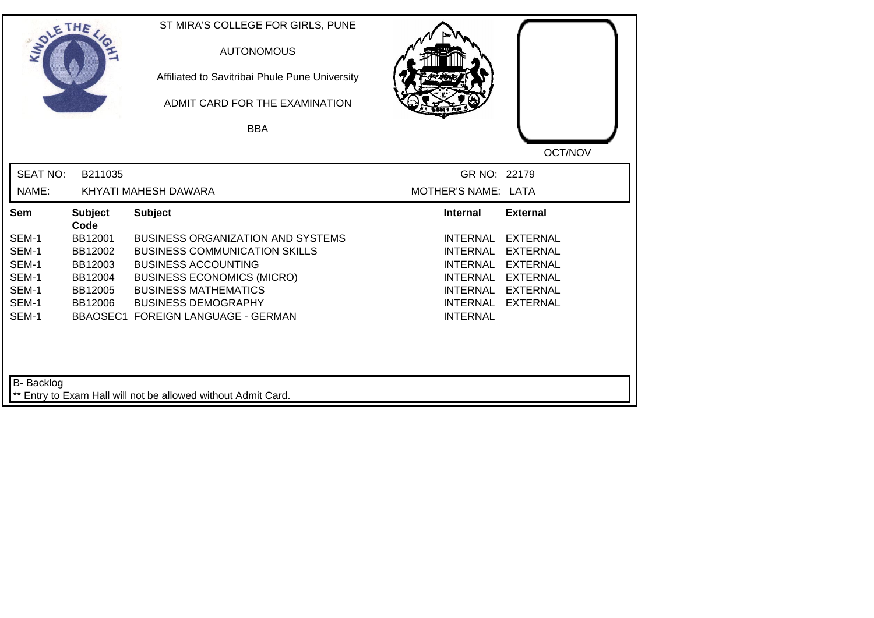| SOLETHE                                                     |                                                                        | ST MIRA'S COLLEGE FOR GIRLS, PUNE<br><b>AUTONOMOUS</b><br>Affiliated to Savitribai Phule Pune University<br>ADMIT CARD FOR THE EXAMINATION<br><b>BBA</b>                                                                                               |                                                                                                                                   |                                                                                                                |
|-------------------------------------------------------------|------------------------------------------------------------------------|--------------------------------------------------------------------------------------------------------------------------------------------------------------------------------------------------------------------------------------------------------|-----------------------------------------------------------------------------------------------------------------------------------|----------------------------------------------------------------------------------------------------------------|
| <b>SEAT NO:</b><br>NAME:                                    | B211035                                                                | KHYATI MAHESH DAWARA                                                                                                                                                                                                                                   | GR NO: 22179<br>MOTHER'S NAME: LATA                                                                                               | OCT/NOV                                                                                                        |
| Sem                                                         | <b>Subject</b>                                                         | <b>Subject</b>                                                                                                                                                                                                                                         | <b>Internal</b>                                                                                                                   | <b>External</b>                                                                                                |
| SEM-1<br>SEM-1<br>SEM-1<br>SEM-1<br>SEM-1<br>SEM-1<br>SEM-1 | Code<br>BB12001<br>BB12002<br>BB12003<br>BB12004<br>BB12005<br>BB12006 | <b>BUSINESS ORGANIZATION AND SYSTEMS</b><br><b>BUSINESS COMMUNICATION SKILLS</b><br><b>BUSINESS ACCOUNTING</b><br><b>BUSINESS ECONOMICS (MICRO)</b><br><b>BUSINESS MATHEMATICS</b><br><b>BUSINESS DEMOGRAPHY</b><br>BBAOSEC1 FOREIGN LANGUAGE - GERMAN | <b>INTERNAL</b><br><b>INTERNAL</b><br><b>INTERNAL</b><br><b>INTERNAL</b><br><b>INTERNAL</b><br><b>INTERNAL</b><br><b>INTERNAL</b> | <b>EXTERNAL</b><br><b>EXTERNAL</b><br><b>EXTERNAL</b><br><b>EXTERNAL</b><br><b>EXTERNAL</b><br><b>EXTERNAL</b> |
| B- Backlog                                                  |                                                                        | ** Entry to Exam Hall will not be allowed without Admit Card.                                                                                                                                                                                          |                                                                                                                                   |                                                                                                                |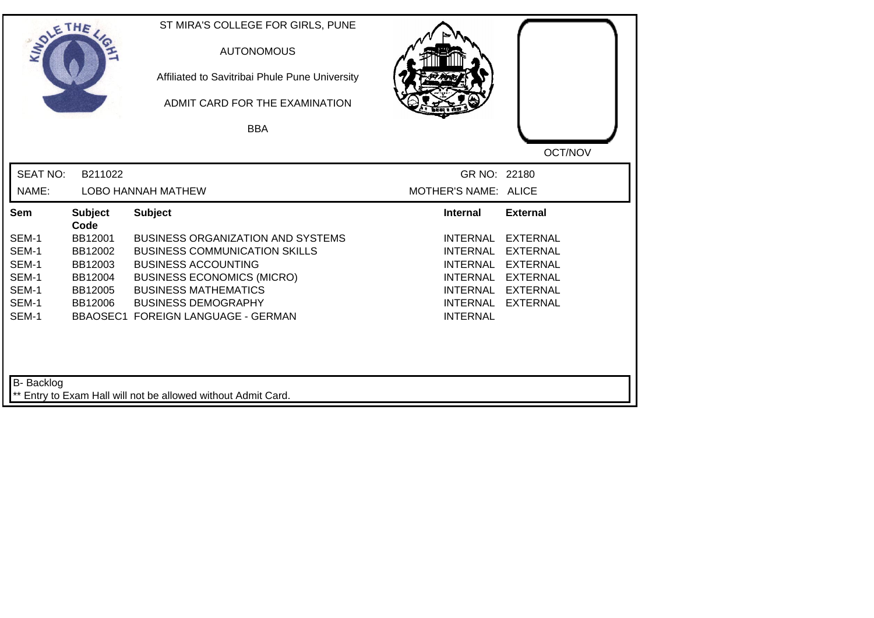| SOLETHE .         |                        | ST MIRA'S COLLEGE FOR GIRLS, PUNE<br><b>AUTONOMOUS</b><br>Affiliated to Savitribai Phule Pune University<br>ADMIT CARD FOR THE EXAMINATION<br><b>BBA</b> |                      |                 |
|-------------------|------------------------|----------------------------------------------------------------------------------------------------------------------------------------------------------|----------------------|-----------------|
|                   |                        |                                                                                                                                                          |                      | OCT/NOV         |
| <b>SEAT NO:</b>   | B211022                |                                                                                                                                                          | GR NO: 22180         |                 |
| NAME:             |                        | <b>LOBO HANNAH MATHEW</b>                                                                                                                                | MOTHER'S NAME: ALICE |                 |
| Sem               | <b>Subject</b><br>Code | <b>Subject</b>                                                                                                                                           | <b>Internal</b>      | <b>External</b> |
| SEM-1             | BB12001                | <b>BUSINESS ORGANIZATION AND SYSTEMS</b>                                                                                                                 | <b>INTERNAL</b>      | <b>EXTERNAL</b> |
| SEM-1             | BB12002                | <b>BUSINESS COMMUNICATION SKILLS</b>                                                                                                                     | <b>INTERNAL</b>      | <b>EXTERNAL</b> |
| SEM-1             | BB12003                | <b>BUSINESS ACCOUNTING</b>                                                                                                                               | <b>INTERNAL</b>      | <b>EXTERNAL</b> |
| SEM-1             | BB12004                | <b>BUSINESS ECONOMICS (MICRO)</b>                                                                                                                        | <b>INTERNAL</b>      | <b>EXTERNAL</b> |
| SEM-1             | BB12005                | <b>BUSINESS MATHEMATICS</b>                                                                                                                              | INTERNAL             | <b>EXTERNAL</b> |
| SEM-1             | BB12006                | <b>BUSINESS DEMOGRAPHY</b>                                                                                                                               | <b>INTERNAL</b>      | <b>EXTERNAL</b> |
| SEM-1             |                        | BBAOSEC1 FOREIGN LANGUAGE - GERMAN                                                                                                                       | <b>INTERNAL</b>      |                 |
| <b>B-</b> Backlog |                        | ** Entry to Exam Hall will not be allowed without Admit Card.                                                                                            |                      |                 |